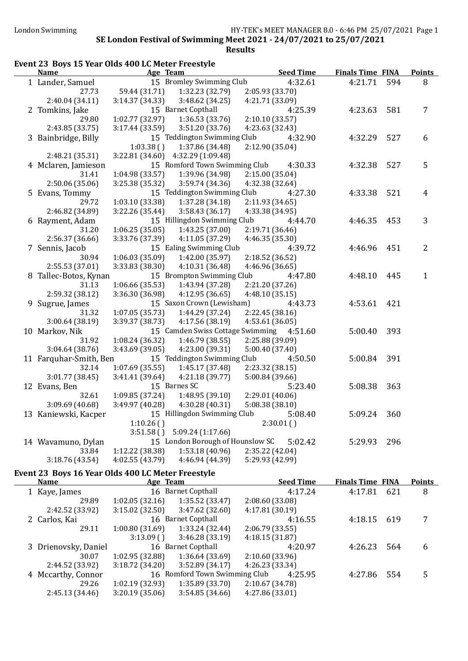# Event 23 Boys 15 Year Olds 400 LC Meter Freestyle

| <b>Name</b>            | Age Team        |                                                       | <b>Seed Time</b>                         | <b>Finals Time FINA</b> |     | <b>Points</b>  |
|------------------------|-----------------|-------------------------------------------------------|------------------------------------------|-------------------------|-----|----------------|
| 1 Lander, Samuel       |                 | 15 Bromley Swimming Club                              | 4:32.61                                  | 4:21.71                 | 594 | 8              |
| 27.73                  | 59.44 (31.71)   | 1:32.23 (32.79)                                       | 2:05.93 (33.70)                          |                         |     |                |
| 2:40.04 (34.11)        | 3:14.37 (34.33) | 3:48.62 (34.25)                                       | 4:21.71 (33.09)                          |                         |     |                |
| 2 Tomkins, Jake        |                 | 15 Barnet Copthall                                    | 4:25.39                                  | 4:23.63                 | 581 | $\overline{7}$ |
| 29.80                  | 1:02.77 (32.97) | 1:36.53(33.76)                                        | 2:10.10 (33.57)                          |                         |     |                |
| 2:43.85 (33.75)        | 3:17.44 (33.59) | 3:51.20 (33.76)                                       | 4:23.63 (32.43)                          |                         |     |                |
| 3 Bainbridge, Billy    |                 | 15 Teddington Swimming Club                           | 4:32.90                                  | 4:32.29                 | 527 | 6              |
|                        | 1:03.38()       | 1:37.86 (34.48)                                       | 2:12.90 (35.04)                          |                         |     |                |
| 2:48.21 (35.31)        | 3:22.81(34.60)  | 4:32.29 (1:09.48)                                     |                                          |                         |     |                |
| 4 Mclaren, Jamieson    |                 | 15 Romford Town Swimming Club                         | 4:30.33                                  | 4:32.38                 | 527 | 5              |
| 31.41                  | 1:04.98 (33.57) | 1:39.96 (34.98)                                       | 2:15.00 (35.04)                          |                         |     |                |
| 2:50.06 (35.06)        | 3:25.38 (35.32) | 3:59.74 (34.36)                                       | 4:32.38 (32.64)                          |                         |     |                |
| 5 Evans, Tommy         |                 | 15 Teddington Swimming Club                           | 4:27.30                                  | 4:33.38                 | 521 | $\overline{4}$ |
| 29.72                  | 1:03.10 (33.38) | 1:37.28 (34.18)                                       | 2:11.93 (34.65)                          |                         |     |                |
| 2:46.82 (34.89)        | 3:22.26 (35.44) | 3:58.43 (36.17)                                       | 4:33.38 (34.95)                          |                         |     |                |
| 6 Rayment, Adam        |                 | 15 Hillingdon Swimming Club                           | 4:44.70                                  | 4:46.35                 | 453 | 3              |
| 31.20                  | 1:06.25(35.05)  | 1:43.25 (37.00)                                       | 2:19.71 (36.46)                          |                         |     |                |
| 2:56.37 (36.66)        | 3:33.76 (37.39) | 4:11.05 (37.29)                                       | 4:46.35 (35.30)                          |                         |     |                |
| 7 Sennis, Jacob        |                 | 15 Ealing Swimming Club                               | 4:39.72                                  | 4:46.96                 | 451 | 2              |
| 30.94                  | 1:06.03(35.09)  | 1:42.00 (35.97)                                       | 2:18.52 (36.52)                          |                         |     |                |
| 2:55.53(37.01)         | 3:33.83 (38.30) | 4:10.31 (36.48)                                       | 4:46.96 (36.65)                          |                         |     |                |
| 8 Tallec-Botos, Kynan  |                 | 15 Brompton Swimming Club                             | 4:47.80                                  | 4:48.10                 | 445 | $\mathbf{1}$   |
| 31.13                  | 1:06.66(35.53)  | 1:43.94 (37.28)                                       | 2:21.20 (37.26)                          |                         |     |                |
| 2:59.32 (38.12)        | 3:36.30 (36.98) | 4:12.95(36.65)                                        | 4:48.10(35.15)                           |                         |     |                |
| 9 Sugrue, James        |                 | 15 Saxon Crown (Lewisham)                             | 4:43.73                                  | 4:53.61                 | 421 |                |
| 31.32                  | 1:07.05(35.73)  | 1:44.29 (37.24)                                       | 2:22.45(38.16)                           |                         |     |                |
| 3:00.64 (38.19)        | 3:39.37 (38.73) | 4:17.56 (38.19)                                       | 4:53.61(36.05)                           |                         |     |                |
| 10 Markov, Nik         |                 |                                                       | 15 Camden Swiss Cottage Swimming 4:51.60 | 5:00.40                 | 393 |                |
| 31.92                  | 1:08.24 (36.32) | 1:46.79 (38.55)                                       | 2:25.88 (39.09)                          |                         |     |                |
| 3:04.64 (38.76)        | 3:43.69 (39.05) | 4:23.00 (39.31)                                       | 5:00.40 (37.40)                          |                         |     |                |
| 11 Farquhar-Smith, Ben |                 | 15 Teddington Swimming Club                           | 4:50.50                                  | 5:00.84                 | 391 |                |
| 32.14                  | 1:07.69(35.55)  | 1:45.17 (37.48)                                       | 2:23.32 (38.15)                          |                         |     |                |
| 3:01.77 (38.45)        | 3:41.41 (39.64) | 4:21.18(39.77)                                        | 5:00.84 (39.66)                          |                         |     |                |
| 12 Evans, Ben          |                 | 15 Barnes SC                                          | 5:23.40                                  | 5:08.38                 | 363 |                |
| 32.61                  | 1:09.85 (37.24) | 1:48.95 (39.10)                                       | 2:29.01 (40.06)                          |                         |     |                |
| 3:09.69 (40.68)        | 3:49.97 (40.28) | 4:30.28 (40.31)                                       | 5:08.38 (38.10)                          |                         |     |                |
| 13 Kaniewski, Kacper   |                 | 15 Hillingdon Swimming Club                           | 5:08.40                                  | 5:09.24                 | 360 |                |
|                        | 1:10.26()       |                                                       | 2:30.01()                                |                         |     |                |
|                        | 3:51.58()       | 5:09.24 (1:17.66)<br>15 London Borough of Hounslow SC |                                          |                         |     |                |
| 14 Wavamuno, Dylan     |                 |                                                       | 5:02.42                                  | 5:29.93                 | 296 |                |
| 33.84                  | 1:12.22 (38.38) | 1:53.18 (40.96)                                       | 2:35.22 (42.04)                          |                         |     |                |
| 3:18.76 (43.54)        | 4:02.55(43.79)  | 4:46.94 (44.39)                                       | 5:29.93 (42.99)                          |                         |     |                |

# Event 23 Boys 16 Year Olds 400 LC Meter Freestyle

| <b>Name</b>          | Age Team       |                               |                 | <b>Seed Time</b> | <b>Finals Time FINA</b> |     | <b>Points</b> |
|----------------------|----------------|-------------------------------|-----------------|------------------|-------------------------|-----|---------------|
| 1 Kaye, James        |                | 16 Barnet Copthall            |                 | 4:17.24          | 4:17.81                 | 621 | 8             |
| 29.89                | 1:02.05(32.16) | 1:35.52(33.47)                | 2:08.60(33.08)  |                  |                         |     |               |
| 2:42.52 (33.92)      | 3:15.02(32.50) | 3:47.62(32.60)                | 4:17.81 (30.19) |                  |                         |     |               |
| 2 Carlos, Kai        |                | 16 Barnet Copthall            |                 | 4:16.55          | 4:18.15                 | 619 |               |
| 29.11                | 1:00.80(31.69) | 1:33.24(32.44)                | 2:06.79(33.55)  |                  |                         |     |               |
|                      | 3:13.09(       | 3:46.28(33.19)                | 4:18.15(31.87)  |                  |                         |     |               |
| 3 Drienovsky, Daniel |                | 16 Barnet Copthall            |                 | 4:20.97          | 4:26.23                 | 564 | 6             |
| 30.07                | 1:02.95(32.88) | 1:36.64(33.69)                | 2:10.60(33.96)  |                  |                         |     |               |
| 2:44.52 (33.92)      | 3:18.72(34.20) | 3:52.89(34.17)                | 4:26.23 (33.34) |                  |                         |     |               |
| 4 Mccarthy, Connor   |                | 16 Romford Town Swimming Club |                 | 4:25.95          | 4:27.86                 | 554 | 5             |
| 29.26                | 1:02.19(32.93) | 1:35.89(33.70)                | 2:10.67(34.78)  |                  |                         |     |               |
| 2:45.13(34.46)       | 3:20.19(35.06) | 3:54.85(34.66)                | 4:27.86 (33.01) |                  |                         |     |               |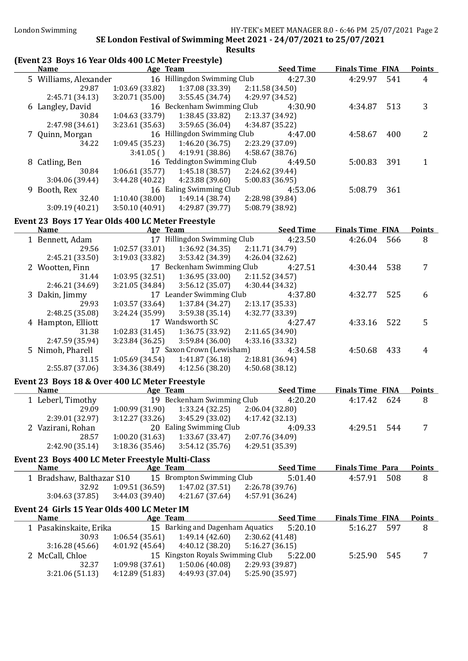## (Event 23 Boys 16 Year Olds 400 LC Meter Freestyle)

|   | <b>Name</b>           | Age Team        |                             |                 | <b>Seed Time</b> | <b>Finals Time FINA</b> |     | <b>Points</b> |
|---|-----------------------|-----------------|-----------------------------|-----------------|------------------|-------------------------|-----|---------------|
|   | 5 Williams, Alexander |                 | 16 Hillingdon Swimming Club |                 | 4:27.30          | 4:29.97                 | 541 | 4             |
|   | 29.87                 | 1:03.69(33.82)  | 1:37.08(33.39)              | 2:11.58(34.50)  |                  |                         |     |               |
|   | 2:45.71 (34.13)       | 3:20.71 (35.00) | 3:55.45(34.74)              | 4:29.97 (34.52) |                  |                         |     |               |
|   | 6 Langley, David      |                 | 16 Beckenham Swimming Club  |                 | 4:30.90          | 4:34.87                 | 513 | 3             |
|   | 30.84                 | 1:04.63(33.79)  | 1:38.45(33.82)              | 2:13.37 (34.92) |                  |                         |     |               |
|   | 2:47.98 (34.61)       | 3:23.61(35.63)  | 3:59.65(36.04)              | 4:34.87 (35.22) |                  |                         |     |               |
|   | 7 Quinn, Morgan       |                 | 16 Hillingdon Swimming Club |                 | 4:47.00          | 4:58.67                 | 400 | 2             |
|   | 34.22                 | 1:09.45(35.23)  | 1:46.20(36.75)              | 2:23.29 (37.09) |                  |                         |     |               |
|   |                       | 3:41.05(        | 4:19.91 (38.86)             | 4:58.67(38.76)  |                  |                         |     |               |
|   | 8 Catling, Ben        |                 | 16 Teddington Swimming Club |                 | 4:49.50          | 5:00.83                 | 391 |               |
|   | 30.84                 | 1:06.61(35.77)  | 1:45.18(38.57)              | 2:24.62 (39.44) |                  |                         |     |               |
|   | 3:04.06(39.44)        | 3:44.28(40.22)  | 4:23.88 (39.60)             | 5:00.83(36.95)  |                  |                         |     |               |
| 9 | Booth, Rex            |                 | 16 Ealing Swimming Club     |                 | 4:53.06          | 5:08.79                 | 361 |               |
|   | 32.40                 | 1:10.40(38.00)  | 1:49.14(38.74)              | 2:28.98 (39.84) |                  |                         |     |               |
|   | 3:09.19(40.21)        | 3:50.10(40.91)  | 4:29.87 (39.77)             | 5:08.79 (38.92) |                  |                         |     |               |

# Event 23 Boys 17 Year Olds 400 LC Meter Freestyle

| <b>Name</b>        | Age Team       |                            |                 | <b>Seed Time</b> | <b>Finals Time FINA</b> |     | <b>Points</b> |
|--------------------|----------------|----------------------------|-----------------|------------------|-------------------------|-----|---------------|
| 1 Bennett, Adam    | 17             | Hillingdon Swimming Club   |                 | 4:23.50          | 4:26.04                 | 566 | 8             |
| 29.56              | 1:02.57(33.01) | 1:36.92(34.35)             | 2:11.71 (34.79) |                  |                         |     |               |
| 2:45.21 (33.50)    | 3:19.03(33.82) | 3:53.42(34.39)             | 4:26.04 (32.62) |                  |                         |     |               |
| 2 Wootten, Finn    |                | 17 Beckenham Swimming Club |                 | 4:27.51          | 4:30.44                 | 538 | 7             |
| 31.44              | 1:03.95(32.51) | 1:36.95(33.00)             | 2:11.52(34.57)  |                  |                         |     |               |
| 2:46.21 (34.69)    | 3:21.05(34.84) | 3:56.12(35.07)             | 4:30.44 (34.32) |                  |                         |     |               |
| 3 Dakin, Jimmy     |                | 17 Leander Swimming Club   |                 | 4:37.80          | 4:32.77                 | 525 | 6             |
| 29.93              | 1:03.57(33.64) | 1:37.84(34.27)             | 2:13.17 (35.33) |                  |                         |     |               |
| 2:48.25 (35.08)    | 3:24.24(35.99) | 3:59.38(35.14)             | 4:32.77 (33.39) |                  |                         |     |               |
| 4 Hampton, Elliott |                | 17 Wandsworth SC           |                 | 4:27.47          | 4:33.16                 | 522 | 5             |
| 31.38              | 1:02.83(31.45) | 1:36.75(33.92)             | 2:11.65(34.90)  |                  |                         |     |               |
| 2:47.59 (35.94)    | 3:23.84(36.25) | 3:59.84(36.00)             | 4:33.16 (33.32) |                  |                         |     |               |
| 5 Nimoh, Pharell   |                | 17 Saxon Crown (Lewisham)  |                 | 4:34.58          | 4:50.68                 | 433 | 4             |
| 31.15              | 1:05.69(34.54) | 1:41.87(36.18)             | 2:18.81 (36.94) |                  |                         |     |               |
| 2:55.87 (37.06)    | 3:34.36(38.49) | 4:12.56(38.20)             | 4:50.68(38.12)  |                  |                         |     |               |

## Event 23 Boys 18 & Over 400 LC Meter Freestyle

| <b>Name</b>       | Age Team       |                                   | <b>Seed Time</b> | <b>Finals Time FINA</b> |       | <b>Points</b> |
|-------------------|----------------|-----------------------------------|------------------|-------------------------|-------|---------------|
| 1 Leberl, Timothy |                | 19 Beckenham Swimming Club        | 4:20.20          | 4:17.42                 | - 624 | 8             |
| 29.09             | 1:00.99(31.90) | 1:33.24 (32.25)                   | 2:06.04(32.80)   |                         |       |               |
| 2:39.01(32.97)    |                | $3:12.27(33.26)$ $3:45.29(33.02)$ | 4:17.42 (32.13)  |                         |       |               |
| 2 Vazirani, Rohan |                | 20 Ealing Swimming Club           | 4:09.33          | 4:29.51 544             |       |               |
| 28.57             | 1:00.20(31.63) | 1:33.67 (33.47)                   | 2:07.76 (34.09)  |                         |       |               |
| 2:42.90(35.14)    | 3:18.36(35.46) | 3:54.12 (35.76)                   | 4:29.51 (35.39)  |                         |       |               |
|                   |                |                                   |                  |                         |       |               |

## Event 23 Boys 400 LC Meter Freestyle Multi-Class

| <b>Name</b>               | Age Team        |                                   | <b>Seed Time</b> | <b>Finals Time Para</b> | Points |
|---------------------------|-----------------|-----------------------------------|------------------|-------------------------|--------|
| 1 Bradshaw, Balthazar S10 |                 | 15 Brompton Swimming Club         | 5:01.40          | 4:57.91 508             |        |
| 32.92                     | 1:09.51 (36.59) | $1:47.02(37.51)$ $2:26.78(39.76)$ |                  |                         |        |
| 3:04.63(37.85)            | 3:44.03 (39.40) | 4:21.67 (37.64)                   | 4:57.91 (36.24)  |                         |        |

#### Event 24 Girls 15 Year Olds 400 LC Meter IM

 $\overline{a}$ 

| <b>Name</b>    |                 |                                          |                             | <b>Seed Time</b> |                                                                                                                                                         |     | <b>Points</b>                      |
|----------------|-----------------|------------------------------------------|-----------------------------|------------------|---------------------------------------------------------------------------------------------------------------------------------------------------------|-----|------------------------------------|
|                |                 |                                          |                             | 5:20.10          | 5:16.27                                                                                                                                                 | 597 | 8                                  |
| 30.93          | 1:06.54(35.61)  | 1:49.14 (42.60)                          |                             |                  |                                                                                                                                                         |     |                                    |
| 3:16.28(45.66) |                 | 4:40.12 (38.20)                          |                             |                  |                                                                                                                                                         |     |                                    |
|                |                 |                                          |                             |                  |                                                                                                                                                         | 545 |                                    |
| 32.37          | 1:09.98(37.61)  | 1:50.06 (40.08)                          |                             |                  |                                                                                                                                                         |     |                                    |
| 3:21.06(51.13) |                 | 4:49.93 (37.04)                          |                             |                  |                                                                                                                                                         |     |                                    |
|                | 2 McCall, Chloe | 1 Pasakinskaite, Erika<br>4:12.89(51.83) | Age Team<br>4:01.92 (45.64) |                  | 15 Barking and Dagenham Aquatics<br>2:30.62 (41.48)<br>5:16.27(36.15)<br>15 Kingston Royals Swimming Club 5:22.00<br>2:29.93 (39.87)<br>5:25.90 (35.97) |     | <b>Finals Time FINA</b><br>5:25.90 |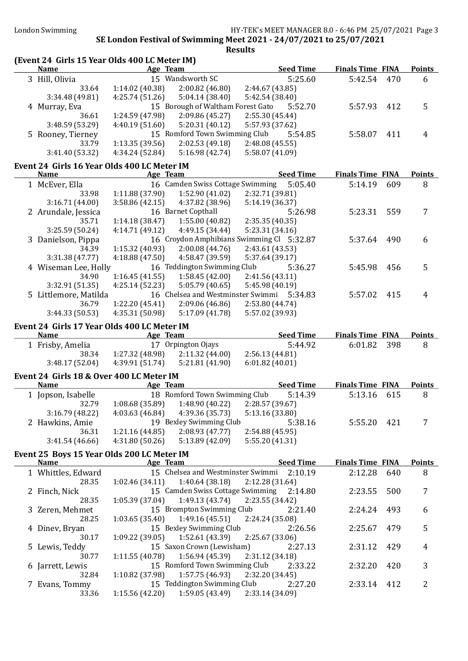| (Event 24 Girls 15 Year Olds 400 LC Meter IM)              |                                   |                                                                          | ncourc                                    |                         |     |                |
|------------------------------------------------------------|-----------------------------------|--------------------------------------------------------------------------|-------------------------------------------|-------------------------|-----|----------------|
| <b>Name</b>                                                |                                   | Age Team                                                                 | <b>Seed Time</b>                          | <b>Finals Time FINA</b> |     | <b>Points</b>  |
| 3 Hill, Olivia                                             |                                   | 15 Wandsworth SC                                                         | 5:25.60                                   | 5:42.54                 | 470 | 6              |
| 33.64                                                      | 1:14.02(40.38)                    | 2:00.82(46.80)                                                           | 2:44.67 (43.85)                           |                         |     |                |
| 3:34.48 (49.81)                                            | 4:25.74(51.26)                    | 5:04.14(38.40)                                                           | 5:42.54 (38.40)                           |                         |     |                |
| 4 Murray, Eva                                              |                                   | 15 Borough of Waltham Forest Gato                                        | 5:52.70                                   | 5:57.93                 | 412 | 5              |
| 36.61<br>3:48.59 (53.29)                                   | 1:24.59 (47.98)<br>4:40.19(51.60) | 2:09.86 (45.27)<br>5:20.31(40.12)                                        | 2:55.30(45.44)<br>5:57.93 (37.62)         |                         |     |                |
| 5 Rooney, Tierney                                          |                                   | 15 Romford Town Swimming Club                                            | 5:54.85                                   | 5:58.07                 | 411 | 4              |
| 33.79                                                      | 1:13.35(39.56)                    | 2:02.53(49.18)                                                           | 2:48.08 (45.55)                           |                         |     |                |
| 3:41.40 (53.32)                                            | 4:34.24 (52.84)                   | 5:16.98(42.74)                                                           | 5:58.07 (41.09)                           |                         |     |                |
| Event 24 Girls 16 Year Olds 400 LC Meter IM                |                                   |                                                                          |                                           |                         |     |                |
| <b>Name</b>                                                |                                   | Age Team                                                                 | <b>Seed Time</b>                          | <b>Finals Time FINA</b> |     | <b>Points</b>  |
| 1 McEver, Ella                                             |                                   | 16 Camden Swiss Cottage Swimming                                         | 5:05.40                                   | 5:14.19                 | 609 | 8              |
| 33.98                                                      | 1:11.88 (37.90)                   | 1:52.90(41.02)                                                           | 2:32.71 (39.81)                           |                         |     |                |
| 3:16.71(44.00)                                             | 3:58.86(42.15)                    | 4:37.82 (38.96)                                                          | 5:14.19 (36.37)                           |                         |     |                |
| 2 Arundale, Jessica                                        |                                   | 16 Barnet Copthall                                                       | 5:26.98                                   | 5:23.31                 | 559 | $\overline{7}$ |
| 35.71                                                      | 1:14.18(38.47)                    | 1:55.00(40.82)                                                           | 2:35.35(40.35)                            |                         |     |                |
| 3:25.59 (50.24)                                            | 4:14.71(49.12)                    | 4:49.15(34.44)                                                           | 5:23.31(34.16)                            |                         |     |                |
| 3 Danielson, Pippa                                         |                                   |                                                                          | 16 Croydon Amphibians Swimming Cl 5:32.87 | 5:37.64                 | 490 | 6              |
| 34.39                                                      | 1:15.32 (40.93)                   | 2:00.08(44.76)                                                           | 2:43.61 (43.53)                           |                         |     |                |
| 3:31.38 (47.77)                                            | 4:18.88(47.50)                    | 4:58.47 (39.59)                                                          | 5:37.64 (39.17)                           |                         |     |                |
| 4 Wiseman Lee, Holly                                       |                                   | 16 Teddington Swimming Club                                              | 5:36.27                                   | 5:45.98                 | 456 | 5              |
| 34.90<br>3:32.91 (51.35)                                   | 1:16.45(41.55)<br>4:25.14 (52.23) | 1:58.45(42.00)<br>5:05.79 (40.65)                                        | 2:41.56(43.11)<br>5:45.98 (40.19)         |                         |     |                |
| 5 Littlemore, Matilda                                      |                                   |                                                                          | 16 Chelsea and Westminster Swimmi 5:34.83 | 5:57.02                 | 415 | 4              |
| 36.79                                                      | 1:22.20 (45.41)                   | 2:09.06(46.86)                                                           | 2:53.80 (44.74)                           |                         |     |                |
| 3:44.33 (50.53)                                            | 4:35.31 (50.98)                   | 5:17.09(41.78)                                                           | 5:57.02 (39.93)                           |                         |     |                |
|                                                            |                                   |                                                                          |                                           |                         |     |                |
| Event 24 Girls 17 Year Olds 400 LC Meter IM<br><b>Name</b> |                                   | Age Team                                                                 | <b>Seed Time</b>                          | <b>Finals Time FINA</b> |     | <b>Points</b>  |
| 1 Frisby, Amelia                                           |                                   | 17 Orpington Ojays                                                       | 5:44.92                                   | 6:01.82                 | 398 | 8              |
| 38.34                                                      | 1:27.32 (48.98)                   | 2:11.32(44.00)                                                           | 2:56.13(44.81)                            |                         |     |                |
|                                                            |                                   |                                                                          |                                           |                         |     |                |
| 3:48.17 (52.04)                                            | 4:39.91(51.74)                    | 5:21.81 (41.90)                                                          | 6:01.82(40.01)                            |                         |     |                |
|                                                            |                                   |                                                                          |                                           |                         |     |                |
| Event 24 Girls 18 & Over 400 LC Meter IM                   |                                   |                                                                          |                                           |                         |     |                |
| <b>Name</b>                                                | <b>Example 2</b> Age Team         |                                                                          | <b>Seed Time</b>                          | <b>Finals Time FINA</b> |     | <b>Points</b>  |
| 1 Jopson, Isabelle                                         |                                   | 18 Romford Town Swimming Club                                            | 5:14.39                                   | 5:13.16                 | 615 | 8              |
| 3:16.79(48.22)                                             | 4:03.63 (46.84)                   | 32.79 1:08.68 (35.89) 1:48.90 (40.22) 2:28.57 (39.67)<br>4:39.36 (35.73) | 5:13.16 (33.80)                           |                         |     |                |
| 2 Hawkins, Amie                                            |                                   | 19 Bexley Swimming Club                                                  | 5:38.16                                   | 5:55.20                 | 421 | 7              |
| 36.31                                                      | 1:21.16(44.85)                    | 2:08.93(47.77)                                                           | 2:54.88 (45.95)                           |                         |     |                |
| 3:41.54(46.66)                                             | 4:31.80 (50.26)                   | 5:13.89(42.09)                                                           | 5:55.20 (41.31)                           |                         |     |                |
| Event 25 Boys 15 Year Olds 200 LC Meter IM                 |                                   |                                                                          |                                           |                         |     |                |
| <b>Name</b>                                                |                                   | Age Team                                                                 | <b>Seed Time</b>                          | <b>Finals Time FINA</b> |     | <b>Points</b>  |
| 1 Whittles, Edward                                         |                                   | 15 Chelsea and Westminster Swimmi                                        | 2:10.19                                   | 2:12.28                 | 640 | 8              |
| 28.35                                                      | 1:02.46(34.11)                    | 1:40.64(38.18)                                                           | 2:12.28 (31.64)                           |                         |     |                |
| 2 Finch, Nick                                              |                                   | 15 Camden Swiss Cottage Swimming                                         | 2:14.80                                   | 2:23.55                 | 500 | 7              |
| 28.35                                                      | 1:05.39 (37.04)                   | 1:49.13 (43.74)                                                          | 2:23.55 (34.42)                           |                         |     |                |
| 3 Zeren, Mehmet                                            |                                   | 15 Brompton Swimming Club                                                | 2:21.40                                   | 2:24.24                 | 493 | 6              |
| 28.25                                                      | 1:03.65(35.40)                    | 1:49.16(45.51)                                                           | 2:24.24 (35.08)                           |                         |     |                |
| 4 Dinev, Bryan                                             |                                   | 15 Bexley Swimming Club                                                  | 2:26.56                                   | 2:25.67                 | 479 | 5              |
| 30.17                                                      | 1:09.22 (39.05)                   | 1:52.61 (43.39)                                                          | 2:25.67 (33.06)                           |                         |     |                |
| 5 Lewis, Teddy                                             |                                   | 15 Saxon Crown (Lewisham)                                                | 2:27.13                                   | 2:31.12                 | 429 | 4              |
| 30.77                                                      | 1:11.55(40.78)                    | 1:56.94 (45.39)                                                          | 2:31.12 (34.18)                           |                         |     |                |
| 6 Jarrett, Lewis                                           |                                   | 15 Romford Town Swimming Club                                            | 2:33.22                                   | 2:32.20                 | 420 | 3              |
| 32.84                                                      | 1:10.82 (37.98)                   | 1:57.75 (46.93)                                                          | 2:32.20 (34.45)                           |                         |     |                |
| 7 Evans, Tommy<br>33.36                                    | 1:15.56(42.20)                    | 15 Teddington Swimming Club<br>1:59.05(43.49)                            | 2:27.20<br>2:33.14 (34.09)                | 2:33.14                 | 412 | 2              |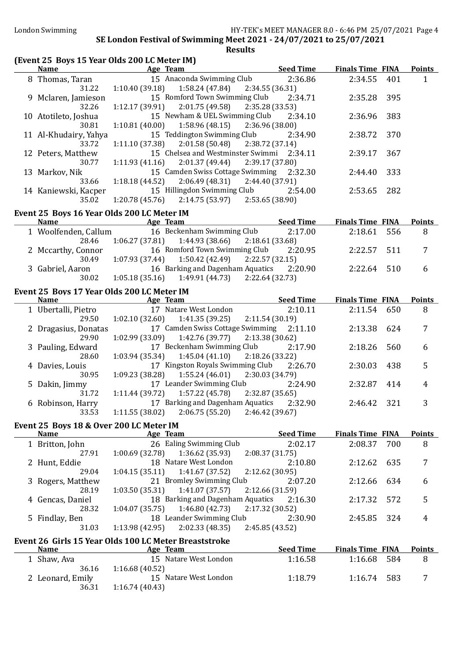# (Event 25 Boys 15 Year Olds 200 LC Meter IM)

36.31 1:16.74 (40.43)

| <u>Name</u>                             | (prent by Doys Is Ical Olas boo be meter Im )<br><u>Age Team</u> | <b>Seed Time</b> | <b>Finals Time FINA</b> |     | <b>Points</b>  |
|-----------------------------------------|------------------------------------------------------------------|------------------|-------------------------|-----|----------------|
| 8 Thomas, Taran                         | 15 Anaconda Swimming Club                                        | 2:36.86          | 2:34.55                 | 401 | $\mathbf{1}$   |
| 31.22                                   | 1:58.24 (47.84)<br>1:10.40(39.18)                                | 2:34.55 (36.31)  |                         |     |                |
|                                         | 15 Romford Town Swimming Club                                    | 2:34.71          | 2:35.28                 | 395 |                |
| 9 Mclaren, Jamieson<br>32.26            | 2:01.75 (49.58)<br>1:12.17(39.91)                                | 2:35.28 (33.53)  |                         |     |                |
|                                         | 15 Newham & UEL Swimming Club                                    | 2:34.10          | 2:36.96                 | 383 |                |
| 10 Atotileto, Joshua<br>30.81           | 1:58.96(48.15)<br>1:10.81(40.00)                                 | 2:36.96 (38.00)  |                         |     |                |
| 11 Al-Khudairy, Yahya                   | 15 Teddington Swimming Club                                      | 2:34.90          | 2:38.72                 | 370 |                |
| 33.72                                   | 2:01.58(50.48)<br>1:11.10(37.38)                                 | 2:38.72 (37.14)  |                         |     |                |
| 12 Peters, Matthew                      | 15 Chelsea and Westminster Swimmi 2:34.11                        |                  | 2:39.17                 | 367 |                |
| 30.77                                   | 2:01.37(49.44)<br>1:11.93(41.16)                                 | 2:39.17 (37.80)  |                         |     |                |
| 13 Markov, Nik                          | 15 Camden Swiss Cottage Swimming 2:32.30                         |                  | 2:44.40                 | 333 |                |
| 33.66                                   | 2:06.49(48.31)<br>1:18.18(44.52)                                 | 2:44.40 (37.91)  |                         |     |                |
| 14 Kaniewski, Kacper                    | 15 Hillingdon Swimming Club                                      | 2:54.00          | 2:53.65                 | 282 |                |
| 35.02                                   | 2:14.75 (53.97)<br>1:20.78(45.76)                                | 2:53.65 (38.90)  |                         |     |                |
|                                         |                                                                  |                  |                         |     |                |
|                                         | Event 25 Boys 16 Year Olds 200 LC Meter IM                       |                  |                         |     |                |
| <b>Name</b>                             | <u>Age Team</u>                                                  | <u>Seed Time</u> | <b>Finals Time FINA</b> |     | <b>Points</b>  |
| 1 Woolfenden, Callum                    | 16 Beckenham Swimming Club                                       | 2:17.00          | 2:18.61                 | 556 | 8              |
| 28.46                                   | $1:06.27(37.81)$ $1:44.93(38.66)$                                | 2:18.61 (33.68)  |                         |     |                |
| 2 Mccarthy, Connor                      | 16 Romford Town Swimming Club                                    | 2:20.95          | 2:22.57                 | 511 | $\overline{7}$ |
| 30.49                                   | $1:07.93(37.44)$ $1:50.42(42.49)$ $2:22.57(32.15)$               |                  |                         |     |                |
| 3 Gabriel, Aaron                        | 16 Barking and Dagenham Aquatics 2:20.90                         |                  | 2:22.64                 | 510 | 6              |
| 30.02                                   | $1:05.18(35.16)$ $1:49.91(44.73)$ $2:22.64(32.73)$               |                  |                         |     |                |
|                                         | Event 25 Boys 17 Year Olds 200 LC Meter IM                       |                  |                         |     |                |
| <b>Name</b>                             | <b>Example 2 Age Team</b>                                        | <b>Seed Time</b> | <b>Finals Time FINA</b> |     | <b>Points</b>  |
| 1 Ubertalli, Pietro                     | 17 Natare West London                                            | 2:10.11          | 2:11.54                 | 650 | 8              |
| 29.50                                   | 1:02.10 (32.60)<br>1:41.35 (39.25)                               | 2:11.54(30.19)   |                         |     |                |
| 2 Dragasius, Donatas                    | 17 Camden Swiss Cottage Swimming 2:11.10                         |                  | 2:13.38                 | 624 | $\overline{7}$ |
| 29.90                                   | 1:02.99(33.09)<br>1:42.76 (39.77)                                | 2:13.38 (30.62)  |                         |     |                |
| 3 Pauling, Edward                       | 17 Beckenham Swimming Club                                       | 2:17.90          | 2:18.26                 | 560 | 6              |
| 28.60                                   | 1:03.94(35.34)<br>1:45.04(41.10)                                 | 2:18.26 (33.22)  |                         |     |                |
| 4 Davies, Louis                         | 17 Kingston Royals Swimming Club                                 | 2:26.70          | 2:30.03                 | 438 | 5              |
| 30.95                                   | 1:09.23(38.28)<br>1:55.24(46.01)                                 | 2:30.03 (34.79)  |                         |     |                |
| 5 Dakin, Jimmy                          | 17 Leander Swimming Club                                         | 2:24.90          | 2:32.87                 | 414 | 4              |
| 31.72                                   | 1:11.44(39.72)<br>1:57.22 (45.78)                                | 2:32.87 (35.65)  |                         |     |                |
| 6 Robinson, Harry                       | 17 Barking and Dagenham Aquatics                                 | 2:32.90          | 2:46.42                 | 321 | 3              |
| 33.53                                   | $1:11.55(38.02)$ $2:06.75(55.20)$ $2:46.42(39.67)$               |                  |                         |     |                |
| Event 25 Boys 18 & Over 200 LC Meter IM |                                                                  |                  |                         |     |                |
| <b>Name</b>                             | Age Team                                                         | <b>Seed Time</b> | <b>Finals Time FINA</b> |     | <b>Points</b>  |
| 1 Britton, John                         | 26 Ealing Swimming Club                                          | 2:02.17          | 2:08.37                 | 700 | 8              |
| 27.91                                   | 1:00.69 (32.78)<br>1:36.62 (35.93)                               | 2:08.37 (31.75)  |                         |     |                |
| 2 Hunt, Eddie                           | 18 Natare West London                                            | 2:10.80          | 2:12.62                 | 635 | 7              |
| 29.04                                   | 1:41.67 (37.52)<br>1:04.15(35.11)                                | 2:12.62 (30.95)  |                         |     |                |
| 3 Rogers, Matthew                       | 21 Bromley Swimming Club                                         | 2:07.20          | 2:12.66                 | 634 | 6              |
| 28.19                                   | 1:03.50(35.31)<br>1:41.07 (37.57)                                | 2:12.66 (31.59)  |                         |     |                |
| 4 Gencas, Daniel                        | 18 Barking and Dagenham Aquatics                                 | 2:16.30          | 2:17.32                 | 572 | 5              |
| 28.32                                   | 1:04.07(35.75)<br>1:46.80 (42.73)                                | 2:17.32 (30.52)  |                         |     |                |
| 5 Findlay, Ben                          | 18 Leander Swimming Club                                         | 2:30.90          | 2:45.85                 | 324 | 4              |
| 31.03                                   | 2:02.33 (48.35)<br>1:13.98(42.95)                                | 2:45.85 (43.52)  |                         |     |                |
|                                         |                                                                  |                  |                         |     |                |
| <b>Name</b>                             | Event 26 Girls 15 Year Olds 100 LC Meter Breaststroke            | <b>Seed Time</b> | <b>Finals Time FINA</b> |     |                |
|                                         | Age Team<br>15 Natare West London                                |                  |                         |     | <b>Points</b>  |
| 1 Shaw, Ava<br>36.16                    | 1:16.68(40.52)                                                   | 1:16.58          | 1:16.68                 | 584 | 8              |
| 2 Leonard, Emily                        | 15 Natare West London                                            | 1:18.79          | 1:16.74                 | 583 | 7              |
|                                         |                                                                  |                  |                         |     |                |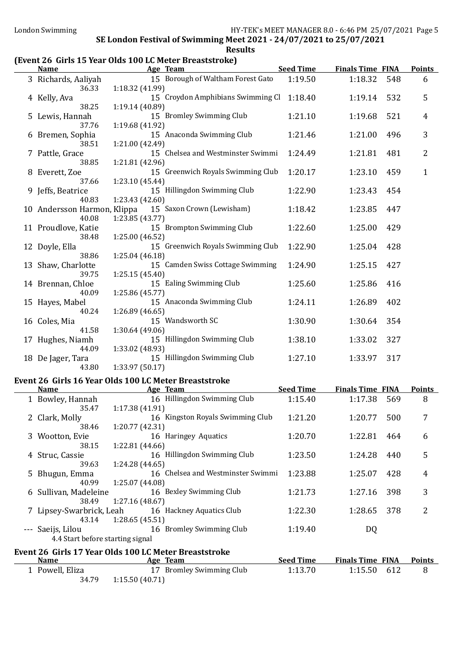# (Event 26 Girls 15 Year Olds 100 LC Meter Breaststroke)

| <b>Name</b>                                           | Age Team                                                                 | <b>Seed Time</b> | <b>Finals Time FINA</b> |     | <b>Points</b>      |
|-------------------------------------------------------|--------------------------------------------------------------------------|------------------|-------------------------|-----|--------------------|
| 3 Richards, Aaliyah<br>36.33                          | 15 Borough of Waltham Forest Gato<br>1:18.32 (41.99)                     | 1:19.50          | 1:18.32                 | 548 | 6                  |
| 4 Kelly, Ava<br>38.25                                 | 15 Croydon Amphibians Swimming Cl 1:18.40<br>1:19.14 (40.89)             |                  | 1:19.14                 | 532 | 5                  |
| 5 Lewis, Hannah                                       | 15 Bromley Swimming Club                                                 | 1:21.10          | 1:19.68                 | 521 | 4                  |
| 37.76<br>6 Bremen, Sophia                             | 1:19.68 (41.92)<br>15 Anaconda Swimming Club                             | 1:21.46          | 1:21.00                 | 496 | 3                  |
| 38.51<br>7 Pattle, Grace                              | 1:21.00 (42.49)<br>15 Chelsea and Westminster Swimmi                     | 1:24.49          | 1:21.81                 | 481 | 2                  |
| 38.85<br>8 Everett, Zoe                               | 1:21.81 (42.96)<br>15 Greenwich Royals Swimming Club                     | 1:20.17          | 1:23.10                 | 459 | $\mathbf{1}$       |
| 37.66<br>9 Jeffs, Beatrice                            | 1:23.10 (45.44)<br>15 Hillingdon Swimming Club                           | 1:22.90          | 1:23.43                 | 454 |                    |
| 40.83                                                 | 1:23.43 (42.60)<br>10 Andersson Harmon, Klippa 15 Saxon Crown (Lewisham) | 1:18.42          | 1:23.85                 | 447 |                    |
| 40.08<br>11 Proudlove, Katie                          | 1:23.85(43.77)<br>15 Brompton Swimming Club                              | 1:22.60          | 1:25.00                 | 429 |                    |
| 38.48<br>12 Doyle, Ella                               | 1:25.00 (46.52)<br>15 Greenwich Royals Swimming Club                     | 1:22.90          | 1:25.04                 | 428 |                    |
| 38.86<br>13 Shaw, Charlotte                           | 1:25.04 (46.18)<br>15 Camden Swiss Cottage Swimming                      | 1:24.90          | 1:25.15                 | 427 |                    |
| 39.75<br>14 Brennan, Chloe                            | 1:25.15(45.40)<br>15 Ealing Swimming Club                                | 1:25.60          | 1:25.86                 | 416 |                    |
| 40.09<br>15 Hayes, Mabel                              | 1:25.86 (45.77)<br>15 Anaconda Swimming Club                             | 1:24.11          | 1:26.89                 | 402 |                    |
| 40.24<br>16 Coles, Mia                                | 1:26.89(46.65)<br>15 Wandsworth SC                                       | 1:30.90          | 1:30.64                 | 354 |                    |
| 41.58<br>17 Hughes, Niamh                             | 1:30.64 (49.06)<br>15 Hillingdon Swimming Club                           | 1:38.10          | 1:33.02                 | 327 |                    |
| 44.09<br>18 De Jager, Tara                            | 1:33.02 (48.93)<br>15 Hillingdon Swimming Club                           | 1:27.10          | 1:33.97                 | 317 |                    |
| 43.80                                                 | 1:33.97 (50.17)<br>Event 26 Girls 16 Year Olds 100 LC Meter Breaststroke |                  |                         |     |                    |
| <b>Name</b>                                           | <b>Example 2</b> Age Team                                                | <b>Seed Time</b> | <b>Finals Time FINA</b> |     | <b>Points</b>      |
| 1 Bowley, Hannah<br>35.47                             | 16 Hillingdon Swimming Club<br>1:17.38 (41.91)                           | 1:15.40          | 1:17.38                 | 569 | 8                  |
| 2 Clark, Molly<br>38.46                               | 16 Kingston Royals Swimming Club 1:21.20<br>1:20.77 (42.31)              |                  | 1:20.77 500             |     | $\overline{7}$     |
| 3 Wootton, Evie<br>38.15                              | 16 Haringey Aquatics<br>1:22.81 (44.66)                                  | 1:20.70          | 1:22.81                 | 464 | 6                  |
| 4 Struc, Cassie<br>39.63                              | 16 Hillingdon Swimming Club<br>1:24.28 (44.65)                           | 1:23.50          | 1:24.28                 | 440 | 5                  |
| 5 Bhugun, Emma<br>40.99                               | 16 Chelsea and Westminster Swimmi<br>1:25.07 (44.08)                     | 1:23.88          | 1:25.07                 | 428 | 4                  |
| 6 Sullivan, Madeleine<br>38.49                        | 16 Bexley Swimming Club<br>1:27.16(48.67)                                | 1:21.73          | 1:27.16                 | 398 | 3                  |
| 7 Lipsey-Swarbrick, Leah<br>43.14                     | 16 Hackney Aquatics Club<br>1:28.65(45.51)                               | 1:22.30          | 1:28.65                 | 378 | $\overline{2}$     |
| --- Saeijs, Lilou<br>4.4 Start before starting signal | 16 Bromley Swimming Club                                                 | 1:19.40          | DQ                      |     |                    |
|                                                       |                                                                          |                  |                         |     |                    |
|                                                       | Event 26 Girls 17 Year Olds 100 LC Meter Breaststroke                    | <b>Seed Time</b> | <b>Finals Time FINA</b> |     |                    |
| <b>Name</b><br>1 Powell, Eliza                        | Age Team<br>17 Bromley Swimming Club                                     | 1:13.70          | 1:15.50                 | 612 | <b>Points</b><br>8 |
| 34.79                                                 | 1:15.50(40.71)                                                           |                  |                         |     |                    |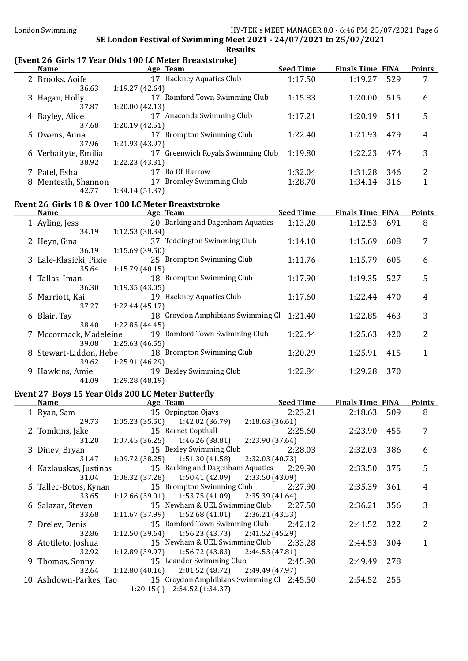# (Event 26 Girls 17 Year Olds 100 LC Meter Breaststroke)

| <b>Name</b>          | Age Team                                           | <b>Seed Time</b> | <b>Finals Time FINA</b> |     | <b>Points</b> |
|----------------------|----------------------------------------------------|------------------|-------------------------|-----|---------------|
| 2 Brooks, Aoife      | 17 Hackney Aquatics Club                           | 1:17.50          | 1:19.27                 | 529 | 7             |
| 36.63                | 1:19.27(42.64)                                     |                  |                         |     |               |
| 3 Hagan, Holly       | 17 Romford Town Swimming Club                      | 1:15.83          | 1:20.00                 | 515 | 6             |
| 37.87                | 1:20.00(42.13)                                     |                  |                         |     |               |
| 4 Bayley, Alice      | 17 Anaconda Swimming Club                          | 1:17.21          | 1:20.19                 | 511 | 5             |
| 37.68                | 1:20.19(42.51)                                     |                  |                         |     |               |
| 5 Owens, Anna        | 17 Brompton Swimming Club                          | 1:22.40          | 1:21.93                 | 479 | 4             |
| 37.96                | 1:21.93 (43.97)                                    |                  |                         |     |               |
| 6 Verbaityte, Emilia | 17 Greenwich Royals Swimming Club                  | 1:19.80          | 1:22.23                 | 474 | 3             |
| 38.92                | 1:22.23(43.31)                                     |                  |                         |     |               |
| 7 Patel, Esha        | 17 Bo Of Harrow                                    | 1:32.04          | 1:31.28                 | 346 | 2             |
| 8 Menteath, Shannon  | 17 Bromley Swimming Club                           | 1:28.70          | 1:34.14                 | 316 | 1             |
| 42.77                | 1:34.14(51.37)                                     |                  |                         |     |               |
|                      | Event 26 Girls 18 & Over 100 LC Meter Breaststroke |                  |                         |     |               |
| <b>Name</b>          | Age Team                                           | <b>Seed Time</b> | <b>Finals Time FINA</b> |     | <b>Points</b> |
| 1 Ayling, Jess       | 20 Barking and Dagenham Aquatics                   | 1:13.20          | 1:12.53                 | 691 | 8             |
| 34.19                | 1:12.53(38.34)                                     |                  |                         |     |               |
| 2 Heyn, Gina         | 37 Teddington Swimming Club                        | 1:14.10          | 1:15.69                 | 608 | 7             |
| 36.19                | 1:15.69(39.50)                                     |                  |                         |     |               |
|                      |                                                    |                  |                         |     |               |

| 2 Heyn, Gina           |                 | 37 Teddington Swimming Club       | 1:14.10 | 1:15.69 | 608 |   |
|------------------------|-----------------|-----------------------------------|---------|---------|-----|---|
| 36.19                  | 1:15.69(39.50)  |                                   |         |         |     |   |
| 3 Lale-Klasicki, Pixie |                 | 25 Brompton Swimming Club         | 1:11.76 | 1:15.79 | 605 | 6 |
| 35.64                  | 1:15.79(40.15)  |                                   |         |         |     |   |
| 4 Tallas, Iman         |                 | 18 Brompton Swimming Club         | 1:17.90 | 1:19.35 | 527 | 5 |
| 36.30                  | 1:19.35(43.05)  |                                   |         |         |     |   |
| 5 Marriott, Kai        |                 | 19 Hackney Aquatics Club          | 1:17.60 | 1:22.44 | 470 | 4 |
| 37.27                  | 1:22.44(45.17)  |                                   |         |         |     |   |
| 6 Blair, Tay           |                 | 18 Croydon Amphibians Swimming Cl | 1:21.40 | 1:22.85 | 463 | 3 |
| 38.40                  | 1:22.85(44.45)  |                                   |         |         |     |   |
| 7 Mccormack, Madeleine |                 | 19 Romford Town Swimming Club     | 1:22.44 | 1:25.63 | 420 | 2 |
| 39.08                  | 1:25.63(46.55)  |                                   |         |         |     |   |
| 8 Stewart-Liddon, Hebe |                 | 18 Brompton Swimming Club         | 1:20.29 | 1:25.91 | 415 |   |
| 39.62                  | 1:25.91 (46.29) |                                   |         |         |     |   |
| 9 Hawkins, Amie        |                 | 19 Bexley Swimming Club           | 1:22.84 | 1:29.28 | 370 |   |
| 41.09                  | 1:29.28(48.19)  |                                   |         |         |     |   |
|                        |                 |                                   |         |         |     |   |

# Event 27 Boys 15 Year Olds 200 LC Meter Butterfly

| <b>Name</b>           | Age Team                                                         |                | <b>Seed Time</b> | <b>Finals Time FINA</b> |       | <b>Points</b> |
|-----------------------|------------------------------------------------------------------|----------------|------------------|-------------------------|-------|---------------|
| 1 Ryan, Sam           | 15 Orpington Ojays                                               | 2:23.21        |                  | 2:18.63 509             |       | 8             |
| 29.73                 | $1:05.23(35.50)$ $1:42.02(36.79)$                                | 2:18.63(36.61) |                  |                         |       |               |
| 2 Tomkins, Jake       | 15 Barnet Copthall                                               |                | 2:25.60          | 2:23.90                 | 455   | 7             |
| 31.20                 | $1:07.45(36.25)$ $1:46.26(38.81)$ $2:23.90(37.64)$               |                |                  |                         |       |               |
| 3 Diney, Bryan        | 15 Bexley Swimming Club                                          |                | 2:28.03          | 2:32.03                 | 386   | 6             |
| 31.47                 | $1:09.72(38.25)$ $1:51.30(41.58)$ $2:32.03(40.73)$               |                |                  |                         |       |               |
|                       | 4 Kazlauskas, Justinas 15 Barking and Dagenham Aquatics 2:29.90  |                |                  | 2:33.50                 | 375   | 5             |
| 31.04                 | $1:08.32(37.28)$ $1:50.41(42.09)$ $2:33.50(43.09)$               |                |                  |                         |       |               |
| 5 Tallec-Botos, Kynan | 15 Brompton Swimming Club                                        |                | 2:27.90          | 2:35.39                 | 361   | 4             |
| 33.65                 | $1:12.66(39.01)$ $1:53.75(41.09)$ $2:35.39(41.64)$               |                |                  |                         |       |               |
| 6 Salazar, Steven     | 15 Newham & UEL Swimming Club 2:27.50                            |                |                  | 2:36.21                 | 356   | 3             |
| 33.68                 | $1:11.67(37.99)$ $1:52.68(41.01)$ $2:36.21(43.53)$               |                |                  |                         |       |               |
| 7 Drelev, Denis       | 15 Romford Town Swimming Club 2:42.12                            |                |                  | 2:41.52                 | 322   | 2             |
| 32.86                 | $1:12.50(39.64)$ $1:56.23(43.73)$ $2:41.52(45.29)$               |                |                  |                         |       |               |
| 8 Atotileto, Joshua   | 15 Newham & UEL Swimming Club 2:33.28                            |                |                  | 2:44.53                 | 304   |               |
| 32.92                 | $1:12.89(39.97)$ $1:56.72(43.83)$ $2:44.53(47.81)$               |                |                  |                         |       |               |
| 9 Thomas, Sonny       | 15 Leander Swimming Club 2:45.90                                 |                |                  | 2:49.49                 | 278   |               |
| 32.64                 | $1:12.80(40.16)$ $2:01.52(48.72)$ $2:49.49(47.97)$               |                |                  |                         |       |               |
|                       | 10 Ashdown-Parkes, Tao 15 Croydon Amphibians Swimming Cl 2:45.50 |                |                  | 2:54.52                 | - 255 |               |
|                       | $1:20.15$ () $2:54.52$ (1:34.37)                                 |                |                  |                         |       |               |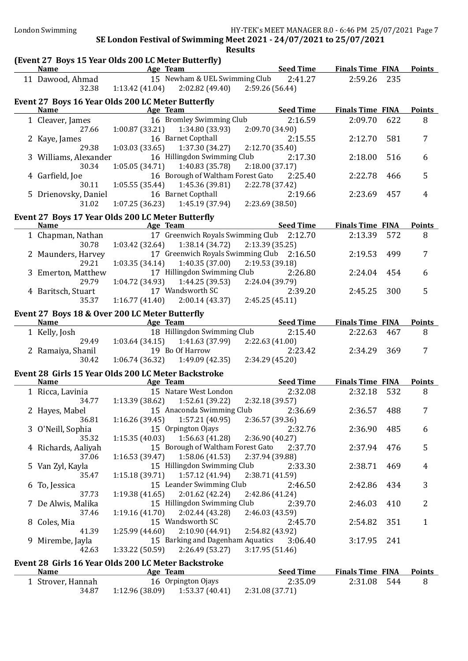| London Swimming |  |  |  |
|-----------------|--|--|--|
|-----------------|--|--|--|

| (Event 27 Boys 15 Year Olds 200 LC Meter Butterfly)           |                              |                                             |                                           |                         |     |                |
|---------------------------------------------------------------|------------------------------|---------------------------------------------|-------------------------------------------|-------------------------|-----|----------------|
| <b>Name</b>                                                   | <b>Age Team</b>              |                                             | <b>Seed Time</b>                          | <b>Finals Time FINA</b> |     | <b>Points</b>  |
| 11 Dawood, Ahmad                                              |                              | 15 Newham & UEL Swimming Club               | 2:41.27                                   | 2:59.26                 | 235 |                |
| 32.38                                                         |                              | $1:13.42(41.04)$ $2:02.82(49.40)$           | 2:59.26 (56.44)                           |                         |     |                |
| Event 27 Boys 16 Year Olds 200 LC Meter Butterfly             |                              |                                             |                                           |                         |     |                |
| <b>Name</b>                                                   |                              | Age Team                                    | <b>Seed Time</b>                          | <b>Finals Time FINA</b> |     | <b>Points</b>  |
| 1 Cleaver, James                                              |                              | 16 Bromley Swimming Club                    | 2:16.59                                   | 2:09.70                 | 622 | 8              |
| 27.66                                                         | 1:00.87(33.21)               | 1:34.80 (33.93)                             | 2:09.70 (34.90)                           |                         |     |                |
| 2 Kaye, James                                                 |                              | 16 Barnet Copthall                          | 2:15.55                                   | 2:12.70                 | 581 | $\overline{7}$ |
| 29.38                                                         | 1:03.03(33.65)               | 1:37.30 (34.27)                             | 2:12.70 (35.40)                           |                         |     |                |
| 3 Williams, Alexander                                         |                              | 16 Hillingdon Swimming Club                 | 2:17.30                                   | 2:18.00                 | 516 | 6              |
| 30.34                                                         |                              | $1:05.05(34.71)$ $1:40.83(35.78)$           | 2:18.00 (37.17)                           |                         |     |                |
| 4 Garfield, Joe                                               |                              | 16 Borough of Waltham Forest Gato           | 2:25.40                                   | 2:22.78                 | 466 | 5              |
| 30.11                                                         |                              | $1:05.55(35.44)$ $1:45.36(39.81)$           | 2:22.78 (37.42)                           |                         |     |                |
| 5 Drienovsky, Daniel                                          |                              | 16 Barnet Copthall                          | 2:19.66                                   | 2:23.69                 | 457 | $\overline{4}$ |
| 31.02                                                         |                              | $1:07.25(36.23)$ $1:45.19(37.94)$           | 2:23.69 (38.50)                           |                         |     |                |
| Event 27 Boys 17 Year Olds 200 LC Meter Butterfly             |                              |                                             |                                           |                         |     |                |
| <b>Name</b>                                                   |                              | Age Team                                    | <b>Seed Time</b>                          | <b>Finals Time FINA</b> |     | <b>Points</b>  |
| 1 Chapman, Nathan                                             |                              |                                             | 17 Greenwich Royals Swimming Club 2:12.70 | 2:13.39                 | 572 | 8              |
| 30.78                                                         | 1:03.42 (32.64)              | 1:38.14 (34.72)                             | 2:13.39(35.25)                            |                         |     |                |
| 2 Maunders, Harvey                                            |                              |                                             | 17 Greenwich Royals Swimming Club 2:16.50 | 2:19.53                 | 499 | 7              |
| 29.21                                                         | 1:03.35(34.14)               | 1:40.35(37.00)                              | 2:19.53 (39.18)                           |                         |     |                |
| 3 Emerton, Matthew                                            |                              | 17 Hillingdon Swimming Club                 | 2:26.80                                   | 2:24.04                 | 454 | 6              |
| 29.79                                                         |                              | $1:04.72(34.93)$ $1:44.25(39.53)$           | 2:24.04 (39.79)                           |                         |     |                |
| 4 Baritsch, Stuart                                            |                              | 17 Wandsworth SC                            | 2:39.20                                   | 2:45.25                 | 300 | 5              |
| 35.37                                                         | 1:16.77(41.40)               | 2:00.14(43.37)                              | 2:45.25(45.11)                            |                         |     |                |
|                                                               |                              |                                             |                                           |                         |     |                |
| Event 27 Boys 18 & Over 200 LC Meter Butterfly<br><b>Name</b> |                              |                                             | <b>Seed Time</b>                          | <b>Finals Time FINA</b> |     | <b>Points</b>  |
|                                                               |                              | Age Team<br>18 Hillingdon Swimming Club     |                                           |                         |     |                |
| 1 Kelly, Josh<br>29.49                                        | 1:03.64(34.15)               | 1:41.63 (37.99)                             | 2:15.40<br>2:22.63(41.00)                 | 2:22.63                 | 467 | 8              |
| 2 Ramaiya, Shanil                                             |                              | 19 Bo Of Harrow                             | 2:23.42                                   | 2:34.29                 | 369 | $\overline{7}$ |
| 30.42                                                         | 1:06.74(36.32)               | 1:49.09 (42.35)                             | 2:34.29(45.20)                            |                         |     |                |
|                                                               |                              |                                             |                                           |                         |     |                |
| Event 28 Girls 15 Year Olds 200 LC Meter Backstroke           |                              |                                             |                                           |                         |     |                |
| <b>Name</b>                                                   | <b>Example 2016</b> Age Team |                                             | <b>Seed Time</b>                          | <b>Finals Time FINA</b> |     | <b>Points</b>  |
| 1 Ricca, Lavinia                                              |                              | 15 Natare West London                       | 2:32.08                                   | 2:32.18                 | 532 | 8              |
| 34.77                                                         |                              | $1:13.39(38.62)$ $1:52.61(39.22)$           | 2:32.18 (39.57)                           |                         |     |                |
| 2 Hayes, Mabel                                                |                              | 15 Anaconda Swimming Club                   | 2:36.69                                   | 2:36.57                 | 488 | 7              |
| 36.81                                                         | 1:16.26(39.45)               | 1:57.21(40.95)                              | 2:36.57 (39.36)                           |                         |     |                |
| 3 O'Neill, Sophia                                             |                              | 15 Orpington Ojays                          | 2:32.76                                   | 2:36.90                 | 485 | 6              |
| 35.32                                                         | 1:15.35(40.03)               | 1:56.63(41.28)                              | 2:36.90 (40.27)                           |                         |     |                |
| 4 Richards, Aaliyah                                           |                              | 15 Borough of Waltham Forest Gato           | 2:37.70                                   | 2:37.94                 | 476 | 5              |
| 37.06                                                         | 1:16.53(39.47)               | 1:58.06(41.53)                              | 2:37.94 (39.88)                           |                         |     |                |
| 5 Van Zyl, Kayla                                              |                              | 15 Hillingdon Swimming Club                 | 2:33.30                                   | 2:38.71                 | 469 | 4              |
| 35.47                                                         | 1:15.18 (39.71)              | 1:57.12 (41.94)<br>15 Leander Swimming Club | 2:38.71 (41.59)                           |                         |     |                |
| 6 To, Jessica<br>37.73                                        | 1:19.38(41.65)               | 2:01.62 (42.24)                             | 2:46.50                                   | 2:42.86                 | 434 | 3              |
| 7 De Alwis, Malika                                            |                              | 15 Hillingdon Swimming Club                 | 2:42.86 (41.24)<br>2:39.70                | 2:46.03                 | 410 | $\overline{2}$ |
| 37.46                                                         | 1:19.16(41.70)               | 2:02.44 (43.28)                             | 2:46.03 (43.59)                           |                         |     |                |
|                                                               |                              | 15 Wandsworth SC                            | 2:45.70                                   |                         | 351 | $\mathbf{1}$   |
| 8 Coles, Mia<br>41.39                                         | 1:25.99(44.60)               | 2:10.90 (44.91)                             | 2:54.82 (43.92)                           | 2:54.82                 |     |                |
| 9 Mirembe, Jayla                                              |                              | 15 Barking and Dagenham Aquatics            | 3:06.40                                   | 3:17.95                 | 241 |                |
| 42.63                                                         | 1:33.22 (50.59)              | 2:26.49(53.27)                              | 3:17.95(51.46)                            |                         |     |                |
|                                                               |                              |                                             |                                           |                         |     |                |
| Event 28 Girls 16 Year Olds 200 LC Meter Backstroke           |                              |                                             |                                           |                         |     |                |
| <u>Name</u>                                                   |                              | Age Team                                    | <b>Seed Time</b>                          | <b>Finals Time FINA</b> |     | <b>Points</b>  |
| 1 Strover, Hannah                                             |                              | 16 Orpington Ojays                          | 2:35.09                                   | 2:31.08                 | 544 | 8              |

34.87 1:12.96 (38.09) 1:53.37 (40.41) 2:31.08 (37.71)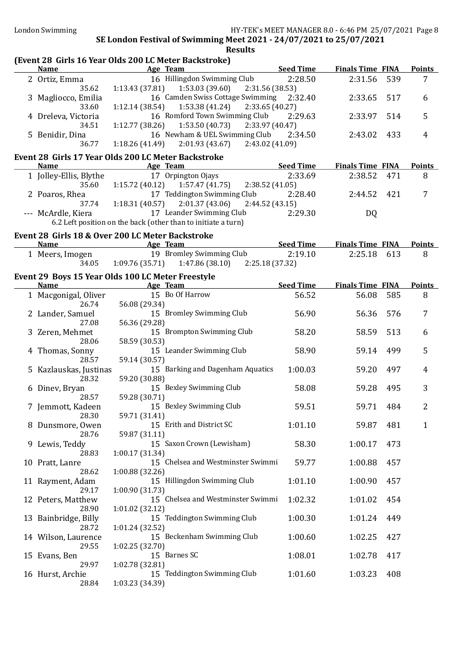## (Event 28 Girls 16 Year Olds 200 LC Meter Backstroke)

| <b>Name</b>            | Age Team                                            | <b>Seed Time</b> | <b>Finals Time FINA</b> |     | <b>Points</b> |
|------------------------|-----------------------------------------------------|------------------|-------------------------|-----|---------------|
| 2 Ortiz, Emma          | 16 Hillingdon Swimming Club                         | 2:28.50          | 2:31.56                 | 539 | 7             |
| 35.62                  | 1:53.03 (39.60)<br>1:13.43(37.81)                   | 2:31.56 (38.53)  |                         |     |               |
| 3 Magliocco, Emilia    | 16 Camden Swiss Cottage Swimming                    | 2:32.40          | 2:33.65                 | 517 | 6             |
| 33.60                  | 1:53.38 (41.24)<br>1:12.14(38.54)                   | 2:33.65(40.27)   |                         |     |               |
| 4 Dreleva, Victoria    | 16 Romford Town Swimming Club                       | 2:29.63          | 2:33.97                 | 514 | 5             |
| 34.51                  | 1:53.50(40.73)<br>1:12.77(38.26)                    | 2:33.97(40.47)   |                         |     |               |
| 5 Benidir, Dina        | 16 Newham & UEL Swimming Club                       | 2:34.50          | 2:43.02                 | 433 | 4             |
| 36.77                  | 2:01.93(43.67)<br>1:18.26(41.49)                    | 2:43.02 (41.09)  |                         |     |               |
|                        | Event 28 Girls 17 Year Olds 200 LC Meter Backstroke |                  |                         |     |               |
| Name                   | Age Team                                            | <b>Seed Time</b> | <b>Finals Time FINA</b> |     | <b>Points</b> |
| 1 Jolley-Ellis, Blythe | Orpington Ojays                                     | 2:33.69          | 2:38.52                 | 471 | 8             |

| 35.60                                                         | $1:15.72$ (40.12) $1:57.47$ (41.75) $2:38.52$ (41.05) |         |             |  |  |  |
|---------------------------------------------------------------|-------------------------------------------------------|---------|-------------|--|--|--|
| 2 Poaros, Rhea                                                | 17 Teddington Swimming Club                           | 2:28.40 | 2:44.52 421 |  |  |  |
| 37.74                                                         | $1:18.31(40.57)$ $2:01.37(43.06)$ $2:44.52(43.15)$    |         |             |  |  |  |
| --- McArdle, Kiera                                            | 17 Leander Swimming Club                              | 2:29.30 | DO.         |  |  |  |
| 6.2 Left position on the back (other than to initiate a turn) |                                                       |         |             |  |  |  |

#### Event 28 Girls 18 & Over 200 LC Meter Backstroke

| Name            | Age Team                                           | <b>Seed Time</b> | <b>Finals Time FINA Points</b> |  |
|-----------------|----------------------------------------------------|------------------|--------------------------------|--|
| 1 Meers, Imogen | 19 Bromley Swimming Club                           | 2:19.10          | 2:25.18 613                    |  |
| 34.05           | $1:09.76(35.71)$ $1:47.86(38.10)$ $2:25.18(37.32)$ |                  |                                |  |

## Event 29 Boys 15 Year Olds 100 LC Meter Freestyle

| <b>Name</b>                     | Age Team                                  | <b>Seed Time</b> | <b>Finals Time FINA</b> |     | <b>Points</b> |
|---------------------------------|-------------------------------------------|------------------|-------------------------|-----|---------------|
| 1 Macgonigal, Oliver            | 15 Bo Of Harrow                           | 56.52            | 56.08                   | 585 | 8             |
| 26.74                           | 56.08 (29.34)                             |                  |                         |     |               |
| 2 Lander, Samuel                | 15 Bromley Swimming Club                  | 56.90            | 56.36                   | 576 | 7             |
| 27.08                           | 56.36 (29.28)                             |                  |                         |     |               |
| 3 Zeren, Mehmet                 | 15 Brompton Swimming Club                 | 58.20            | 58.59                   | 513 | 6             |
| 28.06                           | 58.59 (30.53)<br>15 Leander Swimming Club |                  |                         | 499 | 5             |
| 4 Thomas, Sonny<br>28.57        | 59.14 (30.57)                             | 58.90            | 59.14                   |     |               |
|                                 | 15 Barking and Dagenham Aquatics          | 1:00.03          | 59.20                   | 497 | 4             |
| 5 Kazlauskas, Justinas<br>28.32 | 59.20 (30.88)                             |                  |                         |     |               |
| 6 Dinev, Bryan                  | 15 Bexley Swimming Club                   | 58.08            | 59.28                   | 495 | 3             |
| 28.57                           | 59.28 (30.71)                             |                  |                         |     |               |
| 7 Jemmott, Kadeen               | 15 Bexley Swimming Club                   | 59.51            | 59.71                   | 484 | 2             |
| 28.30                           | 59.71 (31.41)                             |                  |                         |     |               |
| 8 Dunsmore, Owen                | 15 Erith and District SC                  | 1:01.10          | 59.87                   | 481 | $\mathbf{1}$  |
| 28.76                           | 59.87 (31.11)                             |                  |                         |     |               |
| 9 Lewis, Teddy                  | 15 Saxon Crown (Lewisham)                 | 58.30            | 1:00.17                 | 473 |               |
| 28.83                           | 1:00.17 (31.34)                           |                  |                         |     |               |
| 10 Pratt, Lanre                 | 15 Chelsea and Westminster Swimmi         | 59.77            | 1:00.88                 | 457 |               |
| 28.62                           | 1:00.88(32.26)                            |                  |                         |     |               |
| 11 Rayment, Adam                | 15 Hillingdon Swimming Club               | 1:01.10          | 1:00.90                 | 457 |               |
| 29.17                           | 1:00.90 (31.73)                           |                  |                         |     |               |
| 12 Peters, Matthew              | 15 Chelsea and Westminster Swimmi         | 1:02.32          | 1:01.02                 | 454 |               |
| 28.90                           | 1:01.02(32.12)                            |                  |                         |     |               |
| 13 Bainbridge, Billy            | 15 Teddington Swimming Club               | 1:00.30          | 1:01.24                 | 449 |               |
| 28.72                           | 1:01.24(32.52)                            |                  |                         |     |               |
| 14 Wilson, Laurence             | 15 Beckenham Swimming Club                | 1:00.60          | 1:02.25                 | 427 |               |
| 29.55                           | 1:02.25(32.70)                            |                  |                         |     |               |
| 15 Evans, Ben                   | 15 Barnes SC                              | 1:08.01          | 1:02.78                 | 417 |               |
| 29.97                           | 1:02.78 (32.81)                           |                  |                         |     |               |
| 16 Hurst, Archie                | 15 Teddington Swimming Club               | 1:01.60          | 1:03.23                 | 408 |               |
| 28.84                           | 1:03.23 (34.39)                           |                  |                         |     |               |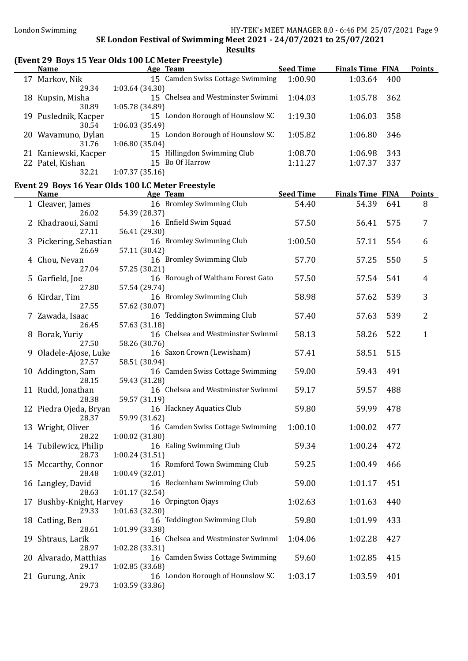# (Event 29 Boys 15 Year Olds 100 LC Meter Freestyle)

| <b>Name</b> | Age Team                                                                                                         | <b>Seed Time</b> |                                                                                                                                               |     | <b>Points</b>           |
|-------------|------------------------------------------------------------------------------------------------------------------|------------------|-----------------------------------------------------------------------------------------------------------------------------------------------|-----|-------------------------|
| Markov, Nik |                                                                                                                  | 1:00.90          | 1:03.64                                                                                                                                       | 400 |                         |
| 29.34       | 1:03.64(34.30)                                                                                                   |                  |                                                                                                                                               |     |                         |
|             |                                                                                                                  | 1:04.03          | 1:05.78                                                                                                                                       | 362 |                         |
| 30.89       | 1:05.78 (34.89)                                                                                                  |                  |                                                                                                                                               |     |                         |
|             |                                                                                                                  | 1:19.30          | 1:06.03                                                                                                                                       | 358 |                         |
| 30.54       | 1:06.03(35.49)                                                                                                   |                  |                                                                                                                                               |     |                         |
|             |                                                                                                                  | 1:05.82          | 1:06.80                                                                                                                                       | 346 |                         |
| 31.76       | 1:06.80(35.04)                                                                                                   |                  |                                                                                                                                               |     |                         |
|             | 15 Hillingdon Swimming Club                                                                                      | 1:08.70          | 1:06.98                                                                                                                                       | 343 |                         |
|             | 15 Bo Of Harrow                                                                                                  | 1:11.27          | 1:07.37                                                                                                                                       | 337 |                         |
| 32.21       | 1:07.37(35.16)                                                                                                   |                  |                                                                                                                                               |     |                         |
|             | 17<br>18 Kupsin, Misha<br>19 Puslednik, Kacper<br>20 Wavamuno, Dylan<br>21 Kaniewski, Kacper<br>22 Patel, Kishan |                  | 15 Camden Swiss Cottage Swimming<br>15 Chelsea and Westminster Swimmi<br>15 London Borough of Hounslow SC<br>15 London Borough of Hounslow SC |     | <b>Finals Time FINA</b> |

## Event 29 Boys 16 Year Olds 100 LC Meter Freestyle

| <b>Name</b>                    | Age Team                                        | <b>Seed Time</b> | <b>Finals Time FINA</b> |     | <b>Points</b>  |
|--------------------------------|-------------------------------------------------|------------------|-------------------------|-----|----------------|
| 1 Cleaver, James               | 16 Bromley Swimming Club                        | 54.40            | 54.39                   | 641 | 8              |
| 26.02                          | 54.39 (28.37)                                   |                  |                         |     |                |
| 2 Khadraoui, Sami              | 16 Enfield Swim Squad                           | 57.50            | 56.41                   | 575 | 7              |
| 27.11                          | 56.41 (29.30)                                   |                  |                         |     |                |
| 3 Pickering, Sebastian         | 16 Bromley Swimming Club                        | 1:00.50          | 57.11                   | 554 | 6              |
| 26.69                          | 57.11 (30.42)                                   |                  |                         |     |                |
| 4 Chou, Nevan                  | 16 Bromley Swimming Club                        | 57.70            | 57.25                   | 550 | 5              |
| 27.04                          | 57.25 (30.21)                                   |                  |                         |     |                |
| 5 Garfield, Joe                | 16 Borough of Waltham Forest Gato               | 57.50            | 57.54                   | 541 | $\overline{4}$ |
| 27.80                          | 57.54 (29.74)<br>16 Bromley Swimming Club       |                  |                         |     |                |
| 6 Kirdar, Tim<br>27.55         | 57.62 (30.07)                                   | 58.98            | 57.62                   | 539 | 3              |
| 7 Zawada, Isaac                | 16 Teddington Swimming Club                     | 57.40            | 57.63                   | 539 | $\overline{2}$ |
| 26.45                          | 57.63 (31.18)                                   |                  |                         |     |                |
| 8 Borak, Yuriy                 | 16 Chelsea and Westminster Swimmi               | 58.13            | 58.26                   | 522 | $\mathbf{1}$   |
| 27.50                          | 58.26 (30.76)                                   |                  |                         |     |                |
| 9 Oladele-Ajose, Luke          | 16 Saxon Crown (Lewisham)                       | 57.41            | 58.51                   | 515 |                |
| 27.57                          | 58.51 (30.94)                                   |                  |                         |     |                |
| 10 Addington, Sam              | 16 Camden Swiss Cottage Swimming                | 59.00            | 59.43                   | 491 |                |
| 28.15                          | 59.43 (31.28)                                   |                  |                         |     |                |
| 11 Rudd, Jonathan              | 16 Chelsea and Westminster Swimmi               | 59.17            | 59.57                   | 488 |                |
| 28.38                          | 59.57 (31.19)                                   |                  |                         |     |                |
| 12 Piedra Ojeda, Bryan         | 16 Hackney Aquatics Club                        | 59.80            | 59.99                   | 478 |                |
| 28.37                          | 59.99 (31.62)                                   |                  |                         |     |                |
| 13 Wright, Oliver              | 16 Camden Swiss Cottage Swimming                | 1:00.10          | 1:00.02                 | 477 |                |
| 28.22                          | 1:00.02(31.80)                                  |                  |                         |     |                |
| 14 Tubilewicz, Philip<br>28.73 | 16 Ealing Swimming Club                         | 59.34            | 1:00.24                 | 472 |                |
| 15 Mccarthy, Connor            | 1:00.24(31.51)<br>16 Romford Town Swimming Club | 59.25            | 1:00.49                 | 466 |                |
| 28.48                          | 1:00.49 (32.01)                                 |                  |                         |     |                |
| 16 Langley, David              | 16 Beckenham Swimming Club                      | 59.00            | 1:01.17                 | 451 |                |
| 28.63                          | 1:01.17(32.54)                                  |                  |                         |     |                |
| 17 Bushby-Knight, Harvey       | 16 Orpington Ojays                              | 1:02.63          | 1:01.63                 | 440 |                |
| 29.33                          | 1:01.63 (32.30)                                 |                  |                         |     |                |
| 18 Catling, Ben                | 16 Teddington Swimming Club                     | 59.80            | 1:01.99                 | 433 |                |
| 28.61                          | 1:01.99 (33.38)                                 |                  |                         |     |                |
| 19 Shtraus, Larik              | 16 Chelsea and Westminster Swimmi               | 1:04.06          | 1:02.28                 | 427 |                |
| 28.97                          | 1:02.28 (33.31)                                 |                  |                         |     |                |
| 20 Alvarado, Matthias          | 16 Camden Swiss Cottage Swimming                | 59.60            | 1:02.85                 | 415 |                |
| 29.17                          | 1:02.85 (33.68)                                 |                  |                         |     |                |
| 21 Gurung, Anix                | 16 London Borough of Hounslow SC                | 1:03.17          | 1:03.59                 | 401 |                |
| 29.73                          | 1:03.59 (33.86)                                 |                  |                         |     |                |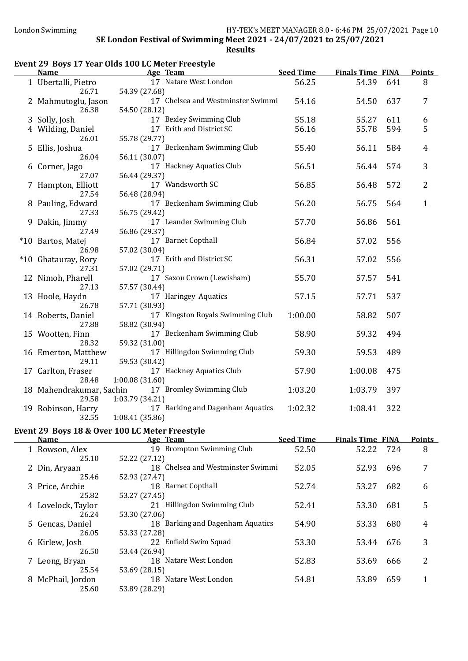# Event 29 Boys 17 Year Olds 100 LC Meter Freestyle

| Name                              | Age Team                                            | <b>Seed Time</b> | <b>Finals Time FINA</b> |     | <b>Points</b>  |
|-----------------------------------|-----------------------------------------------------|------------------|-------------------------|-----|----------------|
| 1 Ubertalli, Pietro               | 17 Natare West London                               | 56.25            | 54.39                   | 641 | 8              |
| 26.71                             | 54.39 (27.68)                                       |                  |                         |     |                |
| 2 Mahmutoglu, Jason               | 17 Chelsea and Westminster Swimmi                   | 54.16            | 54.50                   | 637 | 7              |
| 26.38                             | 54.50 (28.12)                                       |                  |                         |     |                |
| 3 Solly, Josh                     | 17 Bexley Swimming Club                             | 55.18            | 55.27                   | 611 | 6              |
| 4 Wilding, Daniel                 | 17 Erith and District SC                            | 56.16            | 55.78                   | 594 | 5              |
| 26.01                             | 55.78 (29.77)                                       |                  |                         |     |                |
| 5 Ellis, Joshua                   | 17 Beckenham Swimming Club                          | 55.40            | 56.11                   | 584 | 4              |
| 26.04                             | 56.11 (30.07)                                       |                  |                         |     |                |
| 6 Corner, Jago                    | 17 Hackney Aquatics Club                            | 56.51            | 56.44                   | 574 | 3              |
| 27.07                             | 56.44 (29.37)                                       |                  |                         |     |                |
| 7 Hampton, Elliott                | 17 Wandsworth SC                                    | 56.85            | 56.48                   | 572 | $\overline{2}$ |
| 27.54                             | 56.48 (28.94)                                       |                  |                         |     |                |
| 8 Pauling, Edward                 | 17 Beckenham Swimming Club                          | 56.20            | 56.75                   | 564 | $\mathbf{1}$   |
| 27.33                             | 56.75 (29.42)                                       |                  |                         |     |                |
| 9 Dakin, Jimmy                    | 17 Leander Swimming Club                            | 57.70            | 56.86                   | 561 |                |
| 27.49                             | 56.86 (29.37)                                       |                  |                         |     |                |
| *10 Bartos, Matej                 | 17 Barnet Copthall                                  | 56.84            | 57.02                   | 556 |                |
| 26.98                             | 57.02 (30.04)                                       |                  |                         |     |                |
| *10 Ghatauray, Rory               | 17 Erith and District SC                            | 56.31            | 57.02                   | 556 |                |
| 27.31                             | 57.02 (29.71)                                       |                  |                         |     |                |
| 12 Nimoh, Pharell                 | 17 Saxon Crown (Lewisham)                           | 55.70            | 57.57                   | 541 |                |
| 27.13                             | 57.57 (30.44)                                       |                  |                         |     |                |
| 13 Hoole, Haydn                   | 17 Haringey Aquatics                                | 57.15            | 57.71                   | 537 |                |
| 26.78                             | 57.71 (30.93)                                       |                  |                         |     |                |
| 14 Roberts, Daniel                | 17 Kingston Royals Swimming Club                    | 1:00.00          | 58.82                   | 507 |                |
| 27.88                             | 58.82 (30.94)                                       |                  |                         |     |                |
| 15 Wootten, Finn                  | 17 Beckenham Swimming Club                          | 58.90            | 59.32                   | 494 |                |
| 28.32                             | 59.32 (31.00)                                       |                  |                         |     |                |
| 16 Emerton, Matthew               | 17 Hillingdon Swimming Club                         | 59.30            | 59.53                   | 489 |                |
| 29.11                             | 59.53 (30.42)                                       |                  |                         |     |                |
| 17 Carlton, Fraser                | 17 Hackney Aquatics Club                            | 57.90            | 1:00.08                 | 475 |                |
| 28.48                             | 1:00.08(31.60)                                      |                  |                         |     |                |
| 18 Mahendrakumar, Sachin<br>29.58 | 17 Bromley Swimming Club                            | 1:03.20          | 1:03.79                 | 397 |                |
|                                   | 1:03.79 (34.21)<br>17 Barking and Dagenham Aquatics | 1:02.32          | 1:08.41                 | 322 |                |
| 19 Robinson, Harry<br>32.55       | 1:08.41(35.86)                                      |                  |                         |     |                |
|                                   |                                                     |                  |                         |     |                |

## Event 29 Boys 18 & Over 100 LC Meter Freestyle

| <b>Name</b>        | Age Team                          | <b>Seed Time</b> | <b>Finals Time FINA</b> |     | <b>Points</b> |
|--------------------|-----------------------------------|------------------|-------------------------|-----|---------------|
| 1 Rowson, Alex     | 19 Brompton Swimming Club         | 52.50            | 52.22 724               |     | 8             |
| 25.10              | 52.22 (27.12)                     |                  |                         |     |               |
| 2 Din, Aryaan      | 18 Chelsea and Westminster Swimmi | 52.05            | 52.93                   | 696 | 7             |
| 25.46              | 52.93 (27.47)                     |                  |                         |     |               |
| 3 Price, Archie    | 18 Barnet Copthall                | 52.74            | 53.27                   | 682 | 6             |
| 25.82              | 53.27 (27.45)                     |                  |                         |     |               |
| 4 Lovelock, Taylor | 21 Hillingdon Swimming Club       | 52.41            | 53.30                   | 681 | 5             |
| 26.24              | 53.30 (27.06)                     |                  |                         |     |               |
| 5 Gencas, Daniel   | 18 Barking and Dagenham Aquatics  | 54.90            | 53.33                   | 680 | 4             |
| 26.05              | 53.33 (27.28)                     |                  |                         |     |               |
| 6 Kirlew, Josh     | 22 Enfield Swim Squad             | 53.30            | 53.44                   | 676 | 3             |
| 26.50              | 53.44 (26.94)                     |                  |                         |     |               |
| 7 Leong, Bryan     | 18 Natare West London             | 52.83            | 53.69                   | 666 | 2             |
| 25.54              | 53.69 (28.15)                     |                  |                         |     |               |
| 8 McPhail, Jordon  | 18 Natare West London             | 54.81            | 53.89                   | 659 | 1             |
| 25.60              | 53.89 (28.29)                     |                  |                         |     |               |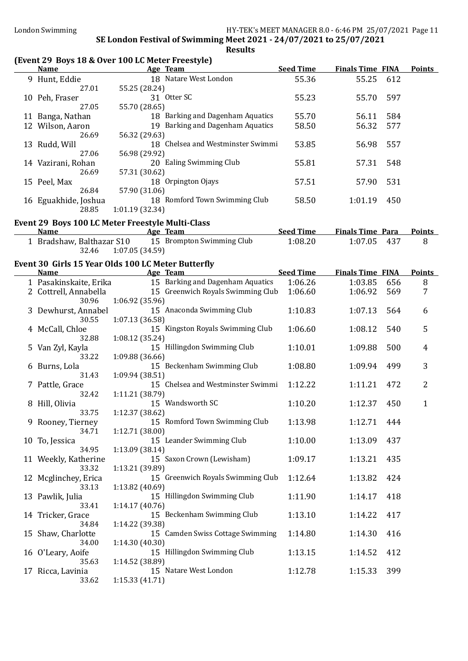# (Event 29 Boys 18 & Over 100 LC Meter Freestyle)

|   | <b>Name</b>                                             |                 | Age Team                          | <b>Seed Time</b> | <b>Finals Time FINA</b> |     | <b>Points</b> |
|---|---------------------------------------------------------|-----------------|-----------------------------------|------------------|-------------------------|-----|---------------|
|   | 9 Hunt, Eddie<br>27.01                                  | 55.25 (28.24)   | 18 Natare West London             | 55.36            | 55.25                   | 612 |               |
|   | 10 Peh, Fraser                                          |                 | 31 Otter SC                       | 55.23            | 55.70                   | 597 |               |
|   | 27.05<br>11 Banga, Nathan                               | 55.70 (28.65)   | 18 Barking and Dagenham Aquatics  | 55.70            | 56.11                   | 584 |               |
|   | 12 Wilson, Aaron                                        |                 | 19 Barking and Dagenham Aquatics  | 58.50            | 56.32                   | 577 |               |
|   | 26.69                                                   | 56.32 (29.63)   |                                   |                  |                         |     |               |
|   | 13 Rudd, Will                                           |                 | 18 Chelsea and Westminster Swimmi | 53.85            | 56.98                   | 557 |               |
|   | 27.06                                                   | 56.98 (29.92)   | 20 Ealing Swimming Club           |                  |                         |     |               |
|   | 14 Vazirani, Rohan<br>26.69                             | 57.31 (30.62)   |                                   | 55.81            | 57.31                   | 548 |               |
|   | 15 Peel, Max                                            |                 | 18 Orpington Ojays                | 57.51            | 57.90                   | 531 |               |
|   | 26.84                                                   | 57.90 (31.06)   |                                   |                  |                         |     |               |
|   | 16 Eguakhide, Joshua                                    |                 | 18 Romford Town Swimming Club     | 58.50            | 1:01.19                 | 450 |               |
|   | 28.85                                                   | 1:01.19 (32.34) |                                   |                  |                         |     |               |
|   | <b>Event 29 Boys 100 LC Meter Freestyle Multi-Class</b> |                 |                                   |                  |                         |     |               |
|   | <b>Name</b>                                             |                 | Age Team                          | <b>Seed Time</b> | <b>Finals Time Para</b> |     | <b>Points</b> |
|   | 1 Bradshaw, Balthazar S10<br>32.46                      | 1:07.05 (34.59) | 15 Brompton Swimming Club         | 1:08.20          | 1:07.05                 | 437 | 8             |
|   | Event 30 Girls 15 Year Olds 100 LC Meter Butterfly      |                 |                                   |                  |                         |     |               |
|   | <b>Name</b>                                             |                 | Age Team                          | <b>Seed Time</b> | <b>Finals Time FINA</b> |     | <b>Points</b> |
|   | 1 Pasakinskaite, Erika                                  |                 | 15 Barking and Dagenham Aquatics  | 1:06.26          | 1:03.85                 | 656 | 8             |
|   | 2 Cottrell, Annabella                                   |                 | 15 Greenwich Royals Swimming Club | 1:06.60          | 1:06.92                 | 569 | 7             |
|   | 30.96                                                   | 1:06.92 (35.96) |                                   |                  |                         |     |               |
|   | 3 Dewhurst, Annabel<br>30.55                            | 1:07.13 (36.58) | 15 Anaconda Swimming Club         | 1:10.83          | 1:07.13                 | 564 | 6             |
|   | 4 McCall, Chloe                                         |                 | 15 Kingston Royals Swimming Club  | 1:06.60          | 1:08.12                 | 540 | 5             |
|   | 32.88                                                   | 1:08.12 (35.24) |                                   |                  |                         |     |               |
|   | 5 Van Zyl, Kayla                                        |                 | 15 Hillingdon Swimming Club       | 1:10.01          | 1:09.88                 | 500 | 4             |
|   | 33.22                                                   | 1:09.88 (36.66) |                                   |                  |                         |     |               |
|   | 6 Burns, Lola<br>31.43                                  | 1:09.94 (38.51) | 15 Beckenham Swimming Club        | 1:08.80          | 1:09.94                 | 499 | 3             |
|   | 7 Pattle, Grace                                         |                 | 15 Chelsea and Westminster Swimmi | 1:12.22          | 1:11.21                 | 472 | 2             |
|   | 32.42                                                   | 1:11.21 (38.79) |                                   |                  |                         |     |               |
| 8 | Hill, Olivia                                            |                 | 15 Wandsworth SC                  | 1:10.20          | 1:12.37                 | 450 | $\mathbf{1}$  |
|   | 33.75<br>9 Rooney, Tierney                              | 1:12.37 (38.62) | 15 Romford Town Swimming Club     | 1:13.98          | 1:12.71                 | 444 |               |
|   | 34.71                                                   | 1:12.71 (38.00) |                                   |                  |                         |     |               |
|   | 10 To, Jessica                                          |                 | 15 Leander Swimming Club          | 1:10.00          | 1:13.09                 | 437 |               |
|   | 34.95                                                   | 1:13.09 (38.14) |                                   |                  |                         |     |               |
|   | 11 Weekly, Katherine<br>33.32                           | 1:13.21 (39.89) | 15 Saxon Crown (Lewisham)         | 1:09.17          | 1:13.21                 | 435 |               |
|   | 12 Mcglinchey, Erica                                    |                 | 15 Greenwich Royals Swimming Club | 1:12.64          | 1:13.82                 | 424 |               |
|   | 33.13                                                   | 1:13.82 (40.69) |                                   |                  |                         |     |               |
|   | 13 Pawlik, Julia                                        |                 | 15 Hillingdon Swimming Club       | 1:11.90          | 1:14.17                 | 418 |               |
|   | 33.41                                                   | 1:14.17(40.76)  |                                   |                  |                         |     |               |
|   | 14 Tricker, Grace<br>34.84                              | 1:14.22 (39.38) | 15 Beckenham Swimming Club        | 1:13.10          | 1:14.22                 | 417 |               |
|   | 15 Shaw, Charlotte                                      |                 | 15 Camden Swiss Cottage Swimming  | 1:14.80          | 1:14.30                 | 416 |               |
|   | 34.00                                                   | 1:14.30(40.30)  |                                   |                  |                         |     |               |
|   | 16 O'Leary, Aoife                                       |                 | 15 Hillingdon Swimming Club       | 1:13.15          | 1:14.52                 | 412 |               |
|   | 35.63                                                   | 1:14.52 (38.89) | 15 Natare West London             |                  |                         |     |               |
|   | 17 Ricca, Lavinia<br>33.62                              | 1:15.33(41.71)  |                                   | 1:12.78          | 1:15.33                 | 399 |               |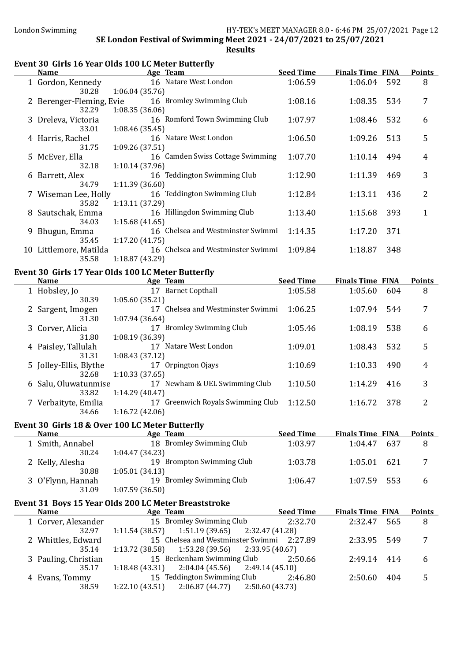# Event 30 Girls 16 Year Olds 100 LC Meter Butterfly

| <b>Name</b>              | Age Team                                           | <b>Seed Time</b> | <b>Finals Time FINA</b> |     | Points         |
|--------------------------|----------------------------------------------------|------------------|-------------------------|-----|----------------|
| 1 Gordon, Kennedy        | 16 Natare West London                              | 1:06.59          | 1:06.04 592             |     | 8              |
| 30.28                    | 1:06.04(35.76)                                     |                  |                         |     |                |
| 2 Berenger-Fleming, Evie | 16 Bromley Swimming Club                           | 1:08.16          | 1:08.35                 | 534 | 7              |
| 32.29                    | 1:08.35(36.06)                                     |                  |                         |     |                |
| 3 Dreleva, Victoria      | 16 Romford Town Swimming Club                      | 1:07.97          | 1:08.46                 | 532 | 6              |
| 33.01                    | 1:08.46(35.45)                                     |                  |                         |     |                |
| 4 Harris, Rachel         | 16 Natare West London                              | 1:06.50          | 1:09.26                 | 513 | 5              |
| 31.75                    | 1:09.26 (37.51)                                    |                  |                         |     |                |
| 5 McEver, Ella           | 16 Camden Swiss Cottage Swimming                   | 1:07.70          | 1:10.14                 | 494 | 4              |
| 32.18                    | 1:10.14(37.96)                                     |                  |                         |     |                |
| 6 Barrett, Alex          | 16 Teddington Swimming Club                        | 1:12.90          | 1:11.39                 | 469 | 3              |
| 34.79                    | 1:11.39(36.60)                                     |                  |                         |     |                |
| 7 Wiseman Lee, Holly     | 16 Teddington Swimming Club                        | 1:12.84          | 1:13.11                 | 436 | $\overline{2}$ |
| 35.82                    | 1:13.11 (37.29)                                    |                  |                         |     |                |
| 8 Sautschak, Emma        | 16 Hillingdon Swimming Club                        | 1:13.40          | 1:15.68                 | 393 | 1              |
| 34.03                    | 1:15.68(41.65)                                     |                  |                         |     |                |
| 9 Bhugun, Emma           | 16 Chelsea and Westminster Swimmi                  | 1:14.35          | 1:17.20                 | 371 |                |
| 35.45                    | 1:17.20(41.75)                                     |                  |                         |     |                |
| 10 Littlemore, Matilda   | 16 Chelsea and Westminster Swimmi                  | 1:09.84          | 1:18.87                 | 348 |                |
| 35.58                    | 1:18.87(43.29)                                     |                  |                         |     |                |
|                          | Event 30 Girls 17 Year Olds 100 LC Meter Butterfly |                  |                         |     |                |
| $N_{\alpha m \alpha}$    | $\Lambda_{\alpha\alpha}$ Toom                      | Cood Time        | Einole Time, EINA       |     | Dointe         |

| <b>Name</b>            | <u>Age Team</u>                   | Seed Time | Finals Time FINA |     | <b>Points</b> |
|------------------------|-----------------------------------|-----------|------------------|-----|---------------|
| 1 Hobsley, Jo          | <b>Barnet Copthall</b><br>17      | 1:05.58   | 1:05.60          | 604 | 8             |
| 30.39                  | 1:05.60(35.21)                    |           |                  |     |               |
| 2 Sargent, Imogen      | 17 Chelsea and Westminster Swimmi | 1:06.25   | 1:07.94          | 544 | 7             |
| 31.30                  | 1:07.94(36.64)                    |           |                  |     |               |
| 3 Corver, Alicia       | 17 Bromley Swimming Club          | 1:05.46   | 1:08.19          | 538 | 6             |
| 31.80                  | 1:08.19 (36.39)                   |           |                  |     |               |
| 4 Paisley, Tallulah    | 17 Natare West London             | 1:09.01   | 1:08.43          | 532 | 5             |
| 31.31                  | 1:08.43(37.12)                    |           |                  |     |               |
| 5 Jolley-Ellis, Blythe | 17 Orpington Ojays                | 1:10.69   | 1:10.33          | 490 | 4             |
| 32.68                  | 1:10.33(37.65)                    |           |                  |     |               |
| 6 Salu, Oluwatunmise   | 17 Newham & UEL Swimming Club     | 1:10.50   | 1:14.29          | 416 | 3             |
| 33.82                  | 1:14.29(40.47)                    |           |                  |     |               |
| 7 Verbaityte, Emilia   | 17 Greenwich Royals Swimming Club | 1:12.50   | 1:16.72          | 378 | 2             |
| 34.66                  | 1:16.72 (42.06)                   |           |                  |     |               |
|                        |                                   |           |                  |     |               |

# Event 30 Girls 18 & Over 100 LC Meter Butterfly

| <b>Name</b>       | Age Team                  | <b>Seed Time</b> | <b>Finals Time FINA</b> | <b>Points</b> |
|-------------------|---------------------------|------------------|-------------------------|---------------|
| 1 Smith, Annabel  | 18 Bromley Swimming Club  | 1:03.97          | 637<br>1:04.47          | 8             |
| 30.24             | 1:04.47(34.23)            |                  |                         |               |
| 2 Kelly, Alesha   | 19 Brompton Swimming Club | 1:03.78          | 621<br>1:05.01          |               |
| 30.88             | 1:05.01(34.13)            |                  |                         |               |
| 3 O'Flynn, Hannah | 19 Bromley Swimming Club  | 1:06.47          | - 553<br>1:07.59        | b             |
| 31.09             | 1:07.59(36.50)            |                  |                         |               |

# Event 31 Boys 15 Year Olds 200 LC Meter Breaststroke

 $\overline{\phantom{a}}$ 

| <b>Name</b>          | Age Team                                              | <b>Seed Time</b> | <b>Finals Time FINA</b> |     | <b>Points</b> |
|----------------------|-------------------------------------------------------|------------------|-------------------------|-----|---------------|
| 1 Corver, Alexander  | 15 Bromley Swimming Club                              | 2:32.70          | 2:32.47                 | 565 | -8            |
| 32.97                | $1:11.54(38.57)$ $1:51.19(39.65)$ $2:32.47(41.28)$    |                  |                         |     |               |
| 2 Whittles, Edward   | 15 Chelsea and Westminster Swimmi 2:27.89             |                  | 2:33.95 549             |     |               |
| 35.14                | $1:13.72$ (38.58) $1:53.28$ (39.56) $2:33.95$ (40.67) |                  |                         |     |               |
| 3 Pauling, Christian | 15 Beckenham Swimming Club                            | 2:50.66          | 2:49.14 414             |     | 6             |
| 35.17                | $1:18.48(43.31)$ $2:04.04(45.56)$ $2:49.14(45.10)$    |                  |                         |     |               |
| 4 Evans, Tommy       | 15 Teddington Swimming Club                           | 2:46.80          | 2:50.60                 | 404 | 5             |
| 38.59                | $1:22.10(43.51)$ $2:06.87(44.77)$ $2:50.60(43.73)$    |                  |                         |     |               |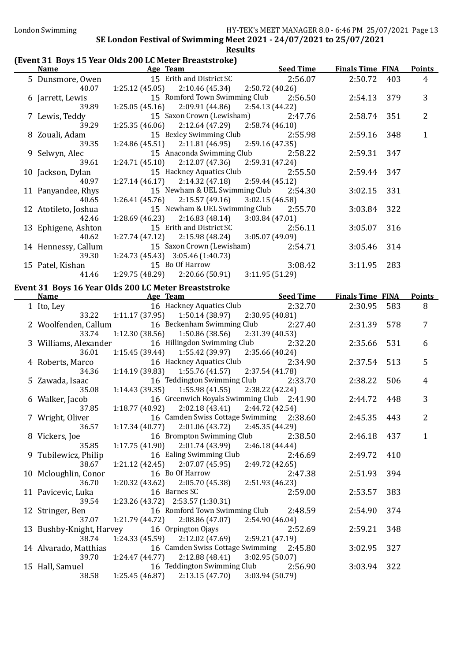# (Event 31 Boys 15 Year Olds 200 LC Meter Breaststroke)

| <b>Name</b>               | Age Team                                                              | <b>Seed Time</b>           | <b>Finals Time FINA</b> |     | <b>Points</b>  |
|---------------------------|-----------------------------------------------------------------------|----------------------------|-------------------------|-----|----------------|
| 5 Dunsmore, Owen          | 15 Erith and District SC                                              | 2:56.07                    | 2:50.72                 | 403 | $\overline{4}$ |
| 40.07                     | 1:25.12(45.05)<br>2:10.46(45.34)                                      | 2:50.72 (40.26)            |                         |     |                |
| 6 Jarrett, Lewis          | 15 Romford Town Swimming Club                                         | 2:56.50                    | 2:54.13                 | 379 | 3              |
| 39.89                     | 2:09.91 (44.86)<br>1:25.05(45.16)                                     | 2:54.13 (44.22)            |                         |     |                |
| 7 Lewis, Teddy            | 15 Saxon Crown (Lewisham)                                             | 2:47.76                    | 2:58.74                 | 351 | $\overline{2}$ |
| 39.29                     | 2:12.64(47.29)<br>1:25.35(46.06)                                      | 2:58.74(46.10)             |                         |     |                |
| 8 Zouali, Adam            | 15 Bexley Swimming Club                                               | 2:55.98                    | 2:59.16                 | 348 | $\mathbf{1}$   |
| 39.35                     | 2:11.81(46.95)<br>1:24.86(45.51)                                      | 2:59.16 (47.35)            |                         |     |                |
| 9 Selwyn, Alec            | 15 Anaconda Swimming Club                                             | 2:58.22                    | 2:59.31                 | 347 |                |
| 39.61                     | 2:12.07 (47.36)<br>1:24.71(45.10)                                     | 2:59.31 (47.24)            |                         |     |                |
| 10 Jackson, Dylan         | 15 Hackney Aquatics Club                                              | 2:55.50                    | 2:59.44                 | 347 |                |
| 40.97                     | 1:27.14(46.17)<br>2:14.32(47.18)                                      | 2:59.44(45.12)             |                         |     |                |
| 11 Panyandee, Rhys        | 15 Newham & UEL Swimming Club                                         | 2:54.30                    | 3:02.15                 | 331 |                |
| 40.65                     | 1:26.41(45.76)<br>2:15.57(49.16)                                      | 3:02.15(46.58)             |                         |     |                |
| 12 Atotileto, Joshua      | 15 Newham & UEL Swimming Club                                         | 2:55.70                    | 3:03.84                 | 322 |                |
| 42.46                     | 2:16.83(48.14)<br>1:28.69(46.23)                                      | 3:03.84(47.01)             |                         |     |                |
| 13 Ephigene, Ashton       | 15 Erith and District SC                                              | 2:56.11                    | 3:05.07                 | 316 |                |
| 40.62                     | $1:27.74(47.12)$ $2:15.98(48.24)$                                     | 3:05.07 (49.09)            |                         |     |                |
| 14 Hennessy, Callum       | 15 Saxon Crown (Lewisham)                                             | 2:54.71                    | 3:05.46                 | 314 |                |
| 39.30                     | 1:24.73 (45.43) 3:05.46 (1:40.73)                                     |                            |                         |     |                |
| 15 Patel, Kishan          | 15 Bo Of Harrow                                                       | 3:08.42                    | 3:11.95                 | 283 |                |
| 41.46                     | $1:29.75(48.29)$ $2:20.66(50.91)$                                     | 3:11.95(51.29)             |                         |     |                |
|                           | Event 31 Boys 16 Year Olds 200 LC Meter Breaststroke                  |                            |                         |     |                |
| <b>Name</b>               | <b>Age Team</b>                                                       | <b>Seed Time</b>           | <b>Finals Time FINA</b> |     | <b>Points</b>  |
| 1 Ito, Ley                | 16 Hackney Aquatics Club                                              | 2:32.70                    | 2:30.95                 | 583 | 8              |
| 33.22                     | 1:11.17(37.95)<br>1:50.14(38.97)                                      | 2:30.95 (40.81)            |                         |     |                |
| 2 Woolfenden, Callum      | 16 Beckenham Swimming Club                                            | 2:27.40                    | 2:31.39                 | 578 | 7              |
| 33.74                     | 1:12.30(38.56)<br>1:50.86 (38.56)                                     | 2:31.39 (40.53)            |                         |     |                |
| 3 Williams, Alexander     | 16 Hillingdon Swimming Club                                           | 2:32.20                    | 2:35.66                 | 531 | 6              |
| 36.01                     | 1:15.45(39.44)<br>1:55.42 (39.97)                                     | 2:35.66 (40.24)            |                         |     |                |
| 4 Roberts, Marco          | 16 Hackney Aquatics Club                                              | 2:34.90                    | 2:37.54                 | 513 | 5              |
| 34.36                     | 1:14.19 (39.83)<br>1:55.76(41.57)                                     | 2:37.54 (41.78)            |                         |     |                |
| 5 Zawada, Isaac           | 16 Teddington Swimming Club                                           | 2:33.70                    | 2:38.22                 | 506 | 4              |
| 35.08                     | 1:55.98(41.55)<br>1:14.43(39.35)                                      | 2:38.22 (42.24)            |                         |     |                |
| 6 Walker, Jacob           | 16 Greenwich Royals Swimming Club 2:41.90                             |                            | 2:44.72                 | 448 | 3              |
| 37.85                     | 1:18.77(40.92)<br>2:02.18 (43.41)                                     | 2:44.72 (42.54)            |                         |     |                |
| 7 Wright, Oliver<br>36.57 | 16 Camden Swiss Cottage Swimming<br>2:01.06 (43.72)<br>1:17.34(40.77) | 2:38.60<br>2:45.35 (44.29) | 2:45.35                 | 443 | 2              |
|                           | 16 Brompton Swimming Club                                             | 2:38.50                    | 2:46.18                 | 437 | $\mathbf{1}$   |
| 8 Vickers, Joe<br>35.85   | 1:17.75(41.90)<br>2:01.74 (43.99)                                     | 2:46.18 (44.44)            |                         |     |                |
| 9 Tubilewicz, Philip      | 16 Ealing Swimming Club                                               | 2:46.69                    | 2:49.72                 | 410 |                |
| 38.67                     | 2:07.07 (45.95)<br>1:21.12(42.45)                                     | 2:49.72 (42.65)            |                         |     |                |
| 10 Mcloughlin, Conor      | 16 Bo Of Harrow                                                       | 2:47.38                    | 2:51.93                 | 394 |                |
| 36.70                     | 1:20.32(43.62)<br>2:05.70 (45.38)                                     | 2:51.93 (46.23)            |                         |     |                |
| 11 Pavicevic, Luka        | 16 Barnes SC                                                          | 2:59.00                    | 2:53.57                 | 383 |                |
| 39.54                     | 1:23.26 (43.72) 2:53.57 (1:30.31)                                     |                            |                         |     |                |
| 12 Stringer, Ben          | 16 Romford Town Swimming Club                                         | 2:48.59                    | 2:54.90                 | 374 |                |
| 37.07                     | 1:21.79 (44.72)<br>2:08.86 (47.07)                                    | 2:54.90 (46.04)            |                         |     |                |
| 13 Bushby-Knight, Harvey  | 16 Orpington Ojays                                                    | 2:52.69                    | 2:59.21                 | 348 |                |
| 38.74                     | 1:24.33 (45.59)<br>2:12.02 (47.69)                                    | 2:59.21 (47.19)            |                         |     |                |
| 14 Alvarado, Matthias     | 16 Camden Swiss Cottage Swimming                                      | 2:45.80                    | 3:02.95                 | 327 |                |
| 39.70                     | 1:24.47(44.77)<br>2:12.88(48.41)                                      | 3:02.95 (50.07)            |                         |     |                |
| 15 Hall, Samuel           | 16 Teddington Swimming Club                                           | 2:56.90                    | 3:03.94                 | 322 |                |
| 38.58                     | 2:13.15(47.70)<br>1:25.45(46.87)                                      | 3:03.94 (50.79)            |                         |     |                |
|                           |                                                                       |                            |                         |     |                |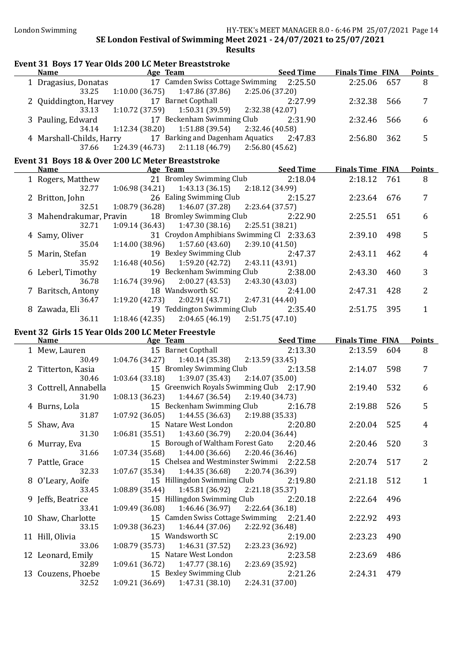| Event 31 Boys 17 Year Olds 200 LC Meter Breaststroke              |                           |                                                                   |                            |                         |     |                |
|-------------------------------------------------------------------|---------------------------|-------------------------------------------------------------------|----------------------------|-------------------------|-----|----------------|
| <b>Name</b>                                                       |                           | Age Team                                                          | <b>Seed Time</b>           | <b>Finals Time FINA</b> |     | <b>Points</b>  |
| 1 Dragasius, Donatas                                              |                           | 17 Camden Swiss Cottage Swimming 2:25.50                          |                            | 2:25.06                 | 657 | 8              |
| 33.25                                                             |                           | $1:10.00(36.75)$ $1:47.86(37.86)$                                 | 2:25.06 (37.20)            |                         |     |                |
| 2 Quiddington, Harvey 17 Barnet Copthall                          |                           |                                                                   | 2:27.99                    | 2:32.38                 | 566 | 7              |
| 33.13                                                             |                           | $1:10.72(37.59)$ $1:50.31(39.59)$                                 | 2:32.38 (42.07)            |                         |     |                |
| 3 Pauling, Edward                                                 |                           | 17 Beckenham Swimming Club                                        | 2:31.90                    | 2:32.46                 | 566 | 6              |
| 34.14                                                             | 1:12.34(38.20)            | 1:51.88 (39.54)                                                   | 2:32.46 (40.58)            |                         |     |                |
|                                                                   |                           | 4 Marshall-Childs, Harry 17 Barking and Dagenham Aquatics 2:47.83 |                            | 2:56.80                 | 362 | 5              |
| 37.66                                                             |                           | $1:24.39(46.73)$ $2:11.18(46.79)$                                 | 2:56.80(45.62)             |                         |     |                |
| Event 31 Boys 18 & Over 200 LC Meter Breaststroke                 |                           |                                                                   |                            |                         |     |                |
| <b>Name</b>                                                       | <b>Example 2</b> Age Team |                                                                   | <b>Seed Time</b>           | <b>Finals Time FINA</b> |     | <b>Points</b>  |
| 1 Rogers, Matthew                                                 |                           | 21 Bromley Swimming Club                                          | 2:18.04                    | 2:18.12                 | 761 | 8              |
| 32.77                                                             |                           | $1:06.98(34.21)$ $1:43.13(36.15)$                                 | 2:18.12 (34.99)            |                         |     |                |
|                                                                   |                           | 26 Ealing Swimming Club                                           | 2:15.27                    | 2:23.64 676             |     | 7              |
| 2 Britton, John<br>32.51                                          |                           |                                                                   |                            |                         |     |                |
|                                                                   | 1:08.79 (36.28)           | 1:46.07(37.28)                                                    | 2:23.64 (37.57)            |                         |     |                |
| 3 Mahendrakumar, Pravin                                           |                           | 18 Bromley Swimming Club                                          | 2:22.90                    | 2:25.51                 | 651 | 6              |
| 32.71                                                             | 1:09.14 (36.43)           | 1:47.30(38.16)                                                    | 2:25.51 (38.21)            |                         |     |                |
| 4 Samy, Oliver                                                    |                           | 31 Croydon Amphibians Swimming Cl 2:33.63                         |                            | 2:39.10                 | 498 | 5              |
| 35.04                                                             | 1:14.00(38.96)            | 1:57.60(43.60)                                                    | 2:39.10 (41.50)            |                         |     |                |
| 5 Marin, Stefan                                                   |                           | 19 Bexley Swimming Club                                           | 2:47.37                    | 2:43.11                 | 462 | 4              |
| 35.92                                                             | 1:16.48 (40.56)           | 1:59.20(42.72)                                                    | 2:43.11 (43.91)            |                         |     |                |
| 6 Leberl, Timothy                                                 |                           | 19 Beckenham Swimming Club                                        | 2:38.00                    | 2:43.30                 | 460 | 3              |
| 36.78                                                             | 1:16.74(39.96)            | 2:00.27 (43.53)                                                   | 2:43.30 (43.03)            |                         |     |                |
| 7 Baritsch, Antony                                                |                           | 18 Wandsworth SC                                                  | 2:41.00                    | 2:47.31                 | 428 | $\overline{2}$ |
| 36.47                                                             | 1:19.20 (42.73)           | 2:02.91 (43.71)                                                   | 2:47.31 (44.40)            |                         |     |                |
| 8 Zawada, Eli                                                     |                           | 19 Teddington Swimming Club                                       | 2:35.40                    | 2:51.75                 | 395 | $\mathbf{1}$   |
| 36.11                                                             |                           | $1:18.46(42.35)$ $2:04.65(46.19)$                                 | 2:51.75(47.10)             |                         |     |                |
|                                                                   |                           |                                                                   |                            |                         |     |                |
|                                                                   |                           |                                                                   |                            |                         |     |                |
| Event 32 Girls 15 Year Olds 200 LC Meter Freestyle<br><b>Name</b> |                           |                                                                   |                            |                         |     |                |
|                                                                   |                           | Age Team                                                          | <b>Seed Time</b>           | <b>Finals Time FINA</b> |     | <b>Points</b>  |
| 1 Mew, Lauren                                                     |                           | 15 Barnet Copthall                                                | 2:13.30                    | 2:13.59                 | 604 | 8              |
| 30.49                                                             |                           | $1:04.76(34.27)$ $1:40.14(35.38)$ $2:13.59(33.45)$                |                            |                         |     |                |
| 2 Titterton, Kasia                                                |                           | 15 Bromley Swimming Club                                          | 2:13.58                    | 2:14.07                 | 598 | 7              |
| 30.46                                                             |                           | $1:03.64(33.18)$ $1:39.07(35.43)$                                 | 2:14.07(35.00)             |                         |     |                |
| 3 Cottrell, Annabella                                             |                           | 15 Greenwich Royals Swimming Club 2:17.90                         |                            | 2:19.40                 | 532 | 6              |
| 31.90                                                             |                           | $1:08.13(36.23)$ $1:44.67(36.54)$                                 | 2:19.40 (34.73)            |                         |     |                |
| 4 Burns, Lola                                                     |                           | 15 Beckenham Swimming Club                                        | 2:16.78                    | 2:19.88                 | 526 | 5              |
| 31.87                                                             | 1:07.92(36.05)            | 1:44.55 (36.63)                                                   | 2:19.88 (35.33)            |                         |     |                |
| 5 Shaw, Ava                                                       |                           | 15 Natare West London                                             | 2:20.80                    | 2:20.04                 | 525 | 4              |
| 31.30                                                             | 1:06.81(35.51)            | 1:43.60 (36.79)                                                   | 2:20.04(36.44)             |                         |     |                |
| 6 Murray, Eva                                                     |                           | 15 Borough of Waltham Forest Gato                                 | 2:20.46                    | 2:20.46                 | 520 | 3              |
| 31.66                                                             | 1:07.34(35.68)            | 1:44.00(36.66)                                                    | 2:20.46 (36.46)            |                         |     |                |
| 7 Pattle, Grace                                                   |                           | 15 Chelsea and Westminster Swimmi                                 | 2:22.58                    | 2:20.74                 | 517 | $\overline{2}$ |
| 32.33                                                             | 1:07.67(35.34)            | 1:44.35 (36.68)                                                   | 2:20.74 (36.39)            |                         |     |                |
| 8 O'Leary, Aoife                                                  |                           | 15 Hillingdon Swimming Club                                       | 2:19.80                    | 2:21.18                 | 512 | $\mathbf{1}$   |
| 33.45                                                             | 1:08.89 (35.44)           | 1:45.81 (36.92)                                                   | 2:21.18 (35.37)            |                         |     |                |
| 9 Jeffs, Beatrice                                                 |                           | 15 Hillingdon Swimming Club                                       | 2:20.18                    | 2:22.64                 | 496 |                |
| 33.41                                                             |                           | 1:46.46 (36.97)                                                   |                            |                         |     |                |
|                                                                   | 1:09.49 (36.08)           |                                                                   | 2:22.64(36.18)             |                         |     |                |
| 10 Shaw, Charlotte                                                |                           | 15 Camden Swiss Cottage Swimming                                  | 2:21.40                    | 2:22.92                 | 493 |                |
| 33.15                                                             | 1:09.38 (36.23)           | 1:46.44(37.06)                                                    | 2:22.92 (36.48)            |                         |     |                |
| 11 Hill, Olivia                                                   |                           | 15 Wandsworth SC                                                  | 2:19.00                    | 2:23.23                 | 490 |                |
| 33.06                                                             | 1:08.79 (35.73)           | 1:46.31 (37.52)                                                   | 2:23.23 (36.92)            |                         |     |                |
| 12 Leonard, Emily                                                 |                           | 15 Natare West London                                             | 2:23.58                    | 2:23.69                 | 486 |                |
| 32.89                                                             | 1:09.61(36.72)            | 1:47.77(38.16)                                                    | 2:23.69 (35.92)            |                         |     |                |
| 13 Couzens, Phoebe<br>32.52                                       | 1:09.21 (36.69)           | 15 Bexley Swimming Club<br>1:47.31 (38.10)                        | 2:21.26<br>2:24.31 (37.00) | 2:24.31                 | 479 |                |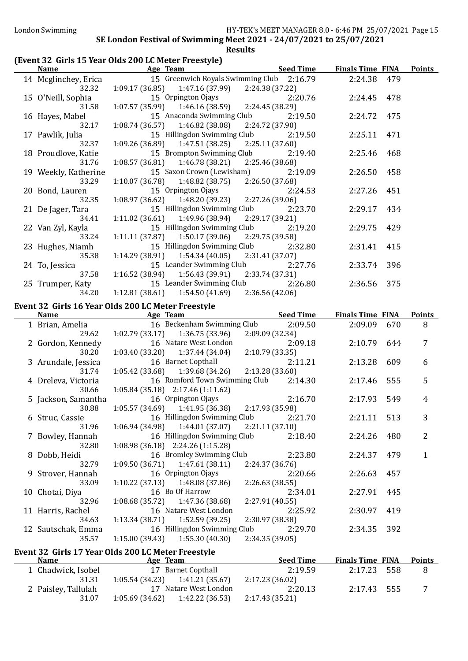# (Event 32 Girls 15 Year Olds 200 LC Meter Freestyle)

|                          | anto to fear ongo noo no meter riceotyte<br>Name Age Team | <b>Seed Time</b>           | <b>Finals Time FINA</b> |     | <b>Points</b> |
|--------------------------|-----------------------------------------------------------|----------------------------|-------------------------|-----|---------------|
| 14 Mcglinchey, Erica     | 15 Greenwich Royals Swimming Club 2:16.79                 |                            | 2:24.38                 | 479 |               |
| 32.32                    | $1:09.17(36.85)$ $1:47.16(37.99)$ $2:24.38(37.22)$        |                            |                         |     |               |
| 15 O'Neill, Sophia       | 15 Orpington Ojays                                        | 2:20.76                    | 2:24.45                 | 478 |               |
| 31.58                    | 1:46.16 (38.59)<br>1:07.57 (35.99)                        | 2:24.45 (38.29)            |                         |     |               |
| 16 Hayes, Mabel          | 15 Anaconda Swimming Club                                 | 2:19.50                    | 2:24.72                 | 475 |               |
| 32.17                    | $1:08.74(36.57)$ $1:46.82(38.08)$                         | 2:24.72 (37.90)            |                         |     |               |
| 17 Pawlik, Julia         | 15 Hillingdon Swimming Club                               | 2:19.50                    | 2:25.11                 | 471 |               |
| 32.37                    | 1:47.51 (38.25)<br>1:09.26(36.89)                         | 2:25.11(37.60)             |                         |     |               |
| 18 Proudlove, Katie      | 15 Brompton Swimming Club                                 | 2:19.40                    | 2:25.46                 | 468 |               |
| 31.76                    | 1:46.78 (38.21)<br>1:08.57(36.81)                         | 2:25.46 (38.68)            |                         |     |               |
| 19 Weekly, Katherine     | 15 Saxon Crown (Lewisham)                                 | 2:19.09                    | 2:26.50                 | 458 |               |
| 33.29                    | 1:10.07(36.78)<br>1:48.82 (38.75)                         | 2:26.50 (37.68)            |                         |     |               |
| 20 Bond, Lauren          | 15 Orpington Ojays                                        | 2:24.53                    | 2:27.26                 | 451 |               |
| 32.35                    | 1:08.97(36.62)<br>1:48.20 (39.23)                         | 2:27.26 (39.06)            |                         |     |               |
| 21 De Jager, Tara        | 15 Hillingdon Swimming Club                               | 2:23.70                    | 2:29.17                 | 434 |               |
| 34.41                    | 1:49.96 (38.94)<br>1:11.02(36.61)                         | 2:29.17 (39.21)            |                         |     |               |
| 22 Van Zyl, Kayla        | 15 Hillingdon Swimming Club                               | 2:19.20                    | 2:29.75                 | 429 |               |
| 33.24                    | $1:11.11(37.87)$ $1:50.17(39.06)$                         | 2:29.75 (39.58)            |                         |     |               |
| 23 Hughes, Niamh         | 15 Hillingdon Swimming Club                               | 2:32.80                    | 2:31.41                 | 415 |               |
| 35.38                    | $1:14.29(38.91)$ $1:54.34(40.05)$                         | 2:31.41 (37.07)            |                         |     |               |
| 24 To, Jessica           | 15 Leander Swimming Club                                  | 2:27.76                    | 2:33.74                 | 396 |               |
| 37.58                    | $1:16.52(38.94)$ $1:56.43(39.91)$                         | 2:33.74 (37.31)            |                         |     |               |
| 25 Trumper, Katy         | 15 Leander Swimming Club                                  | 2:26.80                    | 2:36.56 375             |     |               |
| 34.20                    | $1:12.81(38.61)$ $1:54.50(41.69)$ $2:36.56(42.06)$        |                            |                         |     |               |
|                          | Event 32 Girls 16 Year Olds 200 LC Meter Freestyle        |                            |                         |     |               |
|                          |                                                           |                            |                         |     |               |
| <u>Name</u>              |                                                           |                            | <b>Finals Time FINA</b> |     |               |
|                          | <u>Age Team</u><br>16 Beckenham Swimming Club             | <u>Seed Time</u>           | 2:09.09                 | 670 | 8             |
| 1 Brian, Amelia<br>29.62 | $1:02.79(33.17)$ $1:36.75(33.96)$                         | 2:09.50<br>2:09.09 (32.34) |                         |     |               |
| 2 Gordon, Kennedy        | 16 Natare West London                                     | 2:09.18                    | 2:10.79                 | 644 | 7             |
| 30.20                    | $1:03.40(33.20)$ $1:37.44(34.04)$                         | 2:10.79 (33.35)            |                         |     |               |
| 3 Arundale, Jessica      | 16 Barnet Copthall                                        | 2:11.21                    | 2:13.28                 | 609 | 6             |
| 31.74                    | $1:05.42(33.68)$ $1:39.68(34.26)$                         | 2:13.28 (33.60)            |                         |     |               |
| 4 Dreleva, Victoria      | 16 Romford Town Swimming Club 2:14.30                     |                            | 2:17.46                 | 555 | 5             |
| 30.66                    | 1:05.84 (35.18) 2:17.46 (1:11.62)                         |                            |                         |     |               |
| 5 Jackson, Samantha      | 16 Orpington Ojays                                        | 2:16.70                    | 2:17.93                 | 549 | 4             |
| 30.88                    | $1:05.57(34.69)$ $1:41.95(36.38)$ $2:17.93(35.98)$        |                            |                         |     |               |
| 6 Struc, Cassie          | 16 Hillingdon Swimming Club                               | 2:21.70                    | 2:21.11                 | 513 | 3             |
| 31.96                    | 1:44.01 (37.07)<br>1:06.94(34.98)                         | 2:21.11(37.10)             |                         |     |               |
| 7 Bowley, Hannah         | 16 Hillingdon Swimming Club                               | 2:18.40                    | 2:24.26                 | 480 | 2             |
| 32.80                    | 1:08.98 (36.18) 2:24.26 (1:15.28)                         |                            |                         |     |               |
| 8 Dobb, Heidi            | 16 Bromley Swimming Club                                  | 2:23.80                    | 2:24.37                 | 479 | $\mathbf{1}$  |
| 32.79                    | 1:09.50(36.71)<br>1:47.61(38.11)                          | 2:24.37 (36.76)            |                         |     |               |
| 9 Strover, Hannah        | 16 Orpington Ojays                                        | 2:20.66                    | 2:26.63                 | 457 | <b>Points</b> |
| 33.09                    | 1:48.08 (37.86)<br>1:10.22(37.13)                         | 2:26.63 (38.55)            |                         |     |               |
| 10 Chotai, Diya          | 16 Bo Of Harrow                                           | 2:34.01                    | 2:27.91                 | 445 |               |
| 32.96                    | 1:08.68(35.72)<br>1:47.36 (38.68)                         | 2:27.91 (40.55)            |                         |     |               |
| 11 Harris, Rachel        | 16 Natare West London                                     | 2:25.92                    | 2:30.97                 | 419 |               |
| 34.63                    | 1:13.34(38.71)<br>1:52.59(39.25)                          | 2:30.97 (38.38)            |                         |     |               |
| 12 Sautschak, Emma       | 16 Hillingdon Swimming Club                               | 2:29.70                    | 2:34.35                 | 392 |               |
| 35.57                    | 1:15.00(39.43)<br>1:55.30(40.30)                          | 2:34.35 (39.05)            |                         |     |               |

# Name Month Age Team Seed Time Finals Time FINA Points

| 1 Chadwick, Isobel  |                                                    | 17 Barnet Copthall    | 2:19.59         | 2:17.23 558 |  |
|---------------------|----------------------------------------------------|-----------------------|-----------------|-------------|--|
| 31.31               | $1:05.54(34.23)$ $1:41.21(35.67)$                  |                       | 2:17.23 (36.02) |             |  |
| 2 Paisley, Tallulah |                                                    | 17 Natare West London | 2:20.13         | 2:17.43 555 |  |
| 31.07               | $1:05.69(34.62)$ $1:42.22(36.53)$ $2:17.43(35.21)$ |                       |                 |             |  |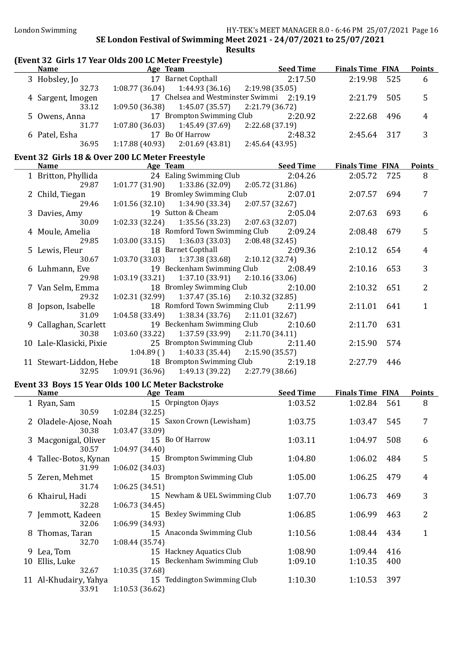# (Event 32 Girls 17 Year Olds 200 LC Meter Freestyle)

| <b>Name</b>       | Age Team                                           |                                           |                 | <b>Seed Time</b> | <b>Finals Time FINA</b> |     | <b>Points</b> |
|-------------------|----------------------------------------------------|-------------------------------------------|-----------------|------------------|-------------------------|-----|---------------|
| 3 Hobsley, Jo     |                                                    | 17 Barnet Copthall                        |                 | 2:17.50          | 2:19.98 525             |     | 6             |
| 32.73             | $1:08.77(36.04)$ $1:44.93(36.16)$                  |                                           | 2:19.98 (35.05) |                  |                         |     |               |
| 4 Sargent, Imogen |                                                    | 17 Chelsea and Westminster Swimmi 2:19.19 |                 |                  | 2:21.79                 | 505 | .5            |
| 33.12             | $1:09.50(36.38)$ $1:45.07(35.57)$ $2:21.79(36.72)$ |                                           |                 |                  |                         |     |               |
| 5 Owens, Anna     |                                                    | 17 Brompton Swimming Club                 |                 | 2:20.92          | 2:22.68                 | 496 | 4             |
| 31.77             | 1:07.80(36.03)                                     | 1:45.49 (37.69)                           | 2:22.68 (37.19) |                  |                         |     |               |
| 6 Patel, Esha     | 17 Bo Of Harrow                                    |                                           |                 | 2:48.32          | 2:45.64 317             |     | 3             |
| 36.95             | 1:17.88(40.93)                                     | 2:01.69 (43.81)                           | 2:45.64(43.95)  |                  |                         |     |               |

#### Event 32 Girls 18 & Over 200 LC Meter Freestyle

| <b>Name</b>             | Age Team                                                  | <b>Example 2018 Seed Time</b>         | <b>Finals Time FINA</b> |     | <b>Points</b> |
|-------------------------|-----------------------------------------------------------|---------------------------------------|-------------------------|-----|---------------|
| 1 Britton, Phyllida     |                                                           | 24 Ealing Swimming Club 2:04.26       | 2:05.72 725             |     | 8             |
| 29.87                   | $1:01.77(31.90)$ $1:33.86(32.09)$ $2:05.72(31.86)$        |                                       |                         |     |               |
| 2 Child, Tiegan         | 19 Bromley Swimming Club                                  | 2:07.01                               | 2:07.57 694             |     | 7             |
| 29.46                   | $1:01.56(32.10)$ $1:34.90(33.34)$ $2:07.57(32.67)$        |                                       |                         |     |               |
| 3 Davies, Amy           | 19 Sutton & Cheam                                         | 2:05.04                               | 2:07.63                 | 693 | 6             |
| 30.09                   | $1:02.33(32.24)$ $1:35.56(33.23)$ $2:07.63(32.07)$        |                                       |                         |     |               |
| 4 Moule, Amelia         |                                                           | 18 Romford Town Swimming Club 2:09.24 | 2:08.48                 | 679 | 5             |
| 29.85                   | $1:03.00(33.15)$ $1:36.03(33.03)$ $2:08.48(32.45)$        |                                       |                         |     |               |
| 5 Lewis, Fleur          | 18 Barnet Copthall                                        | 2:09.36                               | 2:10.12                 | 654 | 4             |
| 30.67                   | $1:03.70(33.03)$ $1:37.38(33.68)$ $2:10.12(32.74)$        |                                       |                         |     |               |
| 6 Luhmann, Eve          |                                                           | 19 Beckenham Swimming Club 2:08.49    | 2:10.16 653             |     | 3             |
| 29.98                   | $1:03.19(33.21)$ $1:37.10(33.91)$ $2:10.16(33.06)$        |                                       |                         |     |               |
| 7 Van Selm, Emma        |                                                           | 18 Bromley Swimming Club 2:10.00      | 2:10.32                 | 651 | 2             |
| 29.32                   | $1:02.31(32.99)$ $1:37.47(35.16)$ $2:10.32(32.85)$        |                                       |                         |     |               |
| 8 Jopson, Isabelle      |                                                           | 18 Romford Town Swimming Club 2:11.99 | 2:11.01                 | 641 | 1             |
| 31.09                   | $1:04.58(33.49)$ $1:38.34(33.76)$ $2:11.01(32.67)$        |                                       |                         |     |               |
| 9 Callaghan, Scarlett   |                                                           | 19 Beckenham Swimming Club 2:10.60    | 2:11.70                 | 631 |               |
| 30.38                   | $1:03.60$ (33.22) $1:37.59$ (33.99) $2:11.70$ (34.11)     |                                       |                         |     |               |
| 10 Lale-Klasicki, Pixie | 25 Brompton Swimming Club 2:11.40                         |                                       | 2:15.90                 | 574 |               |
|                         | $1:04.89$ () $1:40.33$ (35.44) $2:15.90$ (35.57)          |                                       |                         |     |               |
|                         | 11 Stewart-Liddon, Hebe 18 Brompton Swimming Club 2:19.18 |                                       | 2:27.79                 | 446 |               |
| 32.95                   | $1:09.91(36.96)$ $1:49.13(39.22)$ $2:27.79(38.66)$        |                                       |                         |     |               |

#### Event 33 Boys 15 Year Olds 100 LC Meter Backstroke

|    | Name                  | Age Team                      | <b>Seed Time</b> | <b>Finals Time FINA</b> |     | <b>Points</b> |
|----|-----------------------|-------------------------------|------------------|-------------------------|-----|---------------|
|    | 1 Ryan, Sam           | 15 Orpington Ojays            | 1:03.52          | 1:02.84                 | 561 | 8             |
|    | 30.59                 | 1:02.84(32.25)                |                  |                         |     |               |
|    | 2 Oladele-Ajose, Noah | 15 Saxon Crown (Lewisham)     | 1:03.75          | 1:03.47                 | 545 | 7             |
|    | 30.38                 | 1:03.47 (33.09)               |                  |                         |     |               |
|    | 3 Macgonigal, Oliver  | 15 Bo Of Harrow               | 1:03.11          | 1:04.97                 | 508 | 6             |
|    | 30.57                 | 1:04.97(34.40)                |                  |                         |     |               |
|    | 4 Tallec-Botos, Kynan | 15 Brompton Swimming Club     | 1:04.80          | 1:06.02                 | 484 | 5             |
|    | 31.99                 | 1:06.02(34.03)                |                  |                         |     |               |
|    | 5 Zeren, Mehmet       | 15 Brompton Swimming Club     | 1:05.00          | 1:06.25                 | 479 | 4             |
|    | 31.74                 | 1:06.25(34.51)                |                  |                         |     |               |
|    | 6 Khairul, Hadi       | 15 Newham & UEL Swimming Club | 1:07.70          | 1:06.73                 | 469 | 3             |
|    | 32.28                 | 1:06.73(34.45)                |                  |                         |     |               |
|    | 7 Jemmott, Kadeen     | 15 Bexley Swimming Club       | 1:06.85          | 1:06.99                 | 463 | 2             |
|    | 32.06                 | 1:06.99(34.93)                |                  |                         |     |               |
|    | 8 Thomas, Taran       | 15 Anaconda Swimming Club     | 1:10.56          | 1:08.44                 | 434 | 1             |
|    | 32.70                 | 1:08.44(35.74)                |                  |                         |     |               |
|    | 9 Lea, Tom            | 15 Hackney Aquatics Club      | 1:08.90          | 1:09.44                 | 416 |               |
| 10 | Ellis, Luke           | 15 Beckenham Swimming Club    | 1:09.10          | 1:10.35                 | 400 |               |
|    | 32.67                 | 1:10.35(37.68)                |                  |                         |     |               |
|    | 11 Al-Khudairy, Yahya | 15 Teddington Swimming Club   | 1:10.30          | 1:10.53                 | 397 |               |
|    | 33.91                 | 1:10.53(36.62)                |                  |                         |     |               |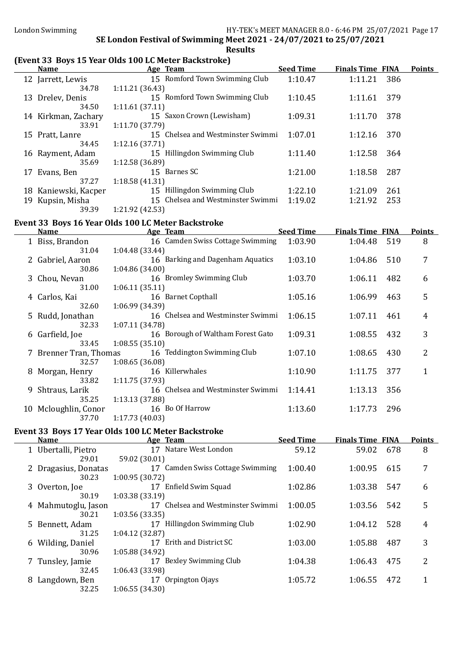# (Event 33 Boys 15 Year Olds 100 LC Meter Backstroke)

| <b>Name</b>          | Age Team                                           | <b>Seed Time</b> | <b>Finals Time FINA</b> | <b>Points</b> |
|----------------------|----------------------------------------------------|------------------|-------------------------|---------------|
| 12 Jarrett, Lewis    | 15 Romford Town Swimming Club                      | 1:10.47          | 1:11.21<br>386          |               |
| 34.78                | 1:11.21(36.43)                                     |                  |                         |               |
| 13 Drelev, Denis     | 15 Romford Town Swimming Club                      | 1:10.45          | 379<br>1:11.61          |               |
| 34.50                | 1:11.61(37.11)                                     |                  |                         |               |
| 14 Kirkman, Zachary  | 15 Saxon Crown (Lewisham)                          | 1:09.31          | 378<br>1:11.70          |               |
| 33.91                | 1:11.70 (37.79)                                    |                  |                         |               |
| 15 Pratt, Lanre      | 15 Chelsea and Westminster Swimmi                  | 1:07.01          | 370<br>1:12.16          |               |
| 34.45                | 1:12.16(37.71)                                     |                  |                         |               |
| 16 Rayment, Adam     | 15 Hillingdon Swimming Club                        | 1:11.40          | 364<br>1:12.58          |               |
| 35.69                | 1:12.58(36.89)                                     |                  |                         |               |
| 17 Evans, Ben        | 15 Barnes SC                                       | 1:21.00          | 287<br>1:18.58          |               |
| 37.27                | 1:18.58(41.31)                                     |                  |                         |               |
| 18 Kaniewski, Kacper | 15 Hillingdon Swimming Club                        | 1:22.10          | 261<br>1:21.09          |               |
| 19 Kupsin, Misha     | 15 Chelsea and Westminster Swimmi                  | 1:19.02          | 1:21.92<br>253          |               |
| 39.39                | 1:21.92(42.53)                                     |                  |                         |               |
|                      | Event 33 Boys 16 Year Olds 100 LC Meter Backstroke |                  |                         |               |
| <b>Name</b>          | Age Team                                           | <b>Seed Time</b> | <b>Finals Time FINA</b> | <b>Points</b> |
| 1 Biss, Brandon      | 16 Camden Swiss Cottage Swimming                   | 1:03.90          | 1:04.48<br>519          | 8             |
| 31.04                | 1:04.48(33.44)                                     |                  |                         |               |
|                      |                                                    |                  |                         |               |

| 31.04                  | 1:04.48(33.44)                    |         |         |     |   |
|------------------------|-----------------------------------|---------|---------|-----|---|
| 2 Gabriel, Aaron       | 16 Barking and Dagenham Aquatics  | 1:03.10 | 1:04.86 | 510 | 7 |
| 30.86                  | 1:04.86(34.00)                    |         |         |     |   |
| 3 Chou, Nevan          | 16 Bromley Swimming Club          | 1:03.70 | 1:06.11 | 482 | 6 |
| 31.00                  | 1:06.11(35.11)                    |         |         |     |   |
| 4 Carlos, Kai          | 16 Barnet Copthall                | 1:05.16 | 1:06.99 | 463 | 5 |
| 32.60                  | 1:06.99(34.39)                    |         |         |     |   |
| 5 Rudd, Jonathan       | 16 Chelsea and Westminster Swimmi | 1:06.15 | 1:07.11 | 461 | 4 |
| 32.33                  | 1:07.11(34.78)                    |         |         |     |   |
| 6 Garfield, Joe        | 16 Borough of Waltham Forest Gato | 1:09.31 | 1:08.55 | 432 | 3 |
| 33.45                  | 1:08.55(35.10)                    |         |         |     |   |
| 7 Brenner Tran, Thomas | 16 Teddington Swimming Club       | 1:07.10 | 1:08.65 | 430 | 2 |
| 32.57                  | 1:08.65(36.08)                    |         |         |     |   |
| 8 Morgan, Henry        | 16 Killerwhales                   | 1:10.90 | 1:11.75 | 377 |   |
| 33.82                  | 1:11.75(37.93)                    |         |         |     |   |
| 9 Shtraus, Larik       | 16 Chelsea and Westminster Swimmi | 1:14.41 | 1:13.13 | 356 |   |
| 35.25                  | 1:13.13(37.88)                    |         |         |     |   |
| 10 Mcloughlin, Conor   | 16 Bo Of Harrow                   | 1:13.60 | 1:17.73 | 296 |   |
| 37.70                  | 1:17.73(40.03)                    |         |         |     |   |

## Event 33 Boys 17 Year Olds 100 LC Meter Backstroke

|   | <b>Name</b>          | Age Team                          | <b>Seed Time</b> | <b>Finals Time FINA</b> |     | <b>Points</b> |
|---|----------------------|-----------------------------------|------------------|-------------------------|-----|---------------|
|   | 1 Ubertalli, Pietro  | 17 Natare West London             | 59.12            | 59.02                   | 678 | 8             |
|   | 29.01                | 59.02 (30.01)                     |                  |                         |     |               |
|   | 2 Dragasius, Donatas | 17 Camden Swiss Cottage Swimming  | 1:00.40          | 1:00.95                 | 615 | 7             |
|   | 30.23                | 1:00.95(30.72)                    |                  |                         |     |               |
|   | 3 Overton, Joe       | 17 Enfield Swim Squad             | 1:02.86          | 1:03.38                 | 547 | 6             |
|   | 30.19                | 1:03.38(33.19)                    |                  |                         |     |               |
|   | 4 Mahmutoglu, Jason  | 17 Chelsea and Westminster Swimmi | 1:00.05          | 1:03.56                 | 542 | 5             |
|   | 30.21                | 1:03.56(33.35)                    |                  |                         |     |               |
|   | 5 Bennett, Adam      | 17 Hillingdon Swimming Club       | 1:02.90          | 1:04.12                 | 528 | 4             |
|   | 31.25                | 1:04.12(32.87)                    |                  |                         |     |               |
|   | 6 Wilding, Daniel    | 17 Erith and District SC          | 1:03.00          | 1:05.88                 | 487 | 3             |
|   | 30.96                | 1:05.88 (34.92)                   |                  |                         |     |               |
|   | 7 Tunsley, Jamie     | 17 Bexley Swimming Club           | 1:04.38          | 1:06.43                 | 475 | 2             |
|   | 32.45                | 1:06.43(33.98)                    |                  |                         |     |               |
| 8 | Langdown, Ben        | 17 Orpington Ojays                | 1:05.72          | 1:06.55                 | 472 |               |
|   | 32.25                | 1:06.55(34.30)                    |                  |                         |     |               |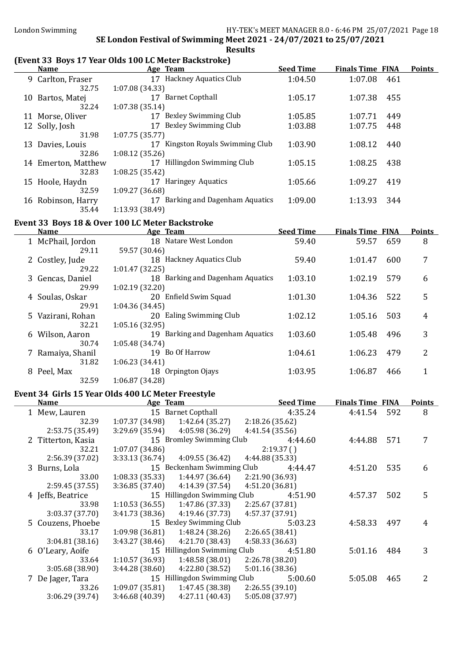# (Event 33 Boys 17 Year Olds 100 LC Meter Backstroke)

|    | <b>Name</b>         | Age Team                          | <b>Seed Time</b> | <b>Finals Time FINA</b> |      | <b>Points</b> |
|----|---------------------|-----------------------------------|------------------|-------------------------|------|---------------|
|    | 9 Carlton, Fraser   | 17 Hackney Aquatics Club          | 1:04.50          | 1:07.08                 | -461 |               |
|    | 32.75               | 1:07.08(34.33)                    |                  |                         |      |               |
| 10 | Bartos, Matej       | 17 Barnet Copthall                | 1:05.17          | 1:07.38                 | 455  |               |
|    | 32.24               | 1:07.38(35.14)                    |                  |                         |      |               |
|    | 11 Morse, Oliver    | Bexley Swimming Club<br>17        | 1:05.85          | 1:07.71                 | 449  |               |
|    | 12 Solly, Josh      | <b>Bexley Swimming Club</b><br>17 | 1:03.88          | 1:07.75                 | 448  |               |
|    | 31.98               | 1:07.75(35.77)                    |                  |                         |      |               |
| 13 | Davies, Louis       | 17 Kingston Royals Swimming Club  | 1:03.90          | 1:08.12                 | 440  |               |
|    | 32.86               | 1:08.12(35.26)                    |                  |                         |      |               |
|    | 14 Emerton, Matthew | 17 Hillingdon Swimming Club       | 1:05.15          | 1:08.25                 | 438  |               |
|    | 32.83               | 1:08.25(35.42)                    |                  |                         |      |               |
| 15 | Hoole, Haydn        | 17 Haringey Aquatics              | 1:05.66          | 1:09.27                 | 419  |               |
|    | 32.59               | 1:09.27 (36.68)                   |                  |                         |      |               |
|    | 16 Robinson, Harry  | 17 Barking and Dagenham Aquatics  | 1:09.00          | 1:13.93                 | 344  |               |
|    | 35.44               | 1:13.93 (38.49)                   |                  |                         |      |               |

# Event 33 Boys 18 & Over 100 LC Meter Backstroke

| <b>Name</b>       | Age Team                         | <b>Seed Time</b> | <b>Finals Time FINA</b> |     | <b>Points</b> |
|-------------------|----------------------------------|------------------|-------------------------|-----|---------------|
| 1 McPhail, Jordon | 18 Natare West London            | 59.40            | 59.57                   | 659 | 8             |
| 29.11             | 59.57 (30.46)                    |                  |                         |     |               |
| 2 Costley, Jude   | 18 Hackney Aquatics Club         | 59.40            | 1:01.47                 | 600 | 7             |
| 29.22             | 1:01.47(32.25)                   |                  |                         |     |               |
| 3 Gencas, Daniel  | 18 Barking and Dagenham Aquatics | 1:03.10          | 1:02.19                 | 579 | 6             |
| 29.99             | 1:02.19(32.20)                   |                  |                         |     |               |
| 4 Soulas, Oskar   | 20 Enfield Swim Squad            | 1:01.30          | 1:04.36                 | 522 | 5             |
| 29.91             | 1:04.36(34.45)                   |                  |                         |     |               |
| 5 Vazirani, Rohan | 20 Ealing Swimming Club          | 1:02.12          | 1:05.16                 | 503 | 4             |
| 32.21             | 1:05.16(32.95)                   |                  |                         |     |               |
| 6 Wilson, Aaron   | 19 Barking and Dagenham Aquatics | 1:03.60          | 1:05.48                 | 496 | 3             |
| 30.74             | 1:05.48 (34.74)                  |                  |                         |     |               |
| 7 Ramaiya, Shanil | 19 Bo Of Harrow                  | 1:04.61          | 1:06.23                 | 479 | 2             |
| 31.82             | 1:06.23(34.41)                   |                  |                         |     |               |
| 8 Peel, Max       | 18 Orpington Ojays               | 1:03.95          | 1:06.87                 | 466 | 1             |
| 32.59             | 1:06.87(34.28)                   |                  |                         |     |               |

#### Event 34 Girls 15 Year Olds 400 LC Meter Freestyle

| <b>Name</b>        | Age Team        |                             |                 | <b>Seed Time</b> | <b>Finals Time FINA</b> |     | <b>Points</b> |
|--------------------|-----------------|-----------------------------|-----------------|------------------|-------------------------|-----|---------------|
| 1 Mew, Lauren      |                 | 15 Barnet Copthall          |                 | 4:35.24          | 4:41.54                 | 592 | 8             |
| 32.39              | 1:07.37 (34.98) | 1:42.64 (35.27)             | 2:18.26(35.62)  |                  |                         |     |               |
| 2:53.75 (35.49)    | 3:29.69 (35.94) | 4:05.98 (36.29)             | 4:41.54 (35.56) |                  |                         |     |               |
| 2 Titterton, Kasia |                 | 15 Bromley Swimming Club    |                 | 4:44.60          | 4:44.88                 | 571 | 7             |
| 32.21              | 1:07.07(34.86)  |                             | 2:19.37()       |                  |                         |     |               |
| 2:56.39 (37.02)    | 3:33.13(36.74)  | 4:09.55 (36.42)             | 4:44.88 (35.33) |                  |                         |     |               |
| 3 Burns, Lola      |                 | 15 Beckenham Swimming Club  |                 | 4:44.47          | 4:51.20                 | 535 | 6             |
| 33.00              | 1:08.33 (35.33) | 1:44.97 (36.64)             | 2:21.90 (36.93) |                  |                         |     |               |
| 2:59.45 (37.55)    | 3:36.85 (37.40) | 4:14.39 (37.54)             | 4:51.20 (36.81) |                  |                         |     |               |
| 4 Jeffs, Beatrice  |                 | 15 Hillingdon Swimming Club |                 | 4:51.90          | 4:57.37                 | 502 | 5             |
| 33.98              | 1:10.53(36.55)  | 1:47.86 (37.33)             | 2:25.67 (37.81) |                  |                         |     |               |
| 3:03.37 (37.70)    | 3:41.73 (38.36) | 4:19.46 (37.73)             | 4:57.37 (37.91) |                  |                         |     |               |
| 5 Couzens, Phoebe  |                 | 15 Bexley Swimming Club     |                 | 5:03.23          | 4:58.33                 | 497 | 4             |
| 33.17              | 1:09.98(36.81)  | 1:48.24 (38.26)             | 2:26.65(38.41)  |                  |                         |     |               |
| 3:04.81(38.16)     | 3:43.27 (38.46) | 4:21.70 (38.43)             | 4:58.33 (36.63) |                  |                         |     |               |
| 6 O'Leary, Aoife   |                 | 15 Hillingdon Swimming Club |                 | 4:51.80          | 5:01.16                 | 484 | 3             |
| 33.64              | 1:10.57(36.93)  | 1:48.58(38.01)              | 2:26.78 (38.20) |                  |                         |     |               |
| 3:05.68(38.90)     | 3:44.28(38.60)  | 4:22.80 (38.52)             | 5:01.16(38.36)  |                  |                         |     |               |
| 7 De Jager, Tara   |                 | 15 Hillingdon Swimming Club |                 | 5:00.60          | 5:05.08                 | 465 | 2             |
| 33.26              | 1:09.07(35.81)  | 1:47.45 (38.38)             | 2:26.55(39.10)  |                  |                         |     |               |
| 3:06.29 (39.74)    | 3:46.68 (40.39) | 4:27.11 (40.43)             | 5:05.08 (37.97) |                  |                         |     |               |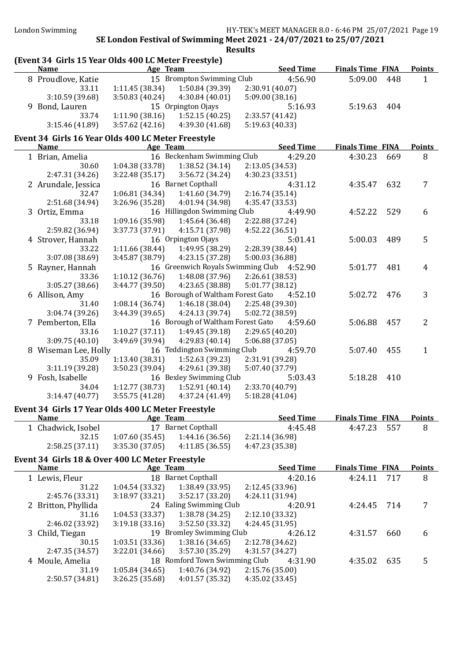|  |  |  | (Event 34 Girls 15 Year Olds 400 LC Meter Freestyle) |
|--|--|--|------------------------------------------------------|
|--|--|--|------------------------------------------------------|

| <b>Name</b>                                        | Age Team        |                                           |                 | <b>Seed Time</b> | <b>Finals Time FINA</b> |     | <b>Points</b> |
|----------------------------------------------------|-----------------|-------------------------------------------|-----------------|------------------|-------------------------|-----|---------------|
| 8 Proudlove, Katie                                 |                 | 15 Brompton Swimming Club                 |                 | 4:56.90          | 5:09.00                 | 448 | $\mathbf{1}$  |
| 33.11                                              | 1:11.45 (38.34) | 1:50.84 (39.39)                           | 2:30.91 (40.07) |                  |                         |     |               |
| 3:10.59 (39.68)                                    | 3:50.83 (40.24) | 4:30.84(40.01)                            | 5:09.00(38.16)  |                  |                         |     |               |
| 9 Bond, Lauren                                     |                 | 15 Orpington Ojays                        |                 | 5:16.93          | 5:19.63                 | 404 |               |
| 33.74                                              | 1:11.90 (38.16) | 1:52.15(40.25)                            | 2:33.57 (41.42) |                  |                         |     |               |
| 3:15.46 (41.89)                                    | 3:57.62(42.16)  | 4:39.30 (41.68)                           | 5:19.63 (40.33) |                  |                         |     |               |
| Event 34 Girls 16 Year Olds 400 LC Meter Freestyle |                 |                                           |                 |                  |                         |     |               |
| <b>Name</b>                                        | Age Team        |                                           |                 | <b>Seed Time</b> | <b>Finals Time FINA</b> |     | <b>Points</b> |
| 1 Brian, Amelia                                    |                 | 16 Beckenham Swimming Club                |                 | 4:29.20          | 4:30.23                 | 669 | 8             |
| 30.60                                              | 1:04.38 (33.78) | 1:38.52(34.14)                            | 2:13.05(34.53)  |                  |                         |     |               |
| 2:47.31 (34.26)                                    | 3:22.48(35.17)  | 3:56.72 (34.24)                           | 4:30.23 (33.51) |                  |                         |     |               |
| 2 Arundale, Jessica                                |                 | 16 Barnet Copthall                        |                 | 4:31.12          | 4:35.47                 | 632 | 7             |
| 32.47                                              | 1:06.81(34.34)  | 1:41.60 (34.79)                           | 2:16.74(35.14)  |                  |                         |     |               |
| 2:51.68 (34.94)                                    | 3:26.96(35.28)  | 4:01.94 (34.98)                           | 4:35.47 (33.53) |                  |                         |     |               |
| 3 Ortiz, Emma                                      |                 | 16 Hillingdon Swimming Club               |                 | 4:49.90          | 4:52.22                 | 529 | 6             |
| 33.18                                              | 1:09.16(35.98)  | 1:45.64 (36.48)                           | 2:22.88 (37.24) |                  |                         |     |               |
| 2:59.82 (36.94)                                    | 3:37.73 (37.91) | 4:15.71 (37.98)                           | 4:52.22 (36.51) |                  |                         |     |               |
| 4 Strover, Hannah                                  |                 | 16 Orpington Ojays                        |                 | 5:01.41          | 5:00.03                 | 489 | 5             |
| 33.22                                              | 1:11.66(38.44)  | 1:49.95 (38.29)                           | 2:28.39 (38.44) |                  |                         |     |               |
| 3:07.08 (38.69)                                    | 3:45.87(38.79)  | 4:23.15 (37.28)                           | 5:00.03 (36.88) |                  |                         |     |               |
| 5 Rayner, Hannah                                   |                 | 16 Greenwich Royals Swimming Club 4:52.90 |                 |                  | 5:01.77                 | 481 | 4             |
| 33.36                                              | 1:10.12(36.76)  | 1:48.08 (37.96)                           | 2:26.61 (38.53) |                  |                         |     |               |
| 3:05.27 (38.66)                                    | 3:44.77 (39.50) | 4:23.65 (38.88)                           | 5:01.77 (38.12) |                  |                         |     |               |
| 6 Allison, Amy                                     |                 | 16 Borough of Waltham Forest Gato         |                 | 4:52.10          | 5:02.72                 | 476 | 3             |
| 31.40                                              | 1:08.14(36.74)  | 1:46.18 (38.04)                           | 2:25.48 (39.30) |                  |                         |     |               |
| 3:04.74 (39.26)                                    | 3:44.39 (39.65) | 4:24.13 (39.74)                           | 5:02.72 (38.59) |                  |                         |     |               |
| 7 Pemberton, Ella                                  |                 | 16 Borough of Waltham Forest Gato         |                 | 4:59.60          | 5:06.88                 | 457 | 2             |
| 33.16                                              | 1:10.27(37.11)  | 1:49.45 (39.18)                           | 2:29.65(40.20)  |                  |                         |     |               |
| 3:09.75 (40.10)                                    | 3:49.69 (39.94) | 4:29.83 (40.14)                           | 5:06.88(37.05)  |                  |                         |     |               |
| 8 Wiseman Lee, Holly                               |                 | 16 Teddington Swimming Club               |                 | 4:59.70          | 5:07.40                 | 455 | 1             |
| 35.09                                              | 1:13.40 (38.31) | 1:52.63 (39.23)                           | 2:31.91 (39.28) |                  |                         |     |               |
| 3:11.19 (39.28)                                    | 3:50.23 (39.04) | 4:29.61 (39.38)                           | 5:07.40 (37.79) |                  |                         |     |               |
| 9 Fosh, Isabelle                                   |                 | 16 Bexley Swimming Club                   |                 | 5:03.43          | 5:18.28                 | 410 |               |
| 34.04                                              | 1:12.77 (38.73) | 1:52.91(40.14)                            | 2:33.70 (40.79) |                  |                         |     |               |
| 3:14.47 (40.77)                                    | 3:55.75(41.28)  | 4:37.24 (41.49)                           | 5:18.28(41.04)  |                  |                         |     |               |
|                                                    |                 |                                           |                 |                  |                         |     |               |

#### Event 34 Girls 17 Year Olds 400 LC Meter Freestyle

| <b>Name</b>        | Age Team        |                    | <b>Seed Time</b> | <b>Finals Time FINA</b> | Points |
|--------------------|-----------------|--------------------|------------------|-------------------------|--------|
| 1 Chadwick, Isobel |                 | 17 Barnet Copthall | 4:45.48          | 4:47.23 557             | 8      |
| 32.15              | 1:07.60(35.45)  | 1:44.16 (36.56)    | 2:21.14 (36.98)  |                         |        |
| 2:58.25(37.11)     | 3:35.30 (37.05) | 4:11.85 (36.55)    | 4:47.23 (35.38)  |                         |        |

# Event 34 Girls 18 & Over 400 LC Meter Freestyle

|                |                 | <b>Seed Time</b>               |                                                                                      |     | <b>Points</b>           |
|----------------|-----------------|--------------------------------|--------------------------------------------------------------------------------------|-----|-------------------------|
|                |                 | 4:20.16                        | 4:24.11                                                                              | 717 | 8                       |
| 1:04.54(33.32) | 1:38.49(33.95)  | 2:12.45(33.96)                 |                                                                                      |     |                         |
| 3:18.97(33.21) | 3:52.17 (33.20) | 4:24.11 (31.94)                |                                                                                      |     |                         |
|                |                 | 4:20.91                        | 4:24.45                                                                              | 714 |                         |
| 1:04.53(33.37) | 1:38.78(34.25)  | 2:12.10(33.32)                 |                                                                                      |     |                         |
| 3:19.18(33.16) | 3:52.50 (33.32) | 4:24.45 (31.95)                |                                                                                      |     |                         |
|                |                 | 4:26.12                        | 4:31.57                                                                              | 660 | 6                       |
| 1:03.51(33.36) | 1:38.16(34.65)  | 2:12.78 (34.62)                |                                                                                      |     |                         |
| 3:22.01(34.66) | 3:57.30(35.29)  | 4:31.57(34.27)                 |                                                                                      |     |                         |
|                |                 | 4:31.90                        | 4:35.02                                                                              | 635 | 5                       |
| 1:05.84(34.65) | 1:40.76 (34.92) | 2:15.76(35.00)                 |                                                                                      |     |                         |
| 3:26.25(35.68) | 4:01.57(35.32)  | 4:35.02(33.45)                 |                                                                                      |     |                         |
|                |                 | Age Team<br>18 Barnet Copthall | 24 Ealing Swimming Club<br>19 Bromley Swimming Club<br>18 Romford Town Swimming Club |     | <b>Finals Time FINA</b> |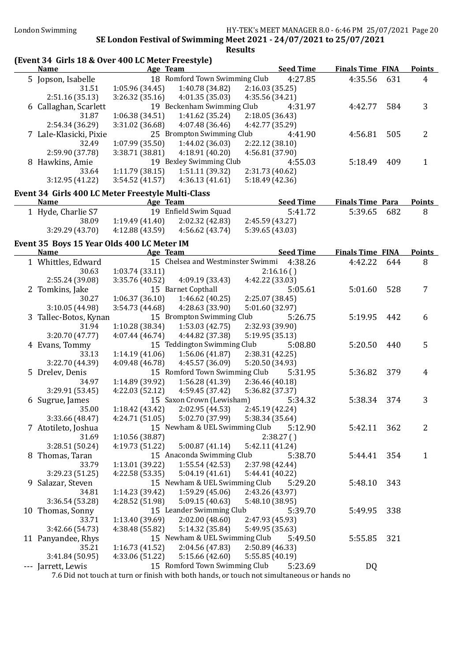| (Event 34 Girls 18 & Over 400 LC Meter Freestyle)<br><b>Name</b> |                                   | Age Team                                                                                   | <b>Seed Time</b> | <b>Finals Time FINA</b> |     | <b>Points</b> |
|------------------------------------------------------------------|-----------------------------------|--------------------------------------------------------------------------------------------|------------------|-------------------------|-----|---------------|
| 5 Jopson, Isabelle                                               |                                   | 18 Romford Town Swimming Club                                                              | 4:27.85          | 4:35.56                 | 631 | 4             |
|                                                                  |                                   |                                                                                            | 2:16.03(35.25)   |                         |     |               |
| 31.51<br>2:51.16 (35.13)                                         | 1:05.96 (34.45)<br>3:26.32(35.16) | 1:40.78 (34.82)<br>4:01.35(35.03)                                                          | 4:35.56 (34.21)  |                         |     |               |
| 6 Callaghan, Scarlett                                            |                                   | 19 Beckenham Swimming Club                                                                 | 4:31.97          | 4:42.77                 | 584 | 3             |
| 31.87                                                            | 1:06.38(34.51)                    | 1:41.62 (35.24)                                                                            | 2:18.05 (36.43)  |                         |     |               |
| 2:54.34 (36.29)                                                  | 3:31.02(36.68)                    | 4:07.48 (36.46)                                                                            | 4:42.77 (35.29)  |                         |     |               |
| 7 Lale-Klasicki, Pixie                                           |                                   | 25 Brompton Swimming Club                                                                  | 4:41.90          | 4:56.81                 | 505 | 2             |
|                                                                  |                                   |                                                                                            |                  |                         |     |               |
| 32.49<br>2:59.90 (37.78)                                         | 1:07.99(35.50)<br>3:38.71 (38.81) | 1:44.02(36.03)<br>4:18.91(40.20)                                                           | 2:22.12 (38.10)  |                         |     |               |
|                                                                  |                                   | 19 Bexley Swimming Club                                                                    | 4:56.81 (37.90)  |                         |     |               |
| 8 Hawkins, Amie                                                  |                                   |                                                                                            | 4:55.03          | 5:18.49                 | 409 | 1             |
| 33.64                                                            | 1:11.79(38.15)                    | 1:51.11(39.32)                                                                             | 2:31.73 (40.62)  |                         |     |               |
| 3:12.95(41.22)                                                   | 3:54.52(41.57)                    | 4:36.13(41.61)                                                                             | 5:18.49(42.36)   |                         |     |               |
| Event 34 Girls 400 LC Meter Freestyle Multi-Class                |                                   |                                                                                            |                  |                         |     |               |
| <b>Name</b>                                                      |                                   | Age Team                                                                                   | <b>Seed Time</b> | <b>Finals Time Para</b> |     | <b>Points</b> |
| 1 Hyde, Charlie S7                                               |                                   | 19 Enfield Swim Squad                                                                      | 5:41.72          | 5:39.65                 | 682 | 8             |
| 38.09                                                            | 1:19.49(41.40)                    | 2:02.32 (42.83)                                                                            | 2:45.59(43.27)   |                         |     |               |
| 3:29.29 (43.70)                                                  | 4:12.88(43.59)                    | 4:56.62(43.74)                                                                             | 5:39.65 (43.03)  |                         |     |               |
| Event 35 Boys 15 Year Olds 400 LC Meter IM                       |                                   |                                                                                            |                  |                         |     |               |
| <b>Name</b>                                                      | Age Team                          |                                                                                            | <b>Seed Time</b> | <b>Finals Time FINA</b> |     | <b>Points</b> |
| 1 Whittles, Edward                                               |                                   | 15 Chelsea and Westminster Swimmi 4:38.26                                                  |                  | 4:42.22                 | 644 | 8             |
| 30.63                                                            | 1:03.74(33.11)                    |                                                                                            | 2:16.16()        |                         |     |               |
| 2:55.24 (39.08)                                                  | 3:35.76 (40.52)                   | 4:09.19 (33.43)                                                                            | 4:42.22 (33.03)  |                         |     |               |
| 2 Tomkins, Jake                                                  |                                   | 15 Barnet Copthall                                                                         | 5:05.61          | 5:01.60                 | 528 | 7             |
| 30.27                                                            | 1:06.37(36.10)                    | 1:46.62(40.25)                                                                             | 2:25.07 (38.45)  |                         |     |               |
| 3:10.05 (44.98)                                                  | 3:54.73(44.68)                    | 4:28.63 (33.90)                                                                            | 5:01.60 (32.97)  |                         |     |               |
| 3 Tallec-Botos, Kynan                                            |                                   | 15 Brompton Swimming Club                                                                  | 5:26.75          | 5:19.95                 | 442 | 6             |
| 31.94                                                            | 1:10.28(38.34)                    | 1:53.03(42.75)                                                                             | 2:32.93 (39.90)  |                         |     |               |
| 3:20.70 (47.77)                                                  | 4:07.44 (46.74)                   | 4:44.82 (37.38)                                                                            | 5:19.95 (35.13)  |                         |     |               |
| 4 Evans, Tommy                                                   |                                   | 15 Teddington Swimming Club                                                                | 5:08.80          | 5:20.50                 | 440 | 5             |
| 33.13                                                            | 1:14.19(41.06)                    | 1:56.06(41.87)                                                                             | 2:38.31(42.25)   |                         |     |               |
| 3:22.70 (44.39)                                                  | 4:09.48 (46.78)                   | 4:45.57 (36.09)                                                                            | 5:20.50 (34.93)  |                         |     |               |
| 5 Drelev, Denis                                                  |                                   | 15 Romford Town Swimming Club                                                              | 5:31.95          | 5:36.82                 | 379 | 4             |
| 34.97                                                            | 1:14.89 (39.92)                   | 1:56.28(41.39)                                                                             | 2:36.46 (40.18)  |                         |     |               |
| 3:29.91 (53.45)                                                  | 4:22.03(52.12)                    | 4:59.45 (37.42)                                                                            | 5:36.82 (37.37)  |                         |     |               |
| 6 Sugrue, James                                                  |                                   | 15 Saxon Crown (Lewisham)                                                                  | 5:34.32          | 5:38.34                 | 374 | 3             |
| 35.00                                                            |                                   | $1:18.42$ (43.42) $2:02.95$ (44.53) $2:45.19$ (42.24)                                      |                  |                         |     |               |
| 3:33.66 (48.47)                                                  | 4:24.71 (51.05)                   | 5:02.70 (37.99)                                                                            | 5:38.34 (35.64)  |                         |     |               |
| 7 Atotileto, Joshua                                              |                                   | 15 Newham & UEL Swimming Club                                                              | 5:12.90          | 5:42.11                 | 362 | 2             |
| 31.69                                                            | 1:10.56(38.87)                    |                                                                                            | 2:38.27(         |                         |     |               |
| 3:28.51 (50.24)                                                  | 4:19.73 (51.22)                   | 5:00.87(41.14)                                                                             | 5:42.11 (41.24)  |                         |     |               |
| 8 Thomas, Taran                                                  |                                   | 15 Anaconda Swimming Club                                                                  | 5:38.70          | 5:44.41                 | 354 | $\mathbf{1}$  |
| 33.79                                                            | 1:13.01 (39.22)                   | 1:55.54(42.53)                                                                             | 2:37.98 (42.44)  |                         |     |               |
| 3:29.23 (51.25)                                                  | 4:22.58 (53.35)                   | 5:04.19(41.61)                                                                             | 5:44.41 (40.22)  |                         |     |               |
| 9 Salazar, Steven                                                |                                   | 15 Newham & UEL Swimming Club                                                              | 5:29.20          | 5:48.10                 | 343 |               |
| 34.81                                                            | 1:14.23 (39.42)                   | 1:59.29(45.06)                                                                             | 2:43.26 (43.97)  |                         |     |               |
| 3:36.54 (53.28)                                                  | 4:28.52 (51.98)                   | 5:09.15(40.63)                                                                             | 5:48.10 (38.95)  |                         |     |               |
| 10 Thomas, Sonny                                                 |                                   | 15 Leander Swimming Club                                                                   | 5:39.70          | 5:49.95                 | 338 |               |
| 33.71                                                            | 1:13.40 (39.69)                   | 2:02.00(48.60)                                                                             | 2:47.93 (45.93)  |                         |     |               |
| 3:42.66 (54.73)                                                  | 4:38.48 (55.82)                   | 5:14.32 (35.84)                                                                            | 5:49.95 (35.63)  |                         |     |               |
| 11 Panyandee, Rhys                                               |                                   | 15 Newham & UEL Swimming Club                                                              | 5:49.50          | 5:55.85                 | 321 |               |
| 35.21                                                            | 1:16.73(41.52)                    | 2:04.56 (47.83)                                                                            | 2:50.89 (46.33)  |                         |     |               |
| 3:41.84 (50.95)                                                  | 4:33.06 (51.22)                   | 5:15.66(42.60)                                                                             | 5:55.85 (40.19)  |                         |     |               |
| --- Jarrett, Lewis                                               |                                   | 15 Romford Town Swimming Club                                                              | 5:23.69          | DQ                      |     |               |
|                                                                  |                                   | 7.6 Did not touch at turn or finish with both hands, or touch not simultaneous or hands no |                  |                         |     |               |
|                                                                  |                                   |                                                                                            |                  |                         |     |               |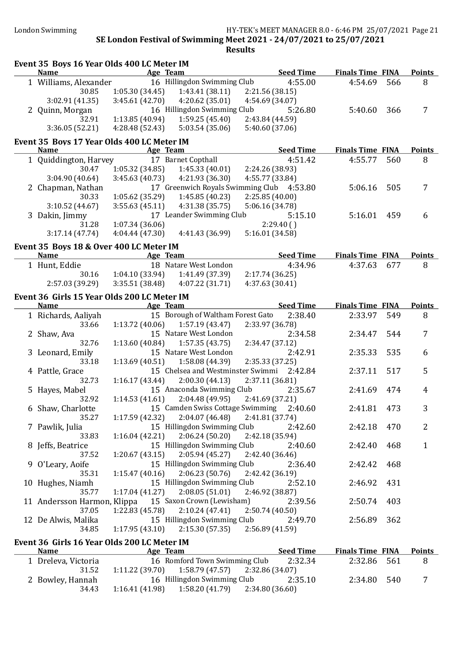#### London Swimming HY-TEK's MEET MANAGER 8.0 - 6:46 PM 25/07/2021 Page 21 SE London Festival of Swimming Meet 2021 - 24/07/2021 to 25/07/2021 Results

|                                             | Event 35 Boys 16 Year Olds 400 LC Meter IM          |                  |                         |     |                |  |  |  |  |
|---------------------------------------------|-----------------------------------------------------|------------------|-------------------------|-----|----------------|--|--|--|--|
| <b>Name</b>                                 | Age Team                                            | <b>Seed Time</b> | <b>Finals Time FINA</b> |     | Points         |  |  |  |  |
| 1 Williams, Alexander                       | 16 Hillingdon Swimming Club                         | 4:55.00          | 4:54.69                 | 566 | 8              |  |  |  |  |
| 30.85                                       | 1:05.30(34.45)<br>1:43.41(38.11)                    | 2:21.56(38.15)   |                         |     |                |  |  |  |  |
| 3:02.91(41.35)                              | 3:45.61(42.70)<br>4:20.62(35.01)                    | 4:54.69 (34.07)  |                         |     |                |  |  |  |  |
| 2 Quinn, Morgan                             | 16 Hillingdon Swimming Club                         | 5:26.80          | 5:40.60                 | 366 | 7              |  |  |  |  |
| 32.91                                       | 1:13.85(40.94)<br>1:59.25(45.40)                    | 2:43.84 (44.59)  |                         |     |                |  |  |  |  |
| 3:36.05(52.21)                              | 4:28.48 (52.43)<br>5:03.54(35.06)                   | 5:40.60 (37.06)  |                         |     |                |  |  |  |  |
|                                             | Event 35 Boys 17 Year Olds 400 LC Meter IM          |                  |                         |     |                |  |  |  |  |
| Name                                        | Age Team                                            | <b>Seed Time</b> | <b>Finals Time FINA</b> |     | <b>Points</b>  |  |  |  |  |
| 1 Quiddington, Harvey                       | 17 Barnet Copthall                                  | 4:51.42          | 4:55.77                 | 560 | 8              |  |  |  |  |
| 30.47                                       | 1:05.32 (34.85)<br>1:45.33(40.01)                   | 2:24.26 (38.93)  |                         |     |                |  |  |  |  |
| 3:04.90(40.64)                              | 4:21.93 (36.30)<br>3:45.63(40.73)                   | 4:55.77 (33.84)  |                         |     |                |  |  |  |  |
| 2 Chapman, Nathan                           | 17 Greenwich Royals Swimming Club 4:53.80           |                  | 5:06.16                 | 505 | 7              |  |  |  |  |
| 30.33                                       | 1:05.62 (35.29)<br>1:45.85 (40.23)                  | 2:25.85(40.00)   |                         |     |                |  |  |  |  |
| 3:10.52(44.67)                              | 4:31.38 (35.75)<br>3:55.63(45.11)                   | 5:06.16 (34.78)  |                         |     |                |  |  |  |  |
| 3 Dakin, Jimmy                              | 17 Leander Swimming Club                            | 5:15.10          | 5:16.01                 | 459 | 6              |  |  |  |  |
| 31.28                                       | 1:07.34(36.06)                                      | 2:29.40(         |                         |     |                |  |  |  |  |
| 3:17.14(47.74)                              | 4:04.44(47.30)<br>4:41.43 (36.99)                   | 5:16.01(34.58)   |                         |     |                |  |  |  |  |
|                                             |                                                     |                  |                         |     |                |  |  |  |  |
| Event 35 Boys 18 & Over 400 LC Meter IM     |                                                     |                  |                         |     |                |  |  |  |  |
| <b>Name</b>                                 | <b>Example 2</b> Age Team                           | <b>Seed Time</b> | <b>Finals Time FINA</b> |     | <b>Points</b>  |  |  |  |  |
| 1 Hunt, Eddie                               | 18 Natare West London                               | 4:34.96          | 4:37.63                 | 677 | 8              |  |  |  |  |
| 30.16                                       | 1:04.10(33.94)<br>1:41.49 (37.39)<br>3:35.51(38.48) | 2:17.74(36.25)   |                         |     |                |  |  |  |  |
| 2:57.03 (39.29)                             | 4:07.22(31.71)                                      | 4:37.63 (30.41)  |                         |     |                |  |  |  |  |
| Event 36 Girls 15 Year Olds 200 LC Meter IM |                                                     |                  |                         |     |                |  |  |  |  |
| <b>Name</b>                                 | Age Team                                            | <b>Seed Time</b> | <b>Finals Time FINA</b> |     | <b>Points</b>  |  |  |  |  |
| 1 Richards, Aaliyah                         | 15 Borough of Waltham Forest Gato                   | 2:38.40          | 2:33.97                 | 549 | 8              |  |  |  |  |
| 33.66                                       | 1:13.72(40.06)<br>1:57.19 (43.47)                   | 2:33.97 (36.78)  |                         |     |                |  |  |  |  |
| 2 Shaw, Ava                                 | 15 Natare West London                               | 2:34.58          | 2:34.47                 | 544 | 7              |  |  |  |  |
| 32.76                                       | 1:13.60(40.84)<br>1:57.35(43.75)                    | 2:34.47 (37.12)  |                         |     |                |  |  |  |  |
| 3 Leonard, Emily                            | 15 Natare West London                               | 2:42.91          | 2:35.33                 | 535 | 6              |  |  |  |  |
| 33.18                                       | 1:13.69(40.51)<br>1:58.08 (44.39)                   | 2:35.33 (37.25)  |                         |     |                |  |  |  |  |
| 4 Pattle, Grace                             | 15 Chelsea and Westminster Swimmi 2:42.84           |                  | 2:37.11                 | 517 | 5              |  |  |  |  |
| 32.73                                       | 1:16.17(43.44)<br>2:00.30(44.13)                    | 2:37.11 (36.81)  |                         |     |                |  |  |  |  |
| 5 Hayes, Mabel                              | 15 Anaconda Swimming Club                           | 2:35.67          | 2:41.69                 | 474 | 4              |  |  |  |  |
| 32.92                                       | 1:14.53(41.61)<br>2:04.48(49.95)                    | 2:41.69 (37.21)  |                         |     |                |  |  |  |  |
| 6 Shaw, Charlotte                           | 15 Camden Swiss Cottage Swimming 2:40.60            |                  | 2:41.81                 | 473 | 3              |  |  |  |  |
| 35.27                                       | 2:04.07 (46.48)<br>1:17.59(42.32)                   | 2:41.81 (37.74)  |                         |     |                |  |  |  |  |
| 7 Pawlik, Julia                             | 15 Hillingdon Swimming Club                         | 2:42.60          | 2:42.18                 | 470 | $\overline{2}$ |  |  |  |  |
| 33.83                                       | 2:06.24(50.20)<br>1:16.04(42.21)                    | 2:42.18 (35.94)  |                         |     |                |  |  |  |  |
| 8 Jeffs, Beatrice                           | 15 Hillingdon Swimming Club                         | 2:40.60          | 2:42.40                 | 468 | 1              |  |  |  |  |
| 37.52                                       | 2:05.94(45.27)<br>1:20.67(43.15)                    | 2:42.40 (36.46)  |                         |     |                |  |  |  |  |
| 9 O'Leary, Aoife                            | 15 Hillingdon Swimming Club                         | 2:36.40          | 2:42.42                 | 468 |                |  |  |  |  |
| 35.31                                       | 2:06.23(50.76)<br>1:15.47(40.16)                    | 2:42.42 (36.19)  |                         |     |                |  |  |  |  |
| 10 Hughes, Niamh                            | 15 Hillingdon Swimming Club                         | 2:52.10          | 2:46.92                 | 431 |                |  |  |  |  |
| 35.77                                       | 2:08.05(51.01)<br>1:17.04(41.27)                    | 2:46.92 (38.87)  |                         |     |                |  |  |  |  |
| 11 Andersson Harmon, Klippa                 | 15 Saxon Crown (Lewisham)                           | 2:39.56          | 2:50.74                 | 403 |                |  |  |  |  |
| 37.05                                       | 1:22.83 (45.78)<br>2:10.24(47.41)                   | 2:50.74 (40.50)  |                         |     |                |  |  |  |  |
| 12 De Alwis, Malika                         | 15 Hillingdon Swimming Club                         | 2:49.70          | 2:56.89                 | 362 |                |  |  |  |  |
| 34.85                                       | 1:17.95(43.10)<br>2:15.30(57.35)                    | 2:56.89(41.59)   |                         |     |                |  |  |  |  |
|                                             | Event 36 Girls 16 Year Olds 200 LC Meter IM         |                  |                         |     |                |  |  |  |  |
| <b>Name</b>                                 | Age Team                                            | <b>Seed Time</b> | <b>Finals Time FINA</b> |     | <b>Points</b>  |  |  |  |  |
| 1 Dreleva, Victoria                         | 16 Romford Town Swimming Club                       | 2:32.34          | 2:32.86                 | 561 | 8              |  |  |  |  |
| 31.52                                       | 1:58.79(47.57)<br>1:11.22 (39.70)                   | 2:32.86 (34.07)  |                         |     |                |  |  |  |  |
| 2 Bowley, Hannah                            | 16 Hillingdon Swimming Club                         | 2:35.10          | 2:34.80                 | 540 | 7              |  |  |  |  |
| 34.43                                       | 1:58.20(41.79)<br>1:16.41 (41.98)                   | 2:34.80 (36.60)  |                         |     |                |  |  |  |  |
|                                             |                                                     |                  |                         |     |                |  |  |  |  |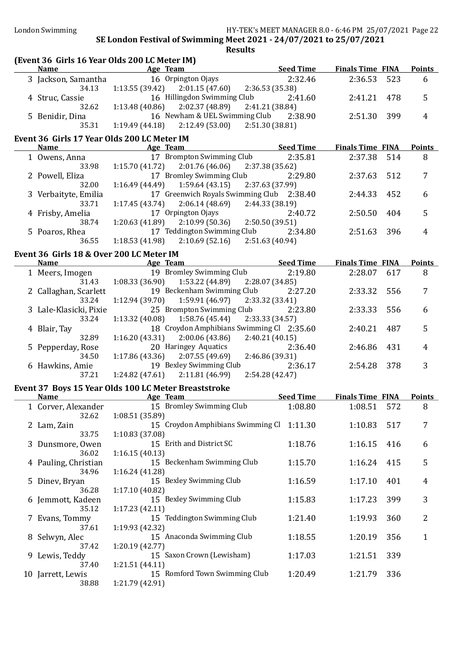| (Event 36 Girls 16 Year Olds 200 LC Meter IM)<br><b>Name</b> | <b>Example 2018</b> Age Team |                                                                                   | <b>Seed Time</b> | <b>Finals Time FINA</b> |     | <b>Points</b>  |
|--------------------------------------------------------------|------------------------------|-----------------------------------------------------------------------------------|------------------|-------------------------|-----|----------------|
| 3 Jackson, Samantha                                          |                              | 16 Orpington Ojays                                                                | 2:32.46          | 2:36.53                 | 523 | 6              |
| 34.13                                                        |                              | $1:13.55(39.42)$ $2:01.15(47.60)$<br>2:36.53 (35.38)                              |                  |                         |     |                |
| 4 Struc, Cassie                                              |                              | 16 Hillingdon Swimming Club                                                       | 2:41.60          | 2:41.21                 | 478 | 5              |
| 32.62                                                        | 1:13.48 (40.86)              | 2:02.37 (48.89)<br>2:41.21 (38.84)<br>16 Newham & UEL Swimming Club               |                  |                         |     |                |
| 5 Benidir, Dina<br>35.31                                     |                              | $1:19.49(44.18)$ $2:12.49(53.00)$<br>2:51.30 (38.81)                              | 2:38.90          | 2:51.30                 | 399 | 4              |
|                                                              |                              |                                                                                   |                  |                         |     |                |
| Event 36 Girls 17 Year Olds 200 LC Meter IM<br><b>Name</b>   | <b>Example 2</b> Age Team    | <b>Seed Time</b>                                                                  |                  | <b>Finals Time FINA</b> |     | <b>Points</b>  |
| 1 Owens, Anna                                                |                              | 17 Brompton Swimming Club                                                         | 2:35.81          | 2:37.38                 | 514 | 8              |
| 33.98                                                        | 1:15.70 (41.72)              | 2:01.76(46.06)<br>2:37.38 (35.62)                                                 |                  |                         |     |                |
| 2 Powell, Eliza                                              |                              | 17 Bromley Swimming Club                                                          | 2:29.80          | 2:37.63                 | 512 | $\overline{7}$ |
| 32.00                                                        | 1:16.49(44.49)               | 1:59.64(43.15)<br>2:37.63 (37.99)                                                 |                  |                         |     |                |
| 3 Verbaityte, Emilia                                         |                              | 17 Greenwich Royals Swimming Club 2:38.40                                         |                  | 2:44.33                 | 452 | 6              |
| 33.71                                                        | 1:17.45(43.74)               | 2:06.14(48.69)<br>2:44.33 (38.19)                                                 |                  |                         |     |                |
| 4 Frisby, Amelia<br>38.74                                    | 1:20.63(41.89)               | 17 Orpington Ojays<br>2:10.99 (50.36)<br>2:50.50 (39.51)                          | 2:40.72          | 2:50.50                 | 404 | 5              |
| 5 Poaros, Rhea                                               |                              | 17 Teddington Swimming Club                                                       | 2:34.80          | 2:51.63                 | 396 | 4              |
| 36.55                                                        |                              | $1:18.53(41.98)$ $2:10.69(52.16)$ $2:51.63(40.94)$                                |                  |                         |     |                |
| Event 36 Girls 18 & Over 200 LC Meter IM                     |                              |                                                                                   |                  |                         |     |                |
| <b>Name</b>                                                  | <u>Age Team</u>              | <u>Seed Time</u>                                                                  |                  | <b>Finals Time FINA</b> |     | <b>Points</b>  |
| 1 Meers, Imogen                                              |                              | 19 Bromley Swimming Club                                                          | 2:19.80          | 2:28.07                 | 617 | 8              |
| 31.43                                                        |                              | $1:08.33(36.90)$ $1:53.22(44.89)$<br>2:28.07 (34.85)                              |                  |                         |     |                |
| 2 Callaghan, Scarlett                                        |                              | 19 Beckenham Swimming Club                                                        | 2:27.20          | 2:33.32                 | 556 | $\overline{7}$ |
| 33.24                                                        |                              | $1:12.94(39.70)$ $1:59.91(46.97)$<br>2:33.32 (33.41)                              |                  |                         |     |                |
| 3 Lale-Klasicki, Pixie<br>33.24                              |                              | 25 Brompton Swimming Club<br>$1:13.32(40.08)$ $1:58.76(45.44)$<br>2:33.33 (34.57) | 2:23.80          | 2:33.33                 | 556 | 6              |
| 4 Blair, Tay                                                 |                              | 18 Croydon Amphibians Swimming Cl 2:35.60                                         |                  | 2:40.21                 | 487 | 5              |
| 32.89                                                        |                              | $1:16.20(43.31)$ $2:00.06(43.86)$<br>2:40.21(40.15)                               |                  |                         |     |                |
| 5 Pepperday, Rose                                            |                              | 20 Haringey Aquatics                                                              | 2:36.40          | 2:46.86                 | 431 | 4              |
| 34.50                                                        |                              | $1:17.86(43.36)$ $2:07.55(49.69)$<br>2:46.86 (39.31)                              |                  |                         |     |                |
| 6 Hawkins, Amie                                              |                              | 19 Bexley Swimming Club                                                           | 2:36.17          | 2:54.28                 | 378 | 3              |
| 37.21                                                        |                              | $1:24.82(47.61)$ $2:11.81(46.99)$<br>2:54.28 (42.47)                              |                  |                         |     |                |
| Event 37 Boys 15 Year Olds 100 LC Meter Breaststroke         |                              |                                                                                   |                  |                         |     |                |
| <b>Name</b>                                                  | <b>Example 2 Age Team</b>    |                                                                                   | <b>Seed Time</b> | <b>Finals Time FINA</b> |     | <b>Points</b>  |
| 32.62                                                        | 1:08.51 (35.89)              | 1 Corver, Alexander 15 Bromley Swimming Club                                      | 1:08.80          | 1:08.51                 | 572 | 8              |
| 2 Lam, Zain                                                  |                              | 15 Croydon Amphibians Swimming Cl 1:11.30                                         |                  | 1:10.83                 | 517 | 7              |
| 33.75                                                        | 1:10.83 (37.08)              |                                                                                   |                  |                         |     |                |
| 3 Dunsmore, Owen                                             |                              | 15 Erith and District SC                                                          | 1:18.76          | 1:16.15                 | 416 | 6              |
| 36.02                                                        | 1:16.15(40.13)               |                                                                                   |                  |                         |     |                |
| 4 Pauling, Christian                                         |                              | 15 Beckenham Swimming Club                                                        | 1:15.70          | 1:16.24                 | 415 | 5              |
| 34.96                                                        | 1:16.24(41.28)               |                                                                                   |                  |                         |     |                |
| 5 Dinev, Bryan<br>36.28                                      | 1:17.10(40.82)               | 15 Bexley Swimming Club                                                           | 1:16.59          | 1:17.10                 | 401 | $\overline{4}$ |
| 6 Jemmott, Kadeen                                            |                              | 15 Bexley Swimming Club                                                           | 1:15.83          | 1:17.23                 | 399 | 3              |
| 35.12                                                        | 1:17.23(42.11)               |                                                                                   |                  |                         |     |                |
| 7 Evans, Tommy                                               |                              | 15 Teddington Swimming Club                                                       | 1:21.40          | 1:19.93                 | 360 | $\overline{c}$ |
| 37.61                                                        | 1:19.93 (42.32)              |                                                                                   |                  |                         |     |                |
| 8 Selwyn, Alec                                               |                              | 15 Anaconda Swimming Club                                                         | 1:18.55          | 1:20.19                 | 356 | $\mathbf{1}$   |
| 37.42                                                        | 1:20.19 (42.77)              |                                                                                   |                  |                         |     |                |
| 9 Lewis, Teddy<br>37.40                                      | 1:21.51(44.11)               | 15 Saxon Crown (Lewisham)                                                         | 1:17.03          | 1:21.51                 | 339 |                |
| 10 Jarrett, Lewis                                            |                              | 15 Romford Town Swimming Club                                                     | 1:20.49          | 1:21.79                 | 336 |                |
| 38.88                                                        | 1:21.79 (42.91)              |                                                                                   |                  |                         |     |                |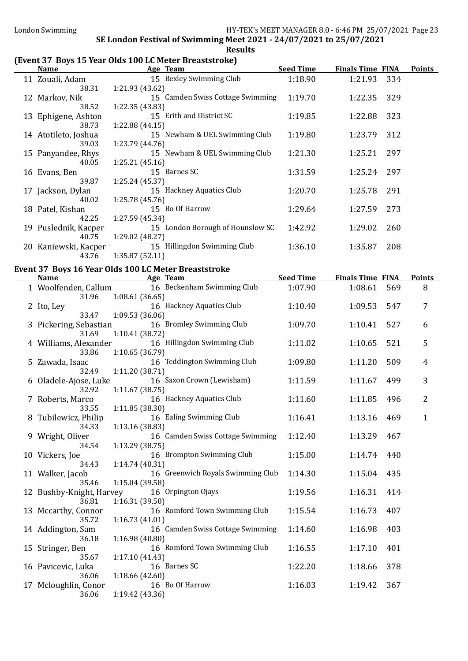# (Event 37 Boys 15 Year Olds 100 LC Meter Breaststroke)

| <b>Name</b>          | Age Team                      | <b>Seed Time</b>                                     | <b>Finals Time FINA</b>                                              | <b>Points</b> |
|----------------------|-------------------------------|------------------------------------------------------|----------------------------------------------------------------------|---------------|
| 11 Zouali, Adam      | 15 Bexley Swimming Club       | 1:18.90                                              | 1:21.93<br>334                                                       |               |
| 38.31                | 1:21.93 (43.62)               |                                                      |                                                                      |               |
| 12 Markov, Nik       |                               | 1:19.70                                              | 329<br>1:22.35                                                       |               |
| 38.52                | 1:22.35(43.83)                |                                                      |                                                                      |               |
| 13 Ephigene, Ashton  | 15 Erith and District SC      | 1:19.85                                              | 323<br>1:22.88                                                       |               |
| 38.73                | 1:22.88(44.15)                |                                                      |                                                                      |               |
| 14 Atotileto, Joshua | 15 Newham & UEL Swimming Club | 1:19.80                                              | 312<br>1:23.79                                                       |               |
| 39.03                | 1:23.79 (44.76)               |                                                      |                                                                      |               |
| 15 Panyandee, Rhys   | 15 Newham & UEL Swimming Club | 1:21.30                                              | 297<br>1:25.21                                                       |               |
| 40.05                | 1:25.21(45.16)                |                                                      |                                                                      |               |
| Evans, Ben           | 15 Barnes SC                  | 1:31.59                                              | 1:25.24<br>297                                                       |               |
| 39.87                | 1:25.24(45.37)                |                                                      |                                                                      |               |
| 17 Jackson, Dylan    | 15 Hackney Aquatics Club      | 1:20.70                                              | 291<br>1:25.78                                                       |               |
| 40.02                | 1:25.78(45.76)                |                                                      |                                                                      |               |
| 18 Patel, Kishan     | 15 Bo Of Harrow               | 1:29.64                                              | 1:27.59<br>273                                                       |               |
| 42.25                | 1:27.59(45.34)                |                                                      |                                                                      |               |
| 19 Puslednik, Kacper |                               | 1:42.92                                              | 260<br>1:29.02                                                       |               |
| 40.75                | 1:29.02 (48.27)               |                                                      |                                                                      |               |
| 20 Kaniewski, Kacper | 15 Hillingdon Swimming Club   | 1:36.10                                              | 1:35.87<br>208                                                       |               |
| 43.76                | 1:35.87(52.11)                |                                                      |                                                                      |               |
|                      |                               |                                                      |                                                                      |               |
| <b>Name</b>          | Age Team                      | <b>Seed Time</b>                                     | <b>Finals Time FINA</b>                                              | <b>Points</b> |
|                      |                               | Event 37 Boys 16 Year Olds 100 LC Meter Breaststroke | 15 Camden Swiss Cottage Swimming<br>15 London Borough of Hounslow SC |               |

| Name                      | Age Team                                             | seed Time | <b>Finals Time FINA</b> |     | <b>POINTS</b>  |
|---------------------------|------------------------------------------------------|-----------|-------------------------|-----|----------------|
| 1 Woolfenden, Callum      | 16 Beckenham Swimming Club                           | 1:07.90   | 1:08.61                 | 569 | 8              |
| 31.96                     | 1:08.61(36.65)                                       |           |                         |     |                |
| 2 Ito, Ley                | 16 Hackney Aquatics Club                             | 1:10.40   | 1:09.53                 | 547 | $\overline{7}$ |
| 33.47                     | 1:09.53(36.06)                                       |           |                         |     |                |
| 3 Pickering, Sebastian    | 16 Bromley Swimming Club                             | 1:09.70   | 1:10.41                 | 527 | 6              |
| 31.69                     | 1:10.41 (38.72)                                      |           |                         |     |                |
| 4 Williams, Alexander     | 16 Hillingdon Swimming Club                          | 1:11.02   | 1:10.65                 | 521 | 5              |
| 33.86                     | 1:10.65(36.79)                                       |           |                         |     |                |
| 5 Zawada, Isaac           | 16 Teddington Swimming Club                          | 1:09.80   | 1:11.20                 | 509 | $\overline{4}$ |
| 32.49                     | 1:11.20(38.71)                                       |           |                         |     |                |
| 6 Oladele-Ajose, Luke     | 16 Saxon Crown (Lewisham)                            | 1:11.59   | 1:11.67                 | 499 | 3              |
| 32.92                     | 1:11.67(38.75)                                       |           |                         |     |                |
| 7 Roberts, Marco          | 16 Hackney Aquatics Club                             | 1:11.60   | 1:11.85                 | 496 | $\overline{2}$ |
| 33.55                     | 1:11.85 (38.30)                                      |           |                         |     |                |
| 8 Tubilewicz, Philip      | 16 Ealing Swimming Club                              | 1:16.41   | 1:13.16                 | 469 | $\mathbf{1}$   |
| 34.33                     | 1:13.16 (38.83)                                      |           |                         |     |                |
| 9 Wright, Oliver          | 16 Camden Swiss Cottage Swimming                     | 1:12.40   | 1:13.29                 | 467 |                |
| 34.54                     | 1:13.29 (38.75)                                      |           |                         |     |                |
| 10 Vickers, Joe           | 16 Brompton Swimming Club                            | 1:15.00   | 1:14.74                 | 440 |                |
| 34.43                     | 1:14.74 (40.31)<br>16 Greenwich Royals Swimming Club | 1:14.30   | 1:15.04                 | 435 |                |
| 11 Walker, Jacob<br>35.46 | 1:15.04 (39.58)                                      |           |                         |     |                |
| 12 Bushby-Knight, Harvey  | 16 Orpington Ojays                                   | 1:19.56   | 1:16.31                 | 414 |                |
| 36.81                     | 1:16.31 (39.50)                                      |           |                         |     |                |
| 13 Mccarthy, Connor       | 16 Romford Town Swimming Club                        | 1:15.54   | 1:16.73                 | 407 |                |
| 35.72                     | 1:16.73(41.01)                                       |           |                         |     |                |
| 14 Addington, Sam         | 16 Camden Swiss Cottage Swimming                     | 1:14.60   | 1:16.98                 | 403 |                |
| 36.18                     | 1:16.98(40.80)                                       |           |                         |     |                |
| 15 Stringer, Ben          | 16 Romford Town Swimming Club                        | 1:16.55   | 1:17.10                 | 401 |                |
| 35.67                     | 1:17.10(41.43)                                       |           |                         |     |                |
| 16 Pavicevic, Luka        | 16 Barnes SC                                         | 1:22.20   | 1:18.66                 | 378 |                |
| 36.06                     | 1:18.66 (42.60)                                      |           |                         |     |                |
| 17 Mcloughlin, Conor      | 16 Bo Of Harrow                                      | 1:16.03   | 1:19.42                 | 367 |                |
| 36.06                     | 1:19.42 (43.36)                                      |           |                         |     |                |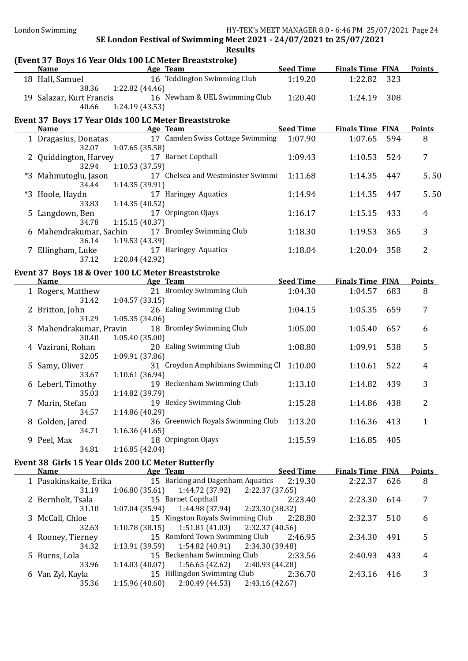| (Event 37 Boys 16 Year Olds 100 LC Meter Breaststroke) |  |
|--------------------------------------------------------|--|
|                                                        |  |

| <b>Name</b>                      | Age Team                                             | <b>Seed Time</b> | <b>Finals Time FINA</b> |     | <b>Points</b>  |
|----------------------------------|------------------------------------------------------|------------------|-------------------------|-----|----------------|
| 18 Hall, Samuel                  | 16 Teddington Swimming Club                          | 1:19.20          | 1:22.82                 | 323 |                |
| 38.36                            | 1:22.82 (44.46)                                      |                  |                         |     |                |
| 19 Salazar, Kurt Francis         | 16 Newham & UEL Swimming Club                        | 1:20.40          | 1:24.19                 | 308 |                |
| 40.66                            | 1:24.19(43.53)                                       |                  |                         |     |                |
|                                  | Event 37 Boys 17 Year Olds 100 LC Meter Breaststroke |                  |                         |     |                |
| <b>Name</b>                      | Age Team                                             | <b>Seed Time</b> | <b>Finals Time FINA</b> |     | <b>Points</b>  |
| 1 Dragasius, Donatas             | 17 Camden Swiss Cottage Swimming                     | 1:07.90          | 1:07.65                 | 594 | 8              |
| 32.07                            | 1:07.65(35.58)                                       |                  |                         |     |                |
| 2 Quiddington, Harvey            | 17 Barnet Copthall                                   | 1:09.43          | 1:10.53                 | 524 | $\overline{7}$ |
| 32.94                            | 1:10.53 (37.59)                                      |                  |                         |     |                |
| *3 Mahmutoglu, Jason             | 17 Chelsea and Westminster Swimmi                    | 1:11.68          | 1:14.35                 | 447 | 5.50           |
| 34.44                            | 1:14.35 (39.91)                                      |                  |                         |     |                |
| *3 Hoole, Haydn                  | 17 Haringey Aquatics                                 | 1:14.94          | 1:14.35                 | 447 | 5.50           |
| 33.83                            | 1:14.35 (40.52)                                      |                  |                         |     |                |
| 5 Langdown, Ben                  | 17 Orpington Ojays                                   | 1:16.17          | 1:15.15                 | 433 | $\overline{4}$ |
| 34.78                            | 1:15.15(40.37)<br>17 Bromley Swimming Club           |                  |                         |     | 3              |
| 6 Mahendrakumar, Sachin<br>36.14 | 1:19.53 (43.39)                                      | 1:18.30          | 1:19.53                 | 365 |                |
| 7 Ellingham, Luke                | 17 Haringey Aquatics                                 | 1:18.04          | 1:20.04                 | 358 | $\overline{2}$ |
| 37.12                            | 1:20.04 (42.92)                                      |                  |                         |     |                |
|                                  |                                                      |                  |                         |     |                |
|                                  | Event 37 Boys 18 & Over 100 LC Meter Breaststroke    |                  |                         |     |                |
| <b>Name</b>                      | Age Team                                             | <b>Seed Time</b> | <b>Finals Time FINA</b> |     | <b>Points</b>  |
| 1 Rogers, Matthew                | 21 Bromley Swimming Club                             | 1:04.30          | 1:04.57                 | 683 | 8              |
| 31.42                            | 1:04.57(33.15)<br>26 Ealing Swimming Club            | 1:04.15          | 1:05.35                 | 659 | $\overline{7}$ |
| 2 Britton, John<br>31.29         | 1:05.35(34.06)                                       |                  |                         |     |                |
| 3 Mahendrakumar, Pravin          | 18 Bromley Swimming Club                             | 1:05.00          | 1:05.40                 | 657 | 6              |
| 30.40                            | 1:05.40(35.00)                                       |                  |                         |     |                |
| 4 Vazirani, Rohan                | 20 Ealing Swimming Club                              | 1:08.80          | 1:09.91                 | 538 | 5              |
| 32.05                            | 1:09.91 (37.86)                                      |                  |                         |     |                |
| 5 Samy, Oliver                   | 31 Croydon Amphibians Swimming Cl                    | 1:10.00          | 1:10.61                 | 522 | $\overline{4}$ |
| 33.67                            | 1:10.61(36.94)                                       |                  |                         |     |                |
| 6 Leberl, Timothy                | 19 Beckenham Swimming Club                           | 1:13.10          | 1:14.82                 | 439 | 3              |
| 35.03                            | 1:14.82 (39.79)                                      |                  |                         |     |                |
| 7 Marin, Stefan                  | 19 Bexley Swimming Club                              | 1:15.28          | 1:14.86                 | 438 | $\overline{2}$ |
| 34.57                            | 1:14.86 (40.29)                                      |                  |                         |     |                |
| 8 Golden, Jared                  | 36 Greenwich Royals Swimming Club                    | 1:13.20          | 1:16.36                 | 413 | $\mathbf{1}$   |
| 34.71                            | 1:16.36(41.65)                                       |                  |                         |     |                |
| 9 Peel, Max                      | 18 Orpington Ojays                                   | 1:15.59          | 1:16.85                 | 405 |                |
| 34.81                            | 1:16.85(42.04)                                       |                  |                         |     |                |
|                                  | Event 38 Girls 15 Year Olds 200 LC Meter Butterfly   |                  |                         |     |                |

| <b>Name</b>            | Age Team       |                                   |                 | <b>Seed Time</b> | <b>Finals Time FINA</b> |     | <b>Points</b> |
|------------------------|----------------|-----------------------------------|-----------------|------------------|-------------------------|-----|---------------|
| 1 Pasakinskaite, Erika |                | 15 Barking and Dagenham Aquatics  |                 | 2:19.30          | 2:22.37                 | 626 | 8             |
| 31.19                  | 1:06.80(35.61) | $1:44.72(37.92)$ $2:22.37(37.65)$ |                 |                  |                         |     |               |
| 2 Bernholt, Tsala      |                | 15 Barnet Copthall                |                 | 2:23.40          | 2:23.30                 | 614 |               |
| 31.10                  | 1:07.04(35.94) | 1:44.98 (37.94)                   | 2:23.30 (38.32) |                  |                         |     |               |
| 3 McCall, Chloe        |                | 15 Kingston Royals Swimming Club  |                 | 2:28.80          | 2:32.37                 | 510 | 6             |
| 32.63                  | 1:10.78(38.15) | 1:51.81(41.03)                    | 2:32.37 (40.56) |                  |                         |     |               |
| 4 Rooney, Tierney      |                | 15 Romford Town Swimming Club     |                 | 2:46.95          | 2:34.30                 | 491 | 5             |
| 34.32                  | 1:13.91(39.59) | $1:54.82(40.91)$ $2:34.30(39.48)$ |                 |                  |                         |     |               |
| 5 Burns, Lola          |                | 15 Beckenham Swimming Club        |                 | 2:33.56          | 2:40.93                 | 433 | 4             |
| 33.96                  | 1:14.03(40.07) | $1:56.65(42.62)$ $2:40.93(44.28)$ |                 |                  |                         |     |               |
| 6 Van Zyl, Kayla       |                | 15 Hillingdon Swimming Club       |                 | 2:36.70          | 2:43.16                 | 416 | 3             |
| 35.36                  | 1:15.96(40.60) | 2:00.49 (44.53)                   | 2:43.16 (42.67) |                  |                         |     |               |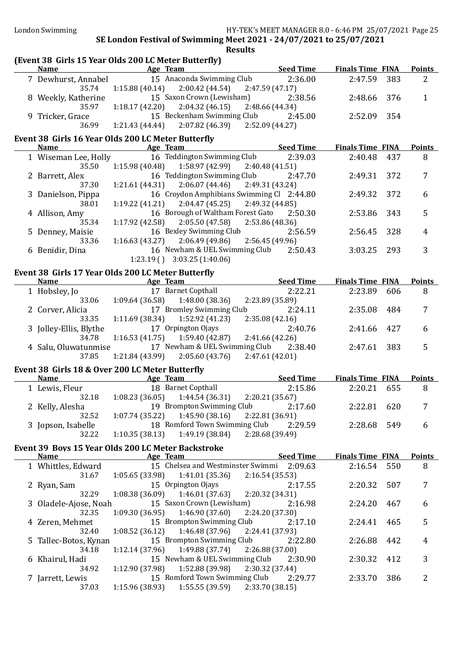| London Swimming                     | SE London Festival of Swimming Meet 2021 - 24/07/2021 to 25/07/2021               | HY-TEK's MEET MANAGER 8.0 - 6:46 PM 25/07/2021 Page 25 |                                    |     |                |
|-------------------------------------|-----------------------------------------------------------------------------------|--------------------------------------------------------|------------------------------------|-----|----------------|
| <b>Name</b>                         | (Event 38 Girls 15 Year Olds 200 LC Meter Butterfly)<br><b>Example 2</b> Age Team | <b>Results</b><br><b>Seed Time</b>                     | <b>Finals Time FINA</b>            |     | <b>Points</b>  |
| 7 Dewhurst, Annabel<br>35.74        | 15 Anaconda Swimming Club<br>1:15.88(40.14)<br>2:00.42(44.54)                     | 2:36.00<br>2:47.59(47.17)                              | 2:47.59                            | 383 | 2              |
| 8 Weekly, Katherine<br>35.97        | 15 Saxon Crown (Lewisham)<br>2:04.32(46.15)<br>1:18.17(42.20)                     | 2:38.56<br>2:48.66 (44.34)                             | 2:48.66                            | 376 | $\mathbf{1}$   |
| 9 Tricker, Grace<br>36.99           | 15 Beckenham Swimming Club<br>2:07.82 (46.39)<br>1:21.43(44.44)                   | 2:45.00<br>2:52.09 (44.27)                             | 2:52.09                            | 354 |                |
|                                     | Event 38 Girls 16 Year Olds 200 LC Meter Butterfly                                |                                                        |                                    |     |                |
| <b>Name</b><br>1 Wiseman Lee, Holly | Age Team<br>16 Teddington Swimming Club                                           | <b>Seed Time</b><br>2:39.03                            | <b>Finals Time FINA</b><br>2:40.48 | 437 | Points<br>8    |
| 35.50                               | $1:15.98(40.48)$ $1:58.97(42.99)$                                                 | 2:40.48 (41.51)                                        |                                    |     |                |
| 2 Barrett, Alex<br>37.30            | 16 Teddington Swimming Club<br>2:06.07 (44.46)<br>1:21.61 (44.31)                 | 2:47.70<br>2:49.31 (43.24)                             | 2:49.31                            | 372 | 7              |
| 3 Danielson, Pippa                  | 16 Croydon Amphibians Swimming Cl 2:44.80                                         |                                                        | 2:49.32                            | 372 | 6              |
| 38.01                               | $1:19.22(41.21)$ $2:04.47(45.25)$<br>16 Borough of Waltham Forest Gato            | 2:49.32 (44.85)<br>2:50.30                             | 2:53.86                            |     | 5              |
| 4 Allison, Amy<br>35.34             | $1:17.92(42.58)$ $2:05.50(47.58)$                                                 | 2:53.86 (48.36)                                        |                                    | 343 |                |
| 5 Denney, Maisie<br>33.36           | 16 Bexley Swimming Club<br>$1:16.63(43.27)$ $2:06.49(49.86)$                      | 2:56.59<br>2:56.45(49.96)                              | 2:56.45                            | 328 | 4              |
| 6 Benidir, Dina                     | 16 Newham & UEL Swimming Club                                                     | 2:50.43                                                | 3:03.25                            | 293 | 3              |
|                                     | $1:23.19$ () $3:03.25$ (1:40.06)                                                  |                                                        |                                    |     |                |
| <b>Name</b>                         | Event 38 Girls 17 Year Olds 200 LC Meter Butterfly<br>Age Team                    | <b>Seed Time</b>                                       | <b>Finals Time FINA</b>            |     | <b>Points</b>  |
| 1 Hobsley, Jo                       | 17 Barnet Copthall                                                                | 2:22.21                                                | 2:23.89                            | 606 | 8              |
| 33.06                               | 1:09.64(36.58)<br>1:48.00(38.36)                                                  | 2:23.89 (35.89)                                        |                                    |     |                |
| 2 Corver, Alicia<br>33.35           | 17 Bromley Swimming Club<br>1:11.69(38.34)<br>1:52.92(41.23)                      | 2:24.11<br>2:35.08(42.16)                              | 2:35.08                            | 484 | 7              |
| 3 Jolley-Ellis, Blythe              | 17 Orpington Ojays<br>1:59.40 (42.87)                                             | 2:40.76                                                | 2:41.66                            | 427 | 6              |
| 34.78<br>4 Salu, Oluwatunmise       | 1:16.53(41.75)<br>17 Newham & UEL Swimming Club                                   | 2:41.66 (42.26)<br>2:38.40                             | 2:47.61                            | 383 | 5              |
| 37.85                               | 2:05.60(43.76)<br>1:21.84 (43.99)                                                 | 2:47.61 (42.01)                                        |                                    |     |                |
| <u>Name</u>                         | Event 38 Girls 18 & Over 200 LC Meter Butterfly<br>Age Team                       | <b>Seed Time</b>                                       | <b>Finals Time FINA</b>            |     | <b>Points</b>  |
| 1 Lewis, Fleur                      | 18 Barnet Copthall                                                                | 2:15.86                                                | 2:20.21                            | 655 | 8              |
| 32.18                               | 1:08.23(36.05)<br>1:44.54(36.31)                                                  | 2:20.21 (35.67)                                        |                                    |     |                |
| 2 Kelly, Alesha<br>32.52            | 19 Brompton Swimming Club<br>1:45.90(38.16)<br>1:07.74(35.22)                     | 2:17.60<br>2:22.81 (36.91)                             | 2:22.81                            | 620 | 7              |
| 3 Jopson, Isabelle                  | 18 Romford Town Swimming Club                                                     | 2:29.59                                                | 2:28.68                            | 549 | 6              |
| 32.22                               | 1:10.35(38.13)<br>1:49.19 (38.84)                                                 | 2:28.68 (39.49)                                        |                                    |     |                |
|                                     | Event 39 Boys 15 Year Olds 200 LC Meter Backstroke                                |                                                        |                                    |     |                |
| <u>Name</u>                         | Age Team                                                                          | <b>Seed Time</b>                                       | <b>Finals Time FINA</b>            |     | <b>Points</b>  |
| 1 Whittles, Edward<br>31.67         | 15 Chelsea and Westminster Swimmi 2:09.63<br>1:05.65(33.98)<br>1:41.01(35.36)     | 2:16.54(35.53)                                         | 2:16.54                            | 550 | 8              |
| 2 Ryan, Sam<br>32.29                | 15 Orpington Ojays<br>1:08.38(36.09)<br>1:46.01(37.63)                            | 2:17.55<br>2:20.32 (34.31)                             | 2:20.32                            | 507 | 7              |
| 3 Oladele-Ajose, Noah               | 15 Saxon Crown (Lewisham)                                                         | 2:16.98                                                | 2:24.20                            | 467 | 6              |
| 32.35<br>4 Zeren, Mehmet            | 1:46.90 (37.60)<br>1:09.30(36.95)<br>15 Brompton Swimming Club                    | 2:24.20 (37.30)<br>2:17.10                             | 2:24.41                            | 465 | 5              |
| 32.40                               | 1:08.52(36.12)<br>1:46.48 (37.96)                                                 | 2:24.41 (37.93)                                        |                                    |     |                |
| 5 Tallec-Botos, Kynan<br>34.18      | 15 Brompton Swimming Club<br>1:12.14(37.96)<br>1:49.88 (37.74)                    | 2:22.80<br>2:26.88 (37.00)                             | 2:26.88                            | 442 | 4              |
| 6 Khairul, Hadi                     | 15 Newham & UEL Swimming Club                                                     | 2:30.90                                                | 2:30.32                            | 412 | 3              |
| 34.92<br>7 Jarrett, Lewis           | 1:12.90(37.98)<br>1:52.88 (39.98)<br>15 Romford Town Swimming Club                | 2:30.32 (37.44)<br>2:29.77                             | 2:33.70                            | 386 | $\overline{2}$ |
| 37.03                               | 1:15.96(38.93)<br>1:55.55(39.59)                                                  | 2:33.70 (38.15)                                        |                                    |     |                |
|                                     |                                                                                   |                                                        |                                    |     |                |
|                                     |                                                                                   |                                                        |                                    |     |                |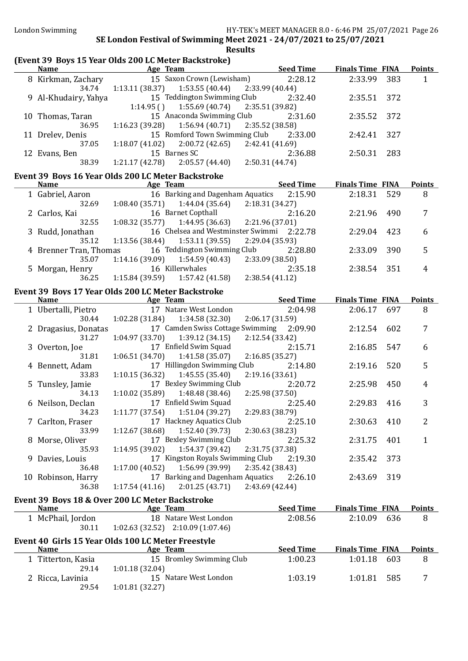# (Event 39 Boys 15 Year Olds 200 LC Meter Backstroke)

| <b>Name</b>                                                       |                           | Age Team                                  | <b>Seed Time</b> | <b>Finals Time FINA</b> |     | <b>Points</b>  |
|-------------------------------------------------------------------|---------------------------|-------------------------------------------|------------------|-------------------------|-----|----------------|
| 8 Kirkman, Zachary                                                |                           | 15 Saxon Crown (Lewisham)                 | 2:28.12          | 2:33.99                 | 383 | $\mathbf{1}$   |
| 34.74                                                             | 1:13.11(38.37)            | 1:53.55(40.44)                            | 2:33.99 (40.44)  |                         |     |                |
| 9 Al-Khudairy, Yahya                                              |                           | 15 Teddington Swimming Club               | 2:32.40          | 2:35.51                 | 372 |                |
|                                                                   | 1:14.95()                 | 1:55.69 (40.74)                           | 2:35.51 (39.82)  |                         |     |                |
| 10 Thomas, Taran                                                  |                           | 15 Anaconda Swimming Club                 | 2:31.60          | 2:35.52                 | 372 |                |
| 36.95                                                             | 1:16.23(39.28)            | 1:56.94(40.71)                            | 2:35.52 (38.58)  |                         |     |                |
| 11 Drelev, Denis                                                  |                           | 15 Romford Town Swimming Club             | 2:33.00          | 2:42.41                 | 327 |                |
| 37.05                                                             | 1:18.07(41.02)            | 2:00.72(42.65)                            | 2:42.41 (41.69)  |                         |     |                |
| 12 Evans, Ben                                                     |                           | 15 Barnes SC                              | 2:36.88          | 2:50.31                 | 283 |                |
| 38.39                                                             | 1:21.17(42.78)            | 2:05.57(44.40)                            | 2:50.31 (44.74)  |                         |     |                |
| Event 39 Boys 16 Year Olds 200 LC Meter Backstroke                |                           |                                           |                  |                         |     |                |
| <b>Name</b>                                                       |                           | Age Team                                  | <b>Seed Time</b> | <b>Finals Time FINA</b> |     | <b>Points</b>  |
| 1 Gabriel, Aaron                                                  |                           | 16 Barking and Dagenham Aquatics          | 2:15.90          | 2:18.31                 | 529 | 8              |
| 32.69                                                             | 1:08.40(35.71)            | 1:44.04(35.64)                            | 2:18.31(34.27)   |                         |     |                |
| 2 Carlos, Kai                                                     |                           | 16 Barnet Copthall                        | 2:16.20          | 2:21.96                 | 490 | 7              |
| 32.55                                                             | 1:08.32(35.77)            | 1:44.95(36.63)                            | 2:21.96 (37.01)  |                         |     |                |
| 3 Rudd, Jonathan                                                  |                           | 16 Chelsea and Westminster Swimmi 2:22.78 |                  | 2:29.04                 | 423 | 6              |
| 35.12                                                             | 1:13.56(38.44)            | 1:53.11(39.55)                            | 2:29.04 (35.93)  |                         |     |                |
| 4 Brenner Tran, Thomas                                            |                           | 16 Teddington Swimming Club               | 2:28.80          | 2:33.09                 | 390 | 5              |
| 35.07                                                             | 1:14.16(39.09)            | 1:54.59(40.43)                            | 2:33.09 (38.50)  |                         |     |                |
| 5 Morgan, Henry                                                   |                           | 16 Killerwhales                           | 2:35.18          | 2:38.54                 | 351 | $\overline{4}$ |
| 36.25                                                             | 1:15.84(39.59)            | 1:57.42 (41.58)                           | 2:38.54(41.12)   |                         |     |                |
|                                                                   |                           |                                           |                  |                         |     |                |
| Event 39 Boys 17 Year Olds 200 LC Meter Backstroke<br><b>Name</b> | <b>Example 2</b> Age Team |                                           | <b>Seed Time</b> | <b>Finals Time FINA</b> |     | <b>Points</b>  |
|                                                                   |                           | 17 Natare West London                     | 2:04.98          | 2:06.17                 | 697 |                |
| 1 Ubertalli, Pietro<br>30.44                                      |                           | $1:02.28(31.84)$ $1:34.58(32.30)$         | 2:06.17 (31.59)  |                         |     | 8              |
|                                                                   |                           | 17 Camden Swiss Cottage Swimming 2:09.90  |                  | 2:12.54                 | 602 | 7              |
| 2 Dragasius, Donatas<br>31.27                                     | 1:04.97 (33.70)           | 1:39.12(34.15)                            | 2:12.54 (33.42)  |                         |     |                |
| 3 Overton, Joe                                                    |                           | 17 Enfield Swim Squad                     | 2:15.71          | 2:16.85                 | 547 | 6              |
| 31.81                                                             | 1:06.51(34.70)            | 1:41.58(35.07)                            | 2:16.85(35.27)   |                         |     |                |
| 4 Bennett, Adam                                                   |                           | 17 Hillingdon Swimming Club               | 2:14.80          | 2:19.16                 | 520 | 5              |
| 33.83                                                             | 1:10.15(36.32)            | 1:45.55(35.40)                            | 2:19.16 (33.61)  |                         |     |                |
| 5 Tunsley, Jamie                                                  |                           | 17 Bexley Swimming Club                   | 2:20.72          | 2:25.98                 | 450 | 4              |
| 34.13                                                             | 1:10.02(35.89)            | 1:48.48 (38.46)                           | 2:25.98 (37.50)  |                         |     |                |
| 6 Neilson, Declan                                                 |                           | 17 Enfield Swim Squad                     | 2:25.40          | 2:29.83                 | 416 | 3              |
| 34.23                                                             | 1:11.77(37.54)            | 1:51.04(39.27)                            | 2:29.83 (38.79)  |                         |     |                |
| 7 Carlton, Fraser                                                 |                           | 17 Hackney Aquatics Club                  | 2:25.10          | 2:30.63                 | 410 | 2              |
| 33.99                                                             | 1:12.67 (38.68)           | 1:52.40 (39.73)                           | 2:30.63 (38.23)  |                         |     |                |
| 8 Morse, Oliver                                                   |                           | 17 Bexley Swimming Club                   | 2:25.32          | 2:31.75                 | 401 | $\mathbf{1}$   |
| 35.93                                                             | 1:14.95 (39.02)           | 1:54.37 (39.42)                           | 2:31.75 (37.38)  |                         |     |                |
| 9 Davies, Louis                                                   |                           | 17 Kingston Royals Swimming Club          | 2:19.30          | 2:35.42                 | 373 |                |
| 36.48                                                             | 1:17.00(40.52)            | 1:56.99 (39.99)                           | 2:35.42 (38.43)  |                         |     |                |
| 10 Robinson, Harry                                                |                           | 17 Barking and Dagenham Aquatics          | 2:26.10          | 2:43.69                 | 319 |                |
| 36.38                                                             | 1:17.54(41.16)            | 2:01.25(43.71)                            | 2:43.69 (42.44)  |                         |     |                |
|                                                                   |                           |                                           |                  |                         |     |                |
| Event 39 Boys 18 & Over 200 LC Meter Backstroke                   |                           |                                           |                  | <b>Finals Time FINA</b> |     |                |
| <b>Name</b>                                                       |                           | Age Team<br>18 Natare West London         | <b>Seed Time</b> |                         |     | Points         |
| 1 McPhail, Jordon                                                 |                           |                                           | 2:08.56          | 2:10.09                 | 636 | 8              |
| 30.11                                                             |                           | 1:02.63 (32.52) 2:10.09 (1:07.46)         |                  |                         |     |                |
| Event 40 Girls 15 Year Olds 100 LC Meter Freestyle                |                           |                                           |                  |                         |     |                |
| <u>Name</u>                                                       |                           | Age Team                                  | <b>Seed Time</b> | <b>Finals Time FINA</b> |     | <b>Points</b>  |
| 1 Titterton, Kasia                                                |                           | 15 Bromley Swimming Club                  | 1:00.23          | 1:01.18                 | 603 | 8              |
| 29.14                                                             | 1:01.18(32.04)            |                                           |                  |                         |     |                |
| 2 Ricca, Lavinia                                                  |                           | 15 Natare West London                     | 1:03.19          | 1:01.81                 | 585 | 7              |
| 29.54                                                             | 1:01.81(32.27)            |                                           |                  |                         |     |                |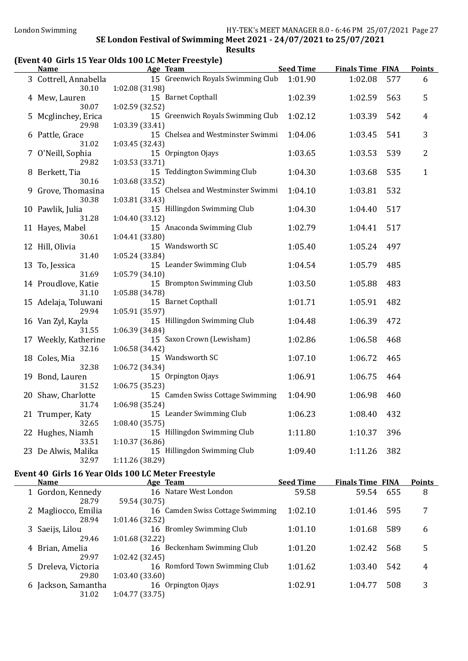# (Event 40 Girls 15 Year Olds 100 LC Meter Freestyle)

| <b>Name</b>                  | Age Team                                     | <b>Seed Time</b> | <b>Finals Time FINA</b> |     | <b>Points</b>  |
|------------------------------|----------------------------------------------|------------------|-------------------------|-----|----------------|
| 3 Cottrell, Annabella        | 15 Greenwich Royals Swimming Club            | 1:01.90          | 1:02.08                 | 577 | 6              |
| 30.10                        | 1:02.08 (31.98)                              |                  |                         |     |                |
| 4 Mew, Lauren                | 15 Barnet Copthall                           | 1:02.39          | 1:02.59                 | 563 | 5              |
| 30.07                        | 1:02.59 (32.52)                              |                  |                         |     |                |
| 5 Mcglinchey, Erica          | 15 Greenwich Royals Swimming Club            | 1:02.12          | 1:03.39                 | 542 | $\overline{4}$ |
| 29.98                        | 1:03.39 (33.41)                              |                  |                         |     |                |
| 6 Pattle, Grace              | 15 Chelsea and Westminster Swimmi            | 1:04.06          | 1:03.45                 | 541 | 3              |
| 31.02                        | 1:03.45 (32.43)                              |                  |                         |     |                |
| 7 O'Neill, Sophia            | 15 Orpington Ojays                           | 1:03.65          | 1:03.53                 | 539 | $\overline{2}$ |
| 29.82                        | 1:03.53 (33.71)                              |                  |                         |     |                |
| 8 Berkett, Tia               | 15 Teddington Swimming Club                  | 1:04.30          | 1:03.68                 | 535 | $\mathbf{1}$   |
| 30.16                        | 1:03.68 (33.52)                              |                  |                         |     |                |
| 9 Grove, Thomasina           | 15 Chelsea and Westminster Swimmi            | 1:04.10          | 1:03.81                 | 532 |                |
| 30.38                        | 1:03.81 (33.43)                              |                  |                         |     |                |
| 10 Pawlik, Julia             | 15 Hillingdon Swimming Club                  | 1:04.30          | 1:04.40                 | 517 |                |
| 31.28                        | 1:04.40 (33.12)                              |                  |                         |     |                |
| 11 Hayes, Mabel              | 15 Anaconda Swimming Club                    | 1:02.79          | 1:04.41                 | 517 |                |
| 30.61                        | 1:04.41 (33.80)                              |                  |                         |     |                |
| 12 Hill, Olivia              | 15 Wandsworth SC                             | 1:05.40          | 1:05.24                 | 497 |                |
| 31.40                        | 1:05.24(33.84)                               |                  |                         |     |                |
| 13 To, Jessica               | 15 Leander Swimming Club                     | 1:04.54          | 1:05.79                 | 485 |                |
| 31.69                        | 1:05.79 (34.10)<br>15 Brompton Swimming Club |                  |                         |     |                |
| 14 Proudlove, Katie<br>31.10 | 1:05.88 (34.78)                              | 1:03.50          | 1:05.88                 | 483 |                |
| 15 Adelaja, Toluwani         | 15 Barnet Copthall                           | 1:01.71          | 1:05.91                 | 482 |                |
| 29.94                        | 1:05.91 (35.97)                              |                  |                         |     |                |
| 16 Van Zyl, Kayla            | 15 Hillingdon Swimming Club                  | 1:04.48          | 1:06.39                 | 472 |                |
| 31.55                        | 1:06.39 (34.84)                              |                  |                         |     |                |
| 17 Weekly, Katherine         | 15 Saxon Crown (Lewisham)                    | 1:02.86          | 1:06.58                 | 468 |                |
| 32.16                        | 1:06.58 (34.42)                              |                  |                         |     |                |
| 18 Coles, Mia                | 15 Wandsworth SC                             | 1:07.10          | 1:06.72                 | 465 |                |
| 32.38                        | 1:06.72 (34.34)                              |                  |                         |     |                |
| 19 Bond, Lauren              | 15 Orpington Ojays                           | 1:06.91          | 1:06.75                 | 464 |                |
| 31.52                        | 1:06.75(35.23)                               |                  |                         |     |                |
| 20 Shaw, Charlotte           | 15 Camden Swiss Cottage Swimming             | 1:04.90          | 1:06.98                 | 460 |                |
| 31.74                        | 1:06.98 (35.24)                              |                  |                         |     |                |
| 21 Trumper, Katy             | 15 Leander Swimming Club                     | 1:06.23          | 1:08.40                 | 432 |                |
| 32.65                        | 1:08.40(35.75)                               |                  |                         |     |                |
| 22 Hughes, Niamh             | 15 Hillingdon Swimming Club                  | 1:11.80          | 1:10.37                 | 396 |                |
| 33.51                        | 1:10.37(36.86)                               |                  |                         |     |                |
| 23 De Alwis, Malika          | 15 Hillingdon Swimming Club                  | 1:09.40          | 1:11.26                 | 382 |                |
| 32.97                        | 1:11.26 (38.29)                              |                  |                         |     |                |

# Event 40 Girls 16 Year Olds 100 LC Meter Freestyle

 $\equiv$ 

| <b>Name</b>         | Age Team                         | <b>Seed Time</b> | <b>Finals Time FINA</b> |     | <b>Points</b> |
|---------------------|----------------------------------|------------------|-------------------------|-----|---------------|
| 1 Gordon, Kennedy   | 16 Natare West London            | 59.58            | 59.54                   | 655 | 8             |
| 28.79               | 59.54 (30.75)                    |                  |                         |     |               |
| 2 Magliocco, Emilia | 16 Camden Swiss Cottage Swimming | 1:02.10          | 1:01.46                 | 595 |               |
| 28.94               | 1:01.46(32.52)                   |                  |                         |     |               |
| 3 Saeijs, Lilou     | 16 Bromley Swimming Club         | 1:01.10          | 1:01.68                 | 589 | 6             |
| 29.46               | 1:01.68(32.22)                   |                  |                         |     |               |
| 4 Brian, Amelia     | 16 Beckenham Swimming Club       | 1:01.20          | 1:02.42                 | 568 | 5             |
| 29.97               | 1:02.42(32.45)                   |                  |                         |     |               |
| 5 Dreleva, Victoria | 16 Romford Town Swimming Club    | 1:01.62          | 1:03.40                 | 542 | 4             |
| 29.80               | 1:03.40(33.60)                   |                  |                         |     |               |
| 6 Jackson, Samantha | 16 Orpington Ojays               | 1:02.91          | 1:04.77                 | 508 | 3             |
| 31.02               | 1:04.77(33.75)                   |                  |                         |     |               |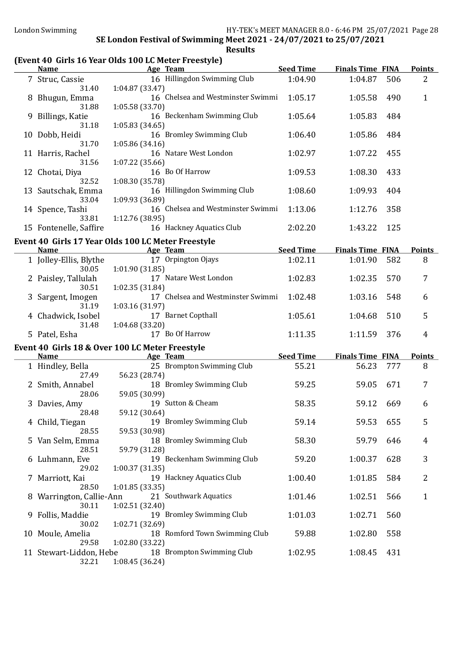# (Event 40 Girls 16 Year Olds 100 LC Meter Freestyle)

| <b>Name</b>              | Age Team                                           | <b>Seed Time</b> | <b>Finals Time FINA</b> |     | <b>Points</b>         |
|--------------------------|----------------------------------------------------|------------------|-------------------------|-----|-----------------------|
| 7 Struc, Cassie          | 16 Hillingdon Swimming Club                        | 1:04.90          | 1:04.87                 | 506 | $\mathbf{2}^{\prime}$ |
| 31.40                    | 1:04.87(33.47)                                     |                  |                         |     |                       |
| 8 Bhugun, Emma           | 16 Chelsea and Westminster Swimmi                  | 1:05.17          | 1:05.58                 | 490 | $\mathbf{1}$          |
| 31.88                    | 1:05.58 (33.70)                                    |                  |                         |     |                       |
| 9 Billings, Katie        | 16 Beckenham Swimming Club                         | 1:05.64          | 1:05.83                 | 484 |                       |
| 31.18                    | 1:05.83(34.65)                                     |                  |                         |     |                       |
| 10 Dobb, Heidi           | 16 Bromley Swimming Club                           | 1:06.40          | 1:05.86                 | 484 |                       |
| 31.70                    | 1:05.86(34.16)                                     |                  |                         |     |                       |
| 11 Harris, Rachel        | 16 Natare West London                              | 1:02.97          | 1:07.22                 | 455 |                       |
| 31.56                    | 1:07.22(35.66)                                     |                  |                         |     |                       |
| 12 Chotai, Diya          | 16 Bo Of Harrow                                    | 1:09.53          | 1:08.30                 | 433 |                       |
| 32.52                    | 1:08.30 (35.78)                                    |                  |                         |     |                       |
| 13 Sautschak, Emma       | 16 Hillingdon Swimming Club                        | 1:08.60          | 1:09.93                 | 404 |                       |
| 33.04                    | 1:09.93 (36.89)                                    |                  |                         |     |                       |
| 14 Spence, Tashi         | 16 Chelsea and Westminster Swimmi                  | 1:13.06          | 1:12.76                 | 358 |                       |
| 33.81                    | 1:12.76 (38.95)                                    |                  |                         |     |                       |
| 15 Fontenelle, Saffire   | 16 Hackney Aquatics Club                           | 2:02.20          | 1:43.22                 | 125 |                       |
|                          |                                                    |                  |                         |     |                       |
|                          | Event 40 Girls 17 Year Olds 100 LC Meter Freestyle |                  |                         |     |                       |
| <b>Name</b>              | Age Team                                           | <b>Seed Time</b> | <b>Finals Time FINA</b> |     | <b>Points</b>         |
| 1 Jolley-Ellis, Blythe   | 17 Orpington Ojays                                 | 1:02.11          | 1:01.90                 | 582 | 8                     |
| 30.05                    | 1:01.90 (31.85)                                    |                  |                         |     |                       |
| 2 Paisley, Tallulah      | 17 Natare West London                              | 1:02.83          | 1:02.35                 | 570 | 7                     |
| 30.51                    | 1:02.35 (31.84)                                    |                  |                         |     |                       |
| 3 Sargent, Imogen        | 17 Chelsea and Westminster Swimmi                  | 1:02.48          | 1:03.16                 | 548 | 6                     |
| 31.19                    | 1:03.16 (31.97)                                    |                  |                         |     |                       |
| 4 Chadwick, Isobel       | 17 Barnet Copthall                                 | 1:05.61          | 1:04.68                 | 510 | 5                     |
| 31.48                    | 1:04.68 (33.20)                                    |                  |                         |     |                       |
| 5 Patel, Esha            | 17 Bo Of Harrow                                    | 1:11.35          | 1:11.59                 | 376 | 4                     |
|                          | Event 40 Girls 18 & Over 100 LC Meter Freestyle    |                  |                         |     |                       |
| <b>Name</b>              | Age Team                                           | <b>Seed Time</b> | <b>Finals Time FINA</b> |     | <b>Points</b>         |
| 1 Hindley, Bella         | 25 Brompton Swimming Club                          | 55.21            | 56.23                   | 777 | 8                     |
| 27.49                    | 56.23 (28.74)                                      |                  |                         |     |                       |
| 2 Smith, Annabel         | 18 Bromley Swimming Club                           | 59.25            | 59.05                   | 671 | 7                     |
| 28.06                    | 59.05 (30.99)                                      |                  |                         |     |                       |
| 3 Davies, Amy            | 19 Sutton & Cheam                                  | 58.35            | 59.12                   | 669 | 6                     |
| 28.48                    | 59.12 (30.64)                                      |                  |                         |     |                       |
| 4 Child, Tiegan          | 19 Bromley Swimming Club                           | 59.14            | 59.53                   | 655 | 5                     |
| 28.55                    | 59.53 (30.98)                                      |                  |                         |     |                       |
| 5 Van Selm, Emma         | 18 Bromley Swimming Club                           | 58.30            | 59.79                   | 646 | 4                     |
| 28.51                    | 59.79 (31.28)                                      |                  |                         |     |                       |
| 6 Luhmann, Eve           | 19 Beckenham Swimming Club                         | 59.20            | 1:00.37                 | 628 | 3                     |
| 29.02                    | 1:00.37(31.35)                                     |                  |                         |     |                       |
| 7 Marriott, Kai          | 19 Hackney Aquatics Club                           | 1:00.40          | 1:01.85                 | 584 | 2                     |
| 28.50                    | 1:01.85(33.35)                                     |                  |                         |     |                       |
| 8 Warrington, Callie-Ann | 21 Southwark Aquatics                              | 1:01.46          | 1:02.51                 | 566 | $\mathbf{1}$          |
| 30.11                    | 1:02.51 (32.40)                                    |                  |                         |     |                       |
| 9 Follis, Maddie         | 19 Bromley Swimming Club                           | 1:01.03          | 1:02.71                 | 560 |                       |
| 30.02                    | 1:02.71 (32.69)                                    |                  |                         |     |                       |
| 10 Moule, Amelia         | 18 Romford Town Swimming Club                      | 59.88            | 1:02.80                 | 558 |                       |
| 29.58                    | 1:02.80 (33.22)                                    |                  |                         |     |                       |
| 11 Stewart-Liddon, Hebe  | 18 Brompton Swimming Club                          | 1:02.95          | 1:08.45                 | 431 |                       |
| 32.21                    | 1:08.45 (36.24)                                    |                  |                         |     |                       |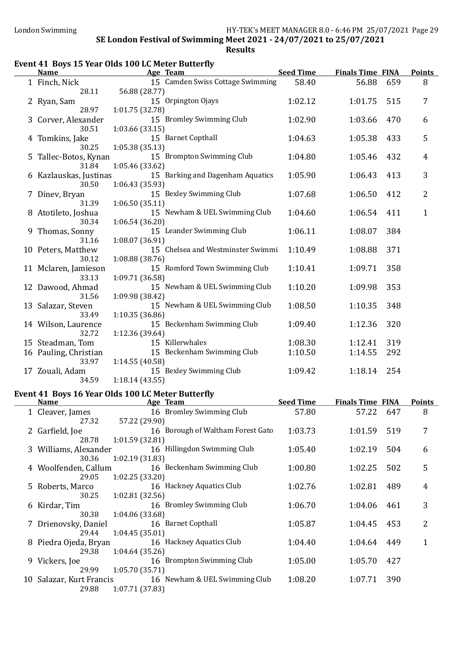# Event 41 Boys 15 Year Olds 100 LC Meter Butterfly

| <b>Name</b>            | Age Team                          | <b>Seed Time</b> | <b>Finals Time FINA</b> |     | <b>Points</b> |
|------------------------|-----------------------------------|------------------|-------------------------|-----|---------------|
| 1 Finch, Nick          | 15 Camden Swiss Cottage Swimming  | 58.40            | 56.88                   | 659 | 8             |
| 28.11                  | 56.88 (28.77)                     |                  |                         |     |               |
| 2 Ryan, Sam            | 15 Orpington Ojays                | 1:02.12          | 1:01.75                 | 515 | 7             |
| 28.97                  | 1:01.75 (32.78)                   |                  |                         |     |               |
| 3 Corver, Alexander    | 15 Bromley Swimming Club          | 1:02.90          | 1:03.66                 | 470 | 6             |
| 30.51                  | 1:03.66(33.15)                    |                  |                         |     |               |
| 4 Tomkins, Jake        | 15 Barnet Copthall                | 1:04.63          | 1:05.38                 | 433 | 5             |
| 30.25                  | 1:05.38(35.13)                    |                  |                         |     |               |
| 5 Tallec-Botos, Kynan  | 15 Brompton Swimming Club         | 1:04.80          | 1:05.46                 | 432 | 4             |
| 31.84                  | 1:05.46 (33.62)                   |                  |                         |     |               |
| 6 Kazlauskas, Justinas | 15 Barking and Dagenham Aquatics  | 1:05.90          | 1:06.43                 | 413 | 3             |
| 30.50                  | 1:06.43 (35.93)                   |                  |                         |     |               |
| 7 Dinev, Bryan         | 15 Bexley Swimming Club           | 1:07.68          | 1:06.50                 | 412 | 2             |
| 31.39                  | 1:06.50(35.11)                    |                  |                         |     |               |
| 8 Atotileto, Joshua    | 15 Newham & UEL Swimming Club     | 1:04.60          | 1:06.54                 | 411 | $\mathbf{1}$  |
| 30.34                  | 1:06.54(36.20)                    |                  |                         |     |               |
| 9 Thomas, Sonny        | 15 Leander Swimming Club          | 1:06.11          | 1:08.07                 | 384 |               |
| 31.16                  | 1:08.07 (36.91)                   |                  |                         |     |               |
| 10 Peters, Matthew     | 15 Chelsea and Westminster Swimmi | 1:10.49          | 1:08.88                 | 371 |               |
| 30.12                  | 1:08.88 (38.76)                   |                  |                         |     |               |
| 11 Mclaren, Jamieson   | 15 Romford Town Swimming Club     | 1:10.41          | 1:09.71                 | 358 |               |
| 33.13                  | 1:09.71 (36.58)                   |                  |                         |     |               |
| 12 Dawood, Ahmad       | 15 Newham & UEL Swimming Club     | 1:10.20          | 1:09.98                 | 353 |               |
| 31.56                  | 1:09.98 (38.42)                   |                  |                         |     |               |
| 13 Salazar, Steven     | 15 Newham & UEL Swimming Club     | 1:08.50          | 1:10.35                 | 348 |               |
| 33.49                  | 1:10.35(36.86)                    |                  |                         |     |               |
| 14 Wilson, Laurence    | 15 Beckenham Swimming Club        | 1:09.40          | 1:12.36                 | 320 |               |
| 32.72                  | 1:12.36(39.64)                    |                  |                         |     |               |
| 15 Steadman, Tom       | 15 Killerwhales                   | 1:08.30          | 1:12.41                 | 319 |               |
| 16 Pauling, Christian  | 15 Beckenham Swimming Club        | 1:10.50          | 1:14.55                 | 292 |               |
| 33.97                  | 1:14.55(40.58)                    |                  |                         |     |               |
| 17 Zouali, Adam        | 15 Bexley Swimming Club           | 1:09.42          | 1:18.14                 | 254 |               |
| 34.59                  | 1:18.14(43.55)                    |                  |                         |     |               |

## Event 41 Boys 16 Year Olds 100 LC Meter Butterfly

| EVEILL 41 DOVS TO TEAL ORD TOO LC METEL DUCTELITY |                          |                                   |                  |                         |     |               |
|---------------------------------------------------|--------------------------|-----------------------------------|------------------|-------------------------|-----|---------------|
|                                                   | <b>Name</b>              | Age Team                          | <b>Seed Time</b> | <b>Finals Time FINA</b> |     | <b>Points</b> |
|                                                   | 1 Cleaver, James         | 16 Bromley Swimming Club          | 57.80            | 57.22                   | 647 | 8             |
|                                                   | 27.32                    | 57.22 (29.90)                     |                  |                         |     |               |
|                                                   | 2 Garfield, Joe          | 16 Borough of Waltham Forest Gato | 1:03.73          | 1:01.59                 | 519 | 7             |
|                                                   | 28.78                    | 1:01.59(32.81)                    |                  |                         |     |               |
|                                                   | 3 Williams, Alexander    | 16 Hillingdon Swimming Club       | 1:05.40          | 1:02.19                 | 504 | 6             |
|                                                   | 30.36                    | 1:02.19(31.83)                    |                  |                         |     |               |
|                                                   | 4 Woolfenden, Callum     | 16 Beckenham Swimming Club        | 1:00.80          | 1:02.25                 | 502 | 5             |
|                                                   | 29.05                    | 1:02.25(33.20)                    |                  |                         |     |               |
|                                                   | 5 Roberts, Marco         | 16 Hackney Aquatics Club          | 1:02.76          | 1:02.81                 | 489 | 4             |
|                                                   | 30.25                    | 1:02.81(32.56)                    |                  |                         |     |               |
|                                                   | 6 Kirdar, Tim            | 16 Bromley Swimming Club          | 1:06.70          | 1:04.06                 | 461 | 3             |
|                                                   | 30.38                    | 1:04.06 (33.68)                   |                  |                         |     |               |
|                                                   | 7 Drienovsky, Daniel     | 16 Barnet Copthall                | 1:05.87          | 1:04.45                 | 453 | 2             |
|                                                   | 29.44                    | 1:04.45(35.01)                    |                  |                         |     |               |
|                                                   | 8 Piedra Ojeda, Bryan    | 16 Hackney Aquatics Club          | 1:04.40          | 1:04.64                 | 449 | $\mathbf{1}$  |
|                                                   | 29.38                    | 1:04.64(35.26)                    |                  |                         |     |               |
|                                                   | 9 Vickers, Joe           | 16 Brompton Swimming Club         | 1:05.00          | 1:05.70                 | 427 |               |
|                                                   | 29.99                    | 1:05.70(35.71)                    |                  |                         |     |               |
|                                                   | 10 Salazar, Kurt Francis | 16 Newham & UEL Swimming Club     | 1:08.20          | 1:07.71                 | 390 |               |
|                                                   | 29.88                    | 1:07.71 (37.83)                   |                  |                         |     |               |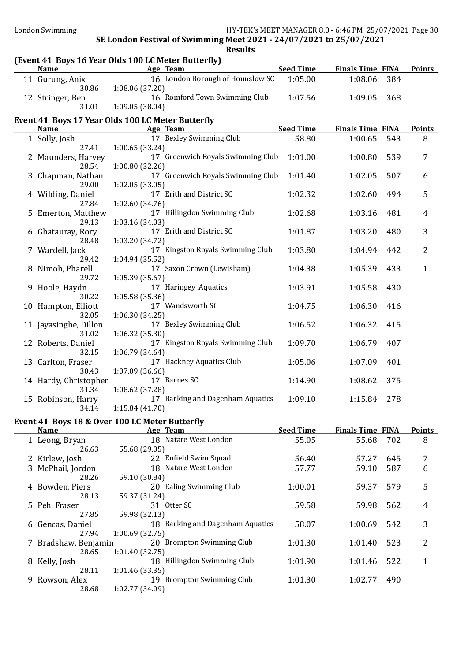|    | (Event 41 Boys 16 Year Olds 100 LC Meter Butterfly)<br><b>Name</b> |                                    | nesults<br>Age Team               | <b>Seed Time</b> | <b>Finals Time FINA</b> |     | <b>Points</b>  |
|----|--------------------------------------------------------------------|------------------------------------|-----------------------------------|------------------|-------------------------|-----|----------------|
|    | 11 Gurung, Anix<br>30.86                                           | 1:08.06 (37.20)                    | 16 London Borough of Hounslow SC  | 1:05.00          | 1:08.06                 | 384 |                |
|    | 12 Stringer, Ben<br>31.01                                          | 1:09.05 (38.04)                    | 16 Romford Town Swimming Club     | 1:07.56          | 1:09.05                 | 368 |                |
|    | Event 41 Boys 17 Year Olds 100 LC Meter Butterfly                  |                                    |                                   |                  |                         |     |                |
|    | <b>Name</b>                                                        |                                    | Age Team                          | <b>Seed Time</b> | <b>Finals Time FINA</b> |     | <b>Points</b>  |
|    | 1 Solly, Josh<br>27.41                                             | 1:00.65(33.24)                     | 17 Bexley Swimming Club           | 58.80            | 1:00.65                 | 543 | 8              |
|    | 2 Maunders, Harvey<br>28.54                                        | 1:00.80 (32.26)                    | 17 Greenwich Royals Swimming Club | 1:01.00          | 1:00.80                 | 539 | 7              |
|    | 3 Chapman, Nathan<br>29.00                                         | 1:02.05(33.05)                     | 17 Greenwich Royals Swimming Club | 1:01.40          | 1:02.05                 | 507 | 6              |
|    | 4 Wilding, Daniel                                                  |                                    | 17 Erith and District SC          | 1:02.32          | 1:02.60                 | 494 | 5              |
|    | 27.84<br>5 Emerton, Matthew                                        | 1:02.60 (34.76)                    | 17 Hillingdon Swimming Club       | 1:02.68          | 1:03.16                 | 481 | 4              |
|    | 29.13<br>6 Ghatauray, Rory                                         | 1:03.16 (34.03)                    | 17 Erith and District SC          | 1:01.87          | 1:03.20                 | 480 | 3              |
|    | 28.48                                                              | 1:03.20 (34.72)                    |                                   |                  |                         |     |                |
|    | 7 Wardell, Jack<br>29.42                                           | 1:04.94 (35.52)                    | 17 Kingston Royals Swimming Club  | 1:03.80          | 1:04.94                 | 442 | 2              |
|    | 8 Nimoh, Pharell<br>29.72                                          | 1:05.39(35.67)                     | 17 Saxon Crown (Lewisham)         | 1:04.38          | 1:05.39                 | 433 | $\mathbf{1}$   |
|    | 9 Hoole, Haydn<br>30.22                                            | 1:05.58 (35.36)                    | 17 Haringey Aquatics              | 1:03.91          | 1:05.58                 | 430 |                |
|    | 10 Hampton, Elliott                                                |                                    | 17 Wandsworth SC                  | 1:04.75          | 1:06.30                 | 416 |                |
|    | 32.05<br>11 Jayasinghe, Dillon                                     | 1:06.30 (34.25)                    | 17 Bexley Swimming Club           | 1:06.52          | 1:06.32                 | 415 |                |
|    | 31.02<br>12 Roberts, Daniel<br>32.15                               | 1:06.32 (35.30)                    | 17 Kingston Royals Swimming Club  | 1:09.70          | 1:06.79                 | 407 |                |
|    | 13 Carlton, Fraser                                                 | 1:06.79(34.64)                     | 17 Hackney Aquatics Club          | 1:05.06          | 1:07.09                 | 401 |                |
|    | 30.43<br>14 Hardy, Christopher                                     | 1:07.09(36.66)                     | 17 Barnes SC                      | 1:14.90          | 1:08.62                 | 375 |                |
|    | 31.34<br>15 Robinson, Harry                                        | 1:08.62 (37.28)                    | 17 Barking and Dagenham Aquatics  | 1:09.10          | 1:15.84                 | 278 |                |
|    | 34.14<br>Event 41 Boys 18 & Over 100 LC Meter Butterfly            | 1:15.84(41.70)                     |                                   |                  |                         |     |                |
|    | <b>Name</b>                                                        |                                    | Age Team                          | <b>Seed Time</b> | <b>Finals Time FINA</b> |     | <b>Points</b>  |
|    | 1 Leong, Bryan<br>26.63                                            | 55.68 (29.05)                      | 18 Natare West London             | 55.05            | 55.68                   | 702 | 8              |
|    | 2 Kirlew, Josh                                                     |                                    | 22 Enfield Swim Squad             | 56.40            | 57.27                   | 645 | 7              |
|    |                                                                    |                                    | 18 Natare West London             | 57.77            | 59.10                   | 587 |                |
|    | 3 McPhail, Jordon<br>28.26                                         | 59.10 (30.84)                      |                                   |                  |                         |     | 6              |
|    | 4 Bowden, Piers<br>28.13                                           | 59.37 (31.24)                      | 20 Ealing Swimming Club           | 1:00.01          | 59.37                   | 579 | 5              |
| 5. | Peh, Fraser<br>27.85                                               | 59.98 (32.13)                      | 31 Otter SC                       | 59.58            | 59.98                   | 562 | 4              |
| 6  | Gencas, Daniel<br>27.94                                            | 1:00.69(32.75)                     | 18 Barking and Dagenham Aquatics  | 58.07            | 1:00.69                 | 542 | 3              |
|    | 7 Bradshaw, Benjamin<br>28.65                                      | 1:01.40 (32.75)                    | 20 Brompton Swimming Club         | 1:01.30          | 1:01.40                 | 523 | $\overline{2}$ |
|    | 8 Kelly, Josh                                                      |                                    | 18 Hillingdon Swimming Club       | 1:01.90          | 1:01.46                 | 522 | $\mathbf{1}$   |
|    | 28.11<br>9 Rowson, Alex<br>28.68                                   | 1:01.46 (33.35)<br>1:02.77 (34.09) | 19 Brompton Swimming Club         | 1:01.30          | 1:02.77                 | 490 |                |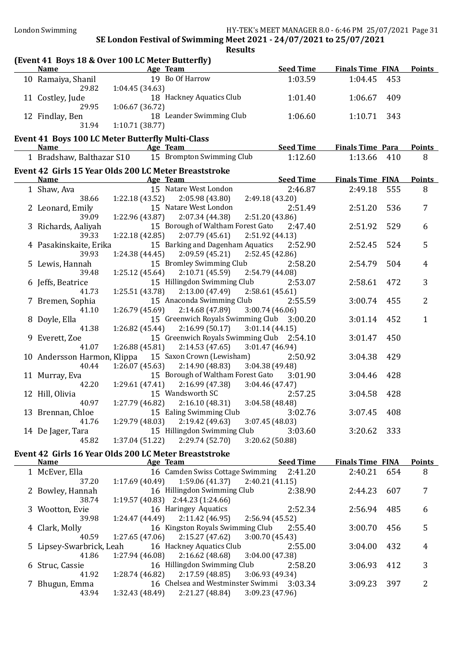| (Event 41 Boys 18 & Over 100 LC Meter Butterfly)                |                 |                                              |                  |                         |     |                |  |  |
|-----------------------------------------------------------------|-----------------|----------------------------------------------|------------------|-------------------------|-----|----------------|--|--|
| <b>Name</b>                                                     |                 | Age Team                                     | <b>Seed Time</b> | <b>Finals Time FINA</b> |     | <b>Points</b>  |  |  |
| 10 Ramaiya, Shanil                                              |                 | 19 Bo Of Harrow                              | 1:03.59          | 1:04.45                 | 453 |                |  |  |
| 29.82                                                           | 1:04.45(34.63)  |                                              |                  |                         |     |                |  |  |
| 11 Costley, Jude                                                |                 | 18 Hackney Aquatics Club                     | 1:01.40          | 1:06.67                 | 409 |                |  |  |
| 29.95                                                           | 1:06.67(36.72)  |                                              |                  |                         |     |                |  |  |
| 12 Findlay, Ben                                                 |                 | 18 Leander Swimming Club                     | 1:06.60          | 1:10.71                 | 343 |                |  |  |
| 31.94                                                           | 1:10.71(38.77)  |                                              |                  |                         |     |                |  |  |
|                                                                 |                 |                                              |                  |                         |     |                |  |  |
| Event 41 Boys 100 LC Meter Butterfly Multi-Class<br><b>Name</b> |                 |                                              | <b>Seed Time</b> | <b>Finals Time Para</b> |     | <b>Points</b>  |  |  |
|                                                                 |                 | <b>Age Team</b><br>15 Brompton Swimming Club | 1:12.60          |                         |     | 8              |  |  |
| 1 Bradshaw, Balthazar S10                                       |                 |                                              |                  | 1:13.66                 | 410 |                |  |  |
| Event 42 Girls 15 Year Olds 200 LC Meter Breaststroke           |                 |                                              |                  |                         |     |                |  |  |
| <b>Name</b>                                                     |                 | Age Team                                     | <b>Seed Time</b> | <b>Finals Time FINA</b> |     | <b>Points</b>  |  |  |
| 1 Shaw, Ava                                                     |                 | 15 Natare West London                        | 2:46.87          | 2:49.18                 | 555 | 8              |  |  |
| 38.66                                                           | 1:22.18(43.52)  | 2:05.98(43.80)                               | 2:49.18 (43.20)  |                         |     |                |  |  |
| 2 Leonard, Emily                                                |                 | 15 Natare West London                        | 2:51.49          | 2:51.20                 | 536 | 7              |  |  |
| 39.09                                                           | 1:22.96(43.87)  | 2:07.34 (44.38)                              | 2:51.20 (43.86)  |                         |     |                |  |  |
| 3 Richards, Aaliyah                                             |                 | 15 Borough of Waltham Forest Gato            | 2:47.40          | 2:51.92                 | 529 | 6              |  |  |
| 39.33                                                           | 1:22.18(42.85)  | 2:07.79(45.61)                               | 2:51.92 (44.13)  |                         |     |                |  |  |
| 4 Pasakinskaite, Erika                                          |                 | 15 Barking and Dagenham Aquatics             | 2:52.90          | 2:52.45                 | 524 | 5              |  |  |
| 39.93                                                           | 1:24.38(44.45)  | 2:09.59(45.21)                               | 2:52.45(42.86)   |                         |     |                |  |  |
| 5 Lewis, Hannah                                                 |                 | 15 Bromley Swimming Club                     | 2:58.20          | 2:54.79                 | 504 | 4              |  |  |
| 39.48                                                           | 1:25.12(45.64)  | 2:10.71 (45.59)                              | 2:54.79 (44.08)  |                         |     |                |  |  |
| 6 Jeffs, Beatrice                                               |                 | 15 Hillingdon Swimming Club                  | 2:53.07          | 2:58.61                 | 472 | 3              |  |  |
| 41.73                                                           | 1:25.51(43.78)  | 2:13.00(47.49)                               | 2:58.61(45.61)   |                         |     |                |  |  |
| 7 Bremen, Sophia                                                |                 | 15 Anaconda Swimming Club                    | 2:55.59          | 3:00.74                 | 455 | $\overline{2}$ |  |  |
| 41.10                                                           | 1:26.79(45.69)  | 2:14.68 (47.89)                              | 3:00.74(46.06)   |                         |     |                |  |  |
| 8 Doyle, Ella                                                   |                 | 15 Greenwich Royals Swimming Club 3:00.20    |                  | 3:01.14                 | 452 | $\mathbf{1}$   |  |  |
| 41.38                                                           | 1:26.82(45.44)  | 2:16.99(50.17)                               | 3:01.14(44.15)   |                         |     |                |  |  |
| 9 Everett, Zoe                                                  |                 | 15 Greenwich Royals Swimming Club 2:54.10    |                  | 3:01.47                 | 450 |                |  |  |
| 41.07                                                           | 1:26.88(45.81)  | 2:14.53(47.65)                               | 3:01.47 (46.94)  |                         |     |                |  |  |
| 10 Andersson Harmon, Klippa                                     |                 | 15 Saxon Crown (Lewisham)                    | 2:50.92          | 3:04.38                 | 429 |                |  |  |
| 40.44                                                           | 1:26.07(45.63)  | 2:14.90 (48.83)                              | 3:04.38 (49.48)  |                         |     |                |  |  |
| 11 Murray, Eva                                                  |                 | 15 Borough of Waltham Forest Gato            | 3:01.90          | 3:04.46                 | 428 |                |  |  |
| 42.20                                                           | 1:29.61(47.41)  | 2:16.99 (47.38)                              | 3:04.46(47.47)   |                         |     |                |  |  |
| 12 Hill, Olivia                                                 |                 | 15 Wandsworth SC                             | 2:57.25          | 3:04.58                 | 428 |                |  |  |
| 40.97                                                           | 1:27.79 (46.82) | 2:16.10 (48.31)                              | 3:04.58 (48.48)  |                         |     |                |  |  |
| 13 Brennan, Chloe                                               |                 | 15 Ealing Swimming Club                      | 3:02.76          | 3:07.45                 | 408 |                |  |  |
| 41.76                                                           | 1:29.79(48.03)  | 2:19.42 (49.63)                              | 3:07.45(48.03)   |                         |     |                |  |  |
| 14 De Jager, Tara                                               |                 | 15 Hillingdon Swimming Club                  | 3:03.60          | 3:20.62                 | 333 |                |  |  |
| 45.82                                                           | 1:37.04 (51.22) | 2:29.74 (52.70)                              | 3:20.62 (50.88)  |                         |     |                |  |  |
| Event 42 Girls 16 Year Olds 200 LC Meter Breaststroke           |                 |                                              |                  |                         |     |                |  |  |
| <b>Name</b>                                                     |                 | Age Team                                     | <b>Seed Time</b> | <b>Finals Time FINA</b> |     | <b>Points</b>  |  |  |
| 1 McEver, Ella                                                  |                 | 16 Camden Swiss Cottage Swimming             | 2:41.20          | 2:40.21                 | 654 | 8              |  |  |
| 37.20                                                           | 1:17.69(40.49)  | 1:59.06(41.37)                               | 2:40.21(41.15)   |                         |     |                |  |  |
| 2 Bowley, Hannah                                                |                 | 16 Hillingdon Swimming Club                  | 2:38.90          | 2:44.23                 | 607 | 7              |  |  |
| 38.74                                                           |                 | $1:19.57(40.83)$ $2:44.23(1:24.66)$          |                  |                         |     |                |  |  |
| 3 Wootton, Evie                                                 |                 | 16 Haringey Aquatics                         | 2:52.34          | 2:56.94                 | 485 | 6              |  |  |
| 39.98                                                           | 1:24.47 (44.49) | 2:11.42 (46.95)                              | 2:56.94 (45.52)  |                         |     |                |  |  |
| 4 Clark, Molly                                                  |                 | 16 Kingston Royals Swimming Club             | 2:55.40          | 3:00.70                 | 456 | 5              |  |  |
| 40.59                                                           | 1:27.65(47.06)  | 2:15.27(47.62)                               | 3:00.70 (45.43)  |                         |     |                |  |  |
| 5 Lipsey-Swarbrick, Leah                                        |                 | 16 Hackney Aquatics Club                     | 2:55.00          | 3:04.00                 | 432 | 4              |  |  |
| 41.86                                                           | 1:27.94 (46.08) | 2:16.62(48.68)                               | 3:04.00 (47.38)  |                         |     |                |  |  |
| 6 Struc, Cassie                                                 |                 | 16 Hillingdon Swimming Club                  | 2:58.20          | 3:06.93                 | 412 | 3              |  |  |
| 41.92                                                           | 1:28.74 (46.82) | 2:17.59(48.85)                               | 3:06.93 (49.34)  |                         |     |                |  |  |
| 7 Bhugun, Emma                                                  |                 | 16 Chelsea and Westminster Swimmi            | 3:03.34          | 3:09.23                 | 397 | $\overline{2}$ |  |  |
| 43.94                                                           | 1:32.43 (48.49) | 2:21.27 (48.84)                              | 3:09.23 (47.96)  |                         |     |                |  |  |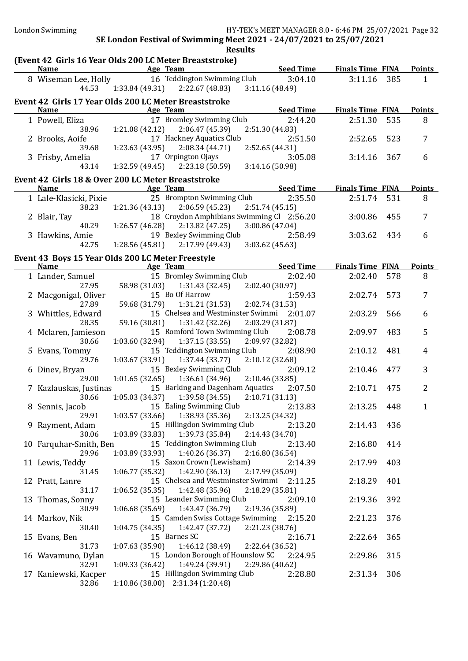| 16 Teddington Swimming Club<br>8 Wiseman Lee, Holly<br>3:04.10<br>3:11.16 385<br>$\mathbf{1}$<br>$1:33.84(49.31)$ $2:22.67(48.83)$ $3:11.16(48.49)$<br>44.53<br>Event 42 Girls 17 Year Olds 200 LC Meter Breaststroke<br><b>Seed Time</b><br><b>Finals Time FINA</b><br><b>Name</b><br>Age Team<br>17 Bromley Swimming Club<br>2:51.30<br>535<br>8<br>1 Powell, Eliza<br>2:44.20<br>38.96<br>$1:21.08(42.12)$ $2:06.47(45.39)$<br>2:51.30 (44.83)<br>17 Hackney Aquatics Club<br>2:51.50<br>2:52.65<br>523<br>7<br>2 Brooks, Aoife<br>39.68<br>1:23.63 (43.95)<br>2:08.34(44.71)<br>2:52.65 (44.31)<br>17 Orpington Ojays<br>3:05.08<br>3:14.16<br>6<br>3 Frisby, Amelia<br>367<br>$1:32.59(49.45)$ $2:23.18(50.59)$<br>43.14<br>3:14.16(50.98)<br>Event 42 Girls 18 & Over 200 LC Meter Breaststroke<br><b>Seed Time</b><br><b>Finals Time FINA</b><br><b>Name</b><br>Age Team<br>25 Brompton Swimming Club<br>2:35.50<br>2:51.74<br>531<br>1 Lale-Klasicki, Pixie<br>8<br>1:21.36 (43.13)<br>2:06.59 (45.23)<br>38.23<br>2:51.74(45.15)<br>18 Croydon Amphibians Swimming Cl 2:56.20<br>2 Blair, Tay<br>3:00.86<br>455<br>7<br>$1:26.57(46.28)$ $2:13.82(47.25)$<br>3:00.86 (47.04)<br>40.29<br>19 Bexley Swimming Club<br>2:58.49<br>3 Hawkins, Amie<br>3:03.62<br>434<br>6<br>$1:28.56(45.81)$ $2:17.99(49.43)$<br>42.75<br>3:03.62(45.63)<br>Event 43 Boys 15 Year Olds 200 LC Meter Freestyle<br><b>Example 2 Seed Time</b><br><b>Finals Time FINA</b><br><b>Name</b><br><b>Example 2016</b> Age Team<br>15 Bromley Swimming Club<br>2:02.40<br>2:02.40<br>578<br>8<br>1 Lander, Samuel<br>27.95<br>58.98 (31.03) 1:31.43 (32.45)<br>2:02.40 (30.97)<br>15 Bo Of Harrow<br>1:59.43<br>573<br>$\overline{7}$<br>2 Macgonigal, Oliver<br>2:02.74<br>27.89<br>59.68 (31.79) 1:31.21 (31.53)<br>2:02.74 (31.53)<br>15 Chelsea and Westminster Swimmi 2:01.07<br>3 Whittles, Edward<br>2:03.29<br>566<br>6<br>28.35<br>59.16 (30.81)<br>1:31.42(32.26)<br>2:03.29 (31.87)<br>15 Romford Town Swimming Club<br>2:08.78<br>2:09.97<br>483<br>5<br>4 Mclaren, Jamieson<br>1:03.60 (32.94)<br>1:37.15(33.55)<br>2:09.97 (32.82)<br>30.66<br>15 Teddington Swimming Club<br>2:08.90<br>5 Evans, Tommy<br>2:10.12<br>481<br>$\overline{4}$<br>1:03.67 (33.91)<br>1:37.44 (33.77)<br>2:10.12 (32.68)<br>29.76<br>15 Bexley Swimming Club<br>2:09.12<br>3<br>2:10.46<br>477<br>6 Dinev, Bryan<br>1:36.61(34.96)<br>29.00<br>1:01.65(32.65)<br>2:10.46(33.85)<br>15 Barking and Dagenham Aquatics 2:07.50<br>$\overline{2}$<br>7 Kazlauskas, Justinas<br>2:10.71<br>475<br>$1:05.03(34.37)$ $1:39.58(34.55)$<br>2:10.71(31.13)<br>30.66<br>8 Sennis, Jacob 15 Ealing Swimming Club 2:13.83<br>2:13.25<br>448<br>1<br>$1:03.57(33.66)$ $1:38.93(35.36)$<br>29.91<br>2:13.25 (34.32)<br>15 Hillingdon Swimming Club<br>9 Rayment, Adam<br>2:13.20<br>2:14.43<br>436<br>1:39.73 (35.84)<br>30.06<br>1:03.89(33.83)<br>2:14.43 (34.70)<br>15 Teddington Swimming Club<br>10 Farquhar-Smith, Ben<br>2:16.80<br>414<br>2:13.40<br>29.96<br>1:40.26(36.37)<br>1:03.89 (33.93)<br>2:16.80 (36.54)<br>15 Saxon Crown (Lewisham)<br>2:17.99<br>403<br>11 Lewis, Teddy<br>2:14.39<br>1:42.90 (36.13)<br>2:17.99 (35.09)<br>1:06.77(35.32)<br>31.45<br>15 Chelsea and Westminster Swimmi 2:11.25<br>2:18.29<br>401<br>12 Pratt, Lanre<br>1:42.48 (35.96)<br>31.17<br>1:06.52(35.35)<br>2:18.29 (35.81)<br>15 Leander Swimming Club<br>2:19.36<br>392<br>13 Thomas, Sonny<br>2:09.10<br>1:43.47 (36.79)<br>30.99<br>1:06.68(35.69)<br>2:19.36 (35.89)<br>15 Camden Swiss Cottage Swimming 2:15.20<br>14 Markov, Nik<br>2:21.23<br>376<br>2:21.23 (38.76)<br>1:04.75(34.35)<br>1:42.47 (37.72)<br>30.40<br>15 Barnes SC<br>2:16.71<br>15 Evans, Ben<br>2:22.64<br>365<br>1:07.63(35.90)<br>1:46.12 (38.49)<br>2:22.64 (36.52)<br>31.73<br>15 London Borough of Hounslow SC<br>2:24.95<br>2:29.86<br>315<br>16 Wavamuno, Dylan<br>$1:09.33(36.42)$ $1:49.24(39.91)$<br>2:29.86 (40.62)<br>32.91<br>15 Hillingdon Swimming Club<br>2:28.80<br>306<br>17 Kaniewski, Kacper<br>2:31.34<br>1:10.86 (38.00) 2:31.34 (1:20.48)<br>32.86 | (Event 42 Girls 16 Year Olds 200 LC Meter Breaststroke)<br><b>Name</b> | Age Team | <b>Seed Time</b> | <b>Finals Time FINA</b> | <b>Points</b> |
|------------------------------------------------------------------------------------------------------------------------------------------------------------------------------------------------------------------------------------------------------------------------------------------------------------------------------------------------------------------------------------------------------------------------------------------------------------------------------------------------------------------------------------------------------------------------------------------------------------------------------------------------------------------------------------------------------------------------------------------------------------------------------------------------------------------------------------------------------------------------------------------------------------------------------------------------------------------------------------------------------------------------------------------------------------------------------------------------------------------------------------------------------------------------------------------------------------------------------------------------------------------------------------------------------------------------------------------------------------------------------------------------------------------------------------------------------------------------------------------------------------------------------------------------------------------------------------------------------------------------------------------------------------------------------------------------------------------------------------------------------------------------------------------------------------------------------------------------------------------------------------------------------------------------------------------------------------------------------------------------------------------------------------------------------------------------------------------------------------------------------------------------------------------------------------------------------------------------------------------------------------------------------------------------------------------------------------------------------------------------------------------------------------------------------------------------------------------------------------------------------------------------------------------------------------------------------------------------------------------------------------------------------------------------------------------------------------------------------------------------------------------------------------------------------------------------------------------------------------------------------------------------------------------------------------------------------------------------------------------------------------------------------------------------------------------------------------------------------------------------------------------------------------------------------------------------------------------------------------------------------------------------------------------------------------------------------------------------------------------------------------------------------------------------------------------------------------------------------------------------------------------------------------------------------------------------------------------------------------------------------------------------------------------------------------------------------------------------------------------------------------------------------------------------------------------------------------------------------------------------------------------------------------------------------------------------------------------------------------------------------------------------------------------------------------------------------------------------------------|------------------------------------------------------------------------|----------|------------------|-------------------------|---------------|
|                                                                                                                                                                                                                                                                                                                                                                                                                                                                                                                                                                                                                                                                                                                                                                                                                                                                                                                                                                                                                                                                                                                                                                                                                                                                                                                                                                                                                                                                                                                                                                                                                                                                                                                                                                                                                                                                                                                                                                                                                                                                                                                                                                                                                                                                                                                                                                                                                                                                                                                                                                                                                                                                                                                                                                                                                                                                                                                                                                                                                                                                                                                                                                                                                                                                                                                                                                                                                                                                                                                                                                                                                                                                                                                                                                                                                                                                                                                                                                                                                                                                                                            |                                                                        |          |                  |                         |               |
|                                                                                                                                                                                                                                                                                                                                                                                                                                                                                                                                                                                                                                                                                                                                                                                                                                                                                                                                                                                                                                                                                                                                                                                                                                                                                                                                                                                                                                                                                                                                                                                                                                                                                                                                                                                                                                                                                                                                                                                                                                                                                                                                                                                                                                                                                                                                                                                                                                                                                                                                                                                                                                                                                                                                                                                                                                                                                                                                                                                                                                                                                                                                                                                                                                                                                                                                                                                                                                                                                                                                                                                                                                                                                                                                                                                                                                                                                                                                                                                                                                                                                                            |                                                                        |          |                  |                         |               |
| <b>Points</b><br><b>Points</b><br><b>Points</b>                                                                                                                                                                                                                                                                                                                                                                                                                                                                                                                                                                                                                                                                                                                                                                                                                                                                                                                                                                                                                                                                                                                                                                                                                                                                                                                                                                                                                                                                                                                                                                                                                                                                                                                                                                                                                                                                                                                                                                                                                                                                                                                                                                                                                                                                                                                                                                                                                                                                                                                                                                                                                                                                                                                                                                                                                                                                                                                                                                                                                                                                                                                                                                                                                                                                                                                                                                                                                                                                                                                                                                                                                                                                                                                                                                                                                                                                                                                                                                                                                                                            |                                                                        |          |                  |                         |               |
|                                                                                                                                                                                                                                                                                                                                                                                                                                                                                                                                                                                                                                                                                                                                                                                                                                                                                                                                                                                                                                                                                                                                                                                                                                                                                                                                                                                                                                                                                                                                                                                                                                                                                                                                                                                                                                                                                                                                                                                                                                                                                                                                                                                                                                                                                                                                                                                                                                                                                                                                                                                                                                                                                                                                                                                                                                                                                                                                                                                                                                                                                                                                                                                                                                                                                                                                                                                                                                                                                                                                                                                                                                                                                                                                                                                                                                                                                                                                                                                                                                                                                                            |                                                                        |          |                  |                         |               |
|                                                                                                                                                                                                                                                                                                                                                                                                                                                                                                                                                                                                                                                                                                                                                                                                                                                                                                                                                                                                                                                                                                                                                                                                                                                                                                                                                                                                                                                                                                                                                                                                                                                                                                                                                                                                                                                                                                                                                                                                                                                                                                                                                                                                                                                                                                                                                                                                                                                                                                                                                                                                                                                                                                                                                                                                                                                                                                                                                                                                                                                                                                                                                                                                                                                                                                                                                                                                                                                                                                                                                                                                                                                                                                                                                                                                                                                                                                                                                                                                                                                                                                            |                                                                        |          |                  |                         |               |
|                                                                                                                                                                                                                                                                                                                                                                                                                                                                                                                                                                                                                                                                                                                                                                                                                                                                                                                                                                                                                                                                                                                                                                                                                                                                                                                                                                                                                                                                                                                                                                                                                                                                                                                                                                                                                                                                                                                                                                                                                                                                                                                                                                                                                                                                                                                                                                                                                                                                                                                                                                                                                                                                                                                                                                                                                                                                                                                                                                                                                                                                                                                                                                                                                                                                                                                                                                                                                                                                                                                                                                                                                                                                                                                                                                                                                                                                                                                                                                                                                                                                                                            |                                                                        |          |                  |                         |               |
|                                                                                                                                                                                                                                                                                                                                                                                                                                                                                                                                                                                                                                                                                                                                                                                                                                                                                                                                                                                                                                                                                                                                                                                                                                                                                                                                                                                                                                                                                                                                                                                                                                                                                                                                                                                                                                                                                                                                                                                                                                                                                                                                                                                                                                                                                                                                                                                                                                                                                                                                                                                                                                                                                                                                                                                                                                                                                                                                                                                                                                                                                                                                                                                                                                                                                                                                                                                                                                                                                                                                                                                                                                                                                                                                                                                                                                                                                                                                                                                                                                                                                                            |                                                                        |          |                  |                         |               |
|                                                                                                                                                                                                                                                                                                                                                                                                                                                                                                                                                                                                                                                                                                                                                                                                                                                                                                                                                                                                                                                                                                                                                                                                                                                                                                                                                                                                                                                                                                                                                                                                                                                                                                                                                                                                                                                                                                                                                                                                                                                                                                                                                                                                                                                                                                                                                                                                                                                                                                                                                                                                                                                                                                                                                                                                                                                                                                                                                                                                                                                                                                                                                                                                                                                                                                                                                                                                                                                                                                                                                                                                                                                                                                                                                                                                                                                                                                                                                                                                                                                                                                            |                                                                        |          |                  |                         |               |
|                                                                                                                                                                                                                                                                                                                                                                                                                                                                                                                                                                                                                                                                                                                                                                                                                                                                                                                                                                                                                                                                                                                                                                                                                                                                                                                                                                                                                                                                                                                                                                                                                                                                                                                                                                                                                                                                                                                                                                                                                                                                                                                                                                                                                                                                                                                                                                                                                                                                                                                                                                                                                                                                                                                                                                                                                                                                                                                                                                                                                                                                                                                                                                                                                                                                                                                                                                                                                                                                                                                                                                                                                                                                                                                                                                                                                                                                                                                                                                                                                                                                                                            |                                                                        |          |                  |                         |               |
|                                                                                                                                                                                                                                                                                                                                                                                                                                                                                                                                                                                                                                                                                                                                                                                                                                                                                                                                                                                                                                                                                                                                                                                                                                                                                                                                                                                                                                                                                                                                                                                                                                                                                                                                                                                                                                                                                                                                                                                                                                                                                                                                                                                                                                                                                                                                                                                                                                                                                                                                                                                                                                                                                                                                                                                                                                                                                                                                                                                                                                                                                                                                                                                                                                                                                                                                                                                                                                                                                                                                                                                                                                                                                                                                                                                                                                                                                                                                                                                                                                                                                                            |                                                                        |          |                  |                         |               |
|                                                                                                                                                                                                                                                                                                                                                                                                                                                                                                                                                                                                                                                                                                                                                                                                                                                                                                                                                                                                                                                                                                                                                                                                                                                                                                                                                                                                                                                                                                                                                                                                                                                                                                                                                                                                                                                                                                                                                                                                                                                                                                                                                                                                                                                                                                                                                                                                                                                                                                                                                                                                                                                                                                                                                                                                                                                                                                                                                                                                                                                                                                                                                                                                                                                                                                                                                                                                                                                                                                                                                                                                                                                                                                                                                                                                                                                                                                                                                                                                                                                                                                            |                                                                        |          |                  |                         |               |
|                                                                                                                                                                                                                                                                                                                                                                                                                                                                                                                                                                                                                                                                                                                                                                                                                                                                                                                                                                                                                                                                                                                                                                                                                                                                                                                                                                                                                                                                                                                                                                                                                                                                                                                                                                                                                                                                                                                                                                                                                                                                                                                                                                                                                                                                                                                                                                                                                                                                                                                                                                                                                                                                                                                                                                                                                                                                                                                                                                                                                                                                                                                                                                                                                                                                                                                                                                                                                                                                                                                                                                                                                                                                                                                                                                                                                                                                                                                                                                                                                                                                                                            |                                                                        |          |                  |                         |               |
|                                                                                                                                                                                                                                                                                                                                                                                                                                                                                                                                                                                                                                                                                                                                                                                                                                                                                                                                                                                                                                                                                                                                                                                                                                                                                                                                                                                                                                                                                                                                                                                                                                                                                                                                                                                                                                                                                                                                                                                                                                                                                                                                                                                                                                                                                                                                                                                                                                                                                                                                                                                                                                                                                                                                                                                                                                                                                                                                                                                                                                                                                                                                                                                                                                                                                                                                                                                                                                                                                                                                                                                                                                                                                                                                                                                                                                                                                                                                                                                                                                                                                                            |                                                                        |          |                  |                         |               |
|                                                                                                                                                                                                                                                                                                                                                                                                                                                                                                                                                                                                                                                                                                                                                                                                                                                                                                                                                                                                                                                                                                                                                                                                                                                                                                                                                                                                                                                                                                                                                                                                                                                                                                                                                                                                                                                                                                                                                                                                                                                                                                                                                                                                                                                                                                                                                                                                                                                                                                                                                                                                                                                                                                                                                                                                                                                                                                                                                                                                                                                                                                                                                                                                                                                                                                                                                                                                                                                                                                                                                                                                                                                                                                                                                                                                                                                                                                                                                                                                                                                                                                            |                                                                        |          |                  |                         |               |
|                                                                                                                                                                                                                                                                                                                                                                                                                                                                                                                                                                                                                                                                                                                                                                                                                                                                                                                                                                                                                                                                                                                                                                                                                                                                                                                                                                                                                                                                                                                                                                                                                                                                                                                                                                                                                                                                                                                                                                                                                                                                                                                                                                                                                                                                                                                                                                                                                                                                                                                                                                                                                                                                                                                                                                                                                                                                                                                                                                                                                                                                                                                                                                                                                                                                                                                                                                                                                                                                                                                                                                                                                                                                                                                                                                                                                                                                                                                                                                                                                                                                                                            |                                                                        |          |                  |                         |               |
|                                                                                                                                                                                                                                                                                                                                                                                                                                                                                                                                                                                                                                                                                                                                                                                                                                                                                                                                                                                                                                                                                                                                                                                                                                                                                                                                                                                                                                                                                                                                                                                                                                                                                                                                                                                                                                                                                                                                                                                                                                                                                                                                                                                                                                                                                                                                                                                                                                                                                                                                                                                                                                                                                                                                                                                                                                                                                                                                                                                                                                                                                                                                                                                                                                                                                                                                                                                                                                                                                                                                                                                                                                                                                                                                                                                                                                                                                                                                                                                                                                                                                                            |                                                                        |          |                  |                         |               |
|                                                                                                                                                                                                                                                                                                                                                                                                                                                                                                                                                                                                                                                                                                                                                                                                                                                                                                                                                                                                                                                                                                                                                                                                                                                                                                                                                                                                                                                                                                                                                                                                                                                                                                                                                                                                                                                                                                                                                                                                                                                                                                                                                                                                                                                                                                                                                                                                                                                                                                                                                                                                                                                                                                                                                                                                                                                                                                                                                                                                                                                                                                                                                                                                                                                                                                                                                                                                                                                                                                                                                                                                                                                                                                                                                                                                                                                                                                                                                                                                                                                                                                            |                                                                        |          |                  |                         |               |
|                                                                                                                                                                                                                                                                                                                                                                                                                                                                                                                                                                                                                                                                                                                                                                                                                                                                                                                                                                                                                                                                                                                                                                                                                                                                                                                                                                                                                                                                                                                                                                                                                                                                                                                                                                                                                                                                                                                                                                                                                                                                                                                                                                                                                                                                                                                                                                                                                                                                                                                                                                                                                                                                                                                                                                                                                                                                                                                                                                                                                                                                                                                                                                                                                                                                                                                                                                                                                                                                                                                                                                                                                                                                                                                                                                                                                                                                                                                                                                                                                                                                                                            |                                                                        |          |                  |                         |               |
|                                                                                                                                                                                                                                                                                                                                                                                                                                                                                                                                                                                                                                                                                                                                                                                                                                                                                                                                                                                                                                                                                                                                                                                                                                                                                                                                                                                                                                                                                                                                                                                                                                                                                                                                                                                                                                                                                                                                                                                                                                                                                                                                                                                                                                                                                                                                                                                                                                                                                                                                                                                                                                                                                                                                                                                                                                                                                                                                                                                                                                                                                                                                                                                                                                                                                                                                                                                                                                                                                                                                                                                                                                                                                                                                                                                                                                                                                                                                                                                                                                                                                                            |                                                                        |          |                  |                         |               |
|                                                                                                                                                                                                                                                                                                                                                                                                                                                                                                                                                                                                                                                                                                                                                                                                                                                                                                                                                                                                                                                                                                                                                                                                                                                                                                                                                                                                                                                                                                                                                                                                                                                                                                                                                                                                                                                                                                                                                                                                                                                                                                                                                                                                                                                                                                                                                                                                                                                                                                                                                                                                                                                                                                                                                                                                                                                                                                                                                                                                                                                                                                                                                                                                                                                                                                                                                                                                                                                                                                                                                                                                                                                                                                                                                                                                                                                                                                                                                                                                                                                                                                            |                                                                        |          |                  |                         |               |
|                                                                                                                                                                                                                                                                                                                                                                                                                                                                                                                                                                                                                                                                                                                                                                                                                                                                                                                                                                                                                                                                                                                                                                                                                                                                                                                                                                                                                                                                                                                                                                                                                                                                                                                                                                                                                                                                                                                                                                                                                                                                                                                                                                                                                                                                                                                                                                                                                                                                                                                                                                                                                                                                                                                                                                                                                                                                                                                                                                                                                                                                                                                                                                                                                                                                                                                                                                                                                                                                                                                                                                                                                                                                                                                                                                                                                                                                                                                                                                                                                                                                                                            |                                                                        |          |                  |                         |               |
|                                                                                                                                                                                                                                                                                                                                                                                                                                                                                                                                                                                                                                                                                                                                                                                                                                                                                                                                                                                                                                                                                                                                                                                                                                                                                                                                                                                                                                                                                                                                                                                                                                                                                                                                                                                                                                                                                                                                                                                                                                                                                                                                                                                                                                                                                                                                                                                                                                                                                                                                                                                                                                                                                                                                                                                                                                                                                                                                                                                                                                                                                                                                                                                                                                                                                                                                                                                                                                                                                                                                                                                                                                                                                                                                                                                                                                                                                                                                                                                                                                                                                                            |                                                                        |          |                  |                         |               |
|                                                                                                                                                                                                                                                                                                                                                                                                                                                                                                                                                                                                                                                                                                                                                                                                                                                                                                                                                                                                                                                                                                                                                                                                                                                                                                                                                                                                                                                                                                                                                                                                                                                                                                                                                                                                                                                                                                                                                                                                                                                                                                                                                                                                                                                                                                                                                                                                                                                                                                                                                                                                                                                                                                                                                                                                                                                                                                                                                                                                                                                                                                                                                                                                                                                                                                                                                                                                                                                                                                                                                                                                                                                                                                                                                                                                                                                                                                                                                                                                                                                                                                            |                                                                        |          |                  |                         |               |
|                                                                                                                                                                                                                                                                                                                                                                                                                                                                                                                                                                                                                                                                                                                                                                                                                                                                                                                                                                                                                                                                                                                                                                                                                                                                                                                                                                                                                                                                                                                                                                                                                                                                                                                                                                                                                                                                                                                                                                                                                                                                                                                                                                                                                                                                                                                                                                                                                                                                                                                                                                                                                                                                                                                                                                                                                                                                                                                                                                                                                                                                                                                                                                                                                                                                                                                                                                                                                                                                                                                                                                                                                                                                                                                                                                                                                                                                                                                                                                                                                                                                                                            |                                                                        |          |                  |                         |               |
|                                                                                                                                                                                                                                                                                                                                                                                                                                                                                                                                                                                                                                                                                                                                                                                                                                                                                                                                                                                                                                                                                                                                                                                                                                                                                                                                                                                                                                                                                                                                                                                                                                                                                                                                                                                                                                                                                                                                                                                                                                                                                                                                                                                                                                                                                                                                                                                                                                                                                                                                                                                                                                                                                                                                                                                                                                                                                                                                                                                                                                                                                                                                                                                                                                                                                                                                                                                                                                                                                                                                                                                                                                                                                                                                                                                                                                                                                                                                                                                                                                                                                                            |                                                                        |          |                  |                         |               |
|                                                                                                                                                                                                                                                                                                                                                                                                                                                                                                                                                                                                                                                                                                                                                                                                                                                                                                                                                                                                                                                                                                                                                                                                                                                                                                                                                                                                                                                                                                                                                                                                                                                                                                                                                                                                                                                                                                                                                                                                                                                                                                                                                                                                                                                                                                                                                                                                                                                                                                                                                                                                                                                                                                                                                                                                                                                                                                                                                                                                                                                                                                                                                                                                                                                                                                                                                                                                                                                                                                                                                                                                                                                                                                                                                                                                                                                                                                                                                                                                                                                                                                            |                                                                        |          |                  |                         |               |
|                                                                                                                                                                                                                                                                                                                                                                                                                                                                                                                                                                                                                                                                                                                                                                                                                                                                                                                                                                                                                                                                                                                                                                                                                                                                                                                                                                                                                                                                                                                                                                                                                                                                                                                                                                                                                                                                                                                                                                                                                                                                                                                                                                                                                                                                                                                                                                                                                                                                                                                                                                                                                                                                                                                                                                                                                                                                                                                                                                                                                                                                                                                                                                                                                                                                                                                                                                                                                                                                                                                                                                                                                                                                                                                                                                                                                                                                                                                                                                                                                                                                                                            |                                                                        |          |                  |                         |               |
|                                                                                                                                                                                                                                                                                                                                                                                                                                                                                                                                                                                                                                                                                                                                                                                                                                                                                                                                                                                                                                                                                                                                                                                                                                                                                                                                                                                                                                                                                                                                                                                                                                                                                                                                                                                                                                                                                                                                                                                                                                                                                                                                                                                                                                                                                                                                                                                                                                                                                                                                                                                                                                                                                                                                                                                                                                                                                                                                                                                                                                                                                                                                                                                                                                                                                                                                                                                                                                                                                                                                                                                                                                                                                                                                                                                                                                                                                                                                                                                                                                                                                                            |                                                                        |          |                  |                         |               |
|                                                                                                                                                                                                                                                                                                                                                                                                                                                                                                                                                                                                                                                                                                                                                                                                                                                                                                                                                                                                                                                                                                                                                                                                                                                                                                                                                                                                                                                                                                                                                                                                                                                                                                                                                                                                                                                                                                                                                                                                                                                                                                                                                                                                                                                                                                                                                                                                                                                                                                                                                                                                                                                                                                                                                                                                                                                                                                                                                                                                                                                                                                                                                                                                                                                                                                                                                                                                                                                                                                                                                                                                                                                                                                                                                                                                                                                                                                                                                                                                                                                                                                            |                                                                        |          |                  |                         |               |
|                                                                                                                                                                                                                                                                                                                                                                                                                                                                                                                                                                                                                                                                                                                                                                                                                                                                                                                                                                                                                                                                                                                                                                                                                                                                                                                                                                                                                                                                                                                                                                                                                                                                                                                                                                                                                                                                                                                                                                                                                                                                                                                                                                                                                                                                                                                                                                                                                                                                                                                                                                                                                                                                                                                                                                                                                                                                                                                                                                                                                                                                                                                                                                                                                                                                                                                                                                                                                                                                                                                                                                                                                                                                                                                                                                                                                                                                                                                                                                                                                                                                                                            |                                                                        |          |                  |                         |               |
|                                                                                                                                                                                                                                                                                                                                                                                                                                                                                                                                                                                                                                                                                                                                                                                                                                                                                                                                                                                                                                                                                                                                                                                                                                                                                                                                                                                                                                                                                                                                                                                                                                                                                                                                                                                                                                                                                                                                                                                                                                                                                                                                                                                                                                                                                                                                                                                                                                                                                                                                                                                                                                                                                                                                                                                                                                                                                                                                                                                                                                                                                                                                                                                                                                                                                                                                                                                                                                                                                                                                                                                                                                                                                                                                                                                                                                                                                                                                                                                                                                                                                                            |                                                                        |          |                  |                         |               |
|                                                                                                                                                                                                                                                                                                                                                                                                                                                                                                                                                                                                                                                                                                                                                                                                                                                                                                                                                                                                                                                                                                                                                                                                                                                                                                                                                                                                                                                                                                                                                                                                                                                                                                                                                                                                                                                                                                                                                                                                                                                                                                                                                                                                                                                                                                                                                                                                                                                                                                                                                                                                                                                                                                                                                                                                                                                                                                                                                                                                                                                                                                                                                                                                                                                                                                                                                                                                                                                                                                                                                                                                                                                                                                                                                                                                                                                                                                                                                                                                                                                                                                            |                                                                        |          |                  |                         |               |
|                                                                                                                                                                                                                                                                                                                                                                                                                                                                                                                                                                                                                                                                                                                                                                                                                                                                                                                                                                                                                                                                                                                                                                                                                                                                                                                                                                                                                                                                                                                                                                                                                                                                                                                                                                                                                                                                                                                                                                                                                                                                                                                                                                                                                                                                                                                                                                                                                                                                                                                                                                                                                                                                                                                                                                                                                                                                                                                                                                                                                                                                                                                                                                                                                                                                                                                                                                                                                                                                                                                                                                                                                                                                                                                                                                                                                                                                                                                                                                                                                                                                                                            |                                                                        |          |                  |                         |               |
|                                                                                                                                                                                                                                                                                                                                                                                                                                                                                                                                                                                                                                                                                                                                                                                                                                                                                                                                                                                                                                                                                                                                                                                                                                                                                                                                                                                                                                                                                                                                                                                                                                                                                                                                                                                                                                                                                                                                                                                                                                                                                                                                                                                                                                                                                                                                                                                                                                                                                                                                                                                                                                                                                                                                                                                                                                                                                                                                                                                                                                                                                                                                                                                                                                                                                                                                                                                                                                                                                                                                                                                                                                                                                                                                                                                                                                                                                                                                                                                                                                                                                                            |                                                                        |          |                  |                         |               |
|                                                                                                                                                                                                                                                                                                                                                                                                                                                                                                                                                                                                                                                                                                                                                                                                                                                                                                                                                                                                                                                                                                                                                                                                                                                                                                                                                                                                                                                                                                                                                                                                                                                                                                                                                                                                                                                                                                                                                                                                                                                                                                                                                                                                                                                                                                                                                                                                                                                                                                                                                                                                                                                                                                                                                                                                                                                                                                                                                                                                                                                                                                                                                                                                                                                                                                                                                                                                                                                                                                                                                                                                                                                                                                                                                                                                                                                                                                                                                                                                                                                                                                            |                                                                        |          |                  |                         |               |
|                                                                                                                                                                                                                                                                                                                                                                                                                                                                                                                                                                                                                                                                                                                                                                                                                                                                                                                                                                                                                                                                                                                                                                                                                                                                                                                                                                                                                                                                                                                                                                                                                                                                                                                                                                                                                                                                                                                                                                                                                                                                                                                                                                                                                                                                                                                                                                                                                                                                                                                                                                                                                                                                                                                                                                                                                                                                                                                                                                                                                                                                                                                                                                                                                                                                                                                                                                                                                                                                                                                                                                                                                                                                                                                                                                                                                                                                                                                                                                                                                                                                                                            |                                                                        |          |                  |                         |               |
|                                                                                                                                                                                                                                                                                                                                                                                                                                                                                                                                                                                                                                                                                                                                                                                                                                                                                                                                                                                                                                                                                                                                                                                                                                                                                                                                                                                                                                                                                                                                                                                                                                                                                                                                                                                                                                                                                                                                                                                                                                                                                                                                                                                                                                                                                                                                                                                                                                                                                                                                                                                                                                                                                                                                                                                                                                                                                                                                                                                                                                                                                                                                                                                                                                                                                                                                                                                                                                                                                                                                                                                                                                                                                                                                                                                                                                                                                                                                                                                                                                                                                                            |                                                                        |          |                  |                         |               |
|                                                                                                                                                                                                                                                                                                                                                                                                                                                                                                                                                                                                                                                                                                                                                                                                                                                                                                                                                                                                                                                                                                                                                                                                                                                                                                                                                                                                                                                                                                                                                                                                                                                                                                                                                                                                                                                                                                                                                                                                                                                                                                                                                                                                                                                                                                                                                                                                                                                                                                                                                                                                                                                                                                                                                                                                                                                                                                                                                                                                                                                                                                                                                                                                                                                                                                                                                                                                                                                                                                                                                                                                                                                                                                                                                                                                                                                                                                                                                                                                                                                                                                            |                                                                        |          |                  |                         |               |
|                                                                                                                                                                                                                                                                                                                                                                                                                                                                                                                                                                                                                                                                                                                                                                                                                                                                                                                                                                                                                                                                                                                                                                                                                                                                                                                                                                                                                                                                                                                                                                                                                                                                                                                                                                                                                                                                                                                                                                                                                                                                                                                                                                                                                                                                                                                                                                                                                                                                                                                                                                                                                                                                                                                                                                                                                                                                                                                                                                                                                                                                                                                                                                                                                                                                                                                                                                                                                                                                                                                                                                                                                                                                                                                                                                                                                                                                                                                                                                                                                                                                                                            |                                                                        |          |                  |                         |               |
|                                                                                                                                                                                                                                                                                                                                                                                                                                                                                                                                                                                                                                                                                                                                                                                                                                                                                                                                                                                                                                                                                                                                                                                                                                                                                                                                                                                                                                                                                                                                                                                                                                                                                                                                                                                                                                                                                                                                                                                                                                                                                                                                                                                                                                                                                                                                                                                                                                                                                                                                                                                                                                                                                                                                                                                                                                                                                                                                                                                                                                                                                                                                                                                                                                                                                                                                                                                                                                                                                                                                                                                                                                                                                                                                                                                                                                                                                                                                                                                                                                                                                                            |                                                                        |          |                  |                         |               |
|                                                                                                                                                                                                                                                                                                                                                                                                                                                                                                                                                                                                                                                                                                                                                                                                                                                                                                                                                                                                                                                                                                                                                                                                                                                                                                                                                                                                                                                                                                                                                                                                                                                                                                                                                                                                                                                                                                                                                                                                                                                                                                                                                                                                                                                                                                                                                                                                                                                                                                                                                                                                                                                                                                                                                                                                                                                                                                                                                                                                                                                                                                                                                                                                                                                                                                                                                                                                                                                                                                                                                                                                                                                                                                                                                                                                                                                                                                                                                                                                                                                                                                            |                                                                        |          |                  |                         |               |
|                                                                                                                                                                                                                                                                                                                                                                                                                                                                                                                                                                                                                                                                                                                                                                                                                                                                                                                                                                                                                                                                                                                                                                                                                                                                                                                                                                                                                                                                                                                                                                                                                                                                                                                                                                                                                                                                                                                                                                                                                                                                                                                                                                                                                                                                                                                                                                                                                                                                                                                                                                                                                                                                                                                                                                                                                                                                                                                                                                                                                                                                                                                                                                                                                                                                                                                                                                                                                                                                                                                                                                                                                                                                                                                                                                                                                                                                                                                                                                                                                                                                                                            |                                                                        |          |                  |                         |               |
|                                                                                                                                                                                                                                                                                                                                                                                                                                                                                                                                                                                                                                                                                                                                                                                                                                                                                                                                                                                                                                                                                                                                                                                                                                                                                                                                                                                                                                                                                                                                                                                                                                                                                                                                                                                                                                                                                                                                                                                                                                                                                                                                                                                                                                                                                                                                                                                                                                                                                                                                                                                                                                                                                                                                                                                                                                                                                                                                                                                                                                                                                                                                                                                                                                                                                                                                                                                                                                                                                                                                                                                                                                                                                                                                                                                                                                                                                                                                                                                                                                                                                                            |                                                                        |          |                  |                         |               |
|                                                                                                                                                                                                                                                                                                                                                                                                                                                                                                                                                                                                                                                                                                                                                                                                                                                                                                                                                                                                                                                                                                                                                                                                                                                                                                                                                                                                                                                                                                                                                                                                                                                                                                                                                                                                                                                                                                                                                                                                                                                                                                                                                                                                                                                                                                                                                                                                                                                                                                                                                                                                                                                                                                                                                                                                                                                                                                                                                                                                                                                                                                                                                                                                                                                                                                                                                                                                                                                                                                                                                                                                                                                                                                                                                                                                                                                                                                                                                                                                                                                                                                            |                                                                        |          |                  |                         |               |
|                                                                                                                                                                                                                                                                                                                                                                                                                                                                                                                                                                                                                                                                                                                                                                                                                                                                                                                                                                                                                                                                                                                                                                                                                                                                                                                                                                                                                                                                                                                                                                                                                                                                                                                                                                                                                                                                                                                                                                                                                                                                                                                                                                                                                                                                                                                                                                                                                                                                                                                                                                                                                                                                                                                                                                                                                                                                                                                                                                                                                                                                                                                                                                                                                                                                                                                                                                                                                                                                                                                                                                                                                                                                                                                                                                                                                                                                                                                                                                                                                                                                                                            |                                                                        |          |                  |                         |               |
|                                                                                                                                                                                                                                                                                                                                                                                                                                                                                                                                                                                                                                                                                                                                                                                                                                                                                                                                                                                                                                                                                                                                                                                                                                                                                                                                                                                                                                                                                                                                                                                                                                                                                                                                                                                                                                                                                                                                                                                                                                                                                                                                                                                                                                                                                                                                                                                                                                                                                                                                                                                                                                                                                                                                                                                                                                                                                                                                                                                                                                                                                                                                                                                                                                                                                                                                                                                                                                                                                                                                                                                                                                                                                                                                                                                                                                                                                                                                                                                                                                                                                                            |                                                                        |          |                  |                         |               |
|                                                                                                                                                                                                                                                                                                                                                                                                                                                                                                                                                                                                                                                                                                                                                                                                                                                                                                                                                                                                                                                                                                                                                                                                                                                                                                                                                                                                                                                                                                                                                                                                                                                                                                                                                                                                                                                                                                                                                                                                                                                                                                                                                                                                                                                                                                                                                                                                                                                                                                                                                                                                                                                                                                                                                                                                                                                                                                                                                                                                                                                                                                                                                                                                                                                                                                                                                                                                                                                                                                                                                                                                                                                                                                                                                                                                                                                                                                                                                                                                                                                                                                            |                                                                        |          |                  |                         |               |
|                                                                                                                                                                                                                                                                                                                                                                                                                                                                                                                                                                                                                                                                                                                                                                                                                                                                                                                                                                                                                                                                                                                                                                                                                                                                                                                                                                                                                                                                                                                                                                                                                                                                                                                                                                                                                                                                                                                                                                                                                                                                                                                                                                                                                                                                                                                                                                                                                                                                                                                                                                                                                                                                                                                                                                                                                                                                                                                                                                                                                                                                                                                                                                                                                                                                                                                                                                                                                                                                                                                                                                                                                                                                                                                                                                                                                                                                                                                                                                                                                                                                                                            |                                                                        |          |                  |                         |               |
|                                                                                                                                                                                                                                                                                                                                                                                                                                                                                                                                                                                                                                                                                                                                                                                                                                                                                                                                                                                                                                                                                                                                                                                                                                                                                                                                                                                                                                                                                                                                                                                                                                                                                                                                                                                                                                                                                                                                                                                                                                                                                                                                                                                                                                                                                                                                                                                                                                                                                                                                                                                                                                                                                                                                                                                                                                                                                                                                                                                                                                                                                                                                                                                                                                                                                                                                                                                                                                                                                                                                                                                                                                                                                                                                                                                                                                                                                                                                                                                                                                                                                                            |                                                                        |          |                  |                         |               |
|                                                                                                                                                                                                                                                                                                                                                                                                                                                                                                                                                                                                                                                                                                                                                                                                                                                                                                                                                                                                                                                                                                                                                                                                                                                                                                                                                                                                                                                                                                                                                                                                                                                                                                                                                                                                                                                                                                                                                                                                                                                                                                                                                                                                                                                                                                                                                                                                                                                                                                                                                                                                                                                                                                                                                                                                                                                                                                                                                                                                                                                                                                                                                                                                                                                                                                                                                                                                                                                                                                                                                                                                                                                                                                                                                                                                                                                                                                                                                                                                                                                                                                            |                                                                        |          |                  |                         |               |
|                                                                                                                                                                                                                                                                                                                                                                                                                                                                                                                                                                                                                                                                                                                                                                                                                                                                                                                                                                                                                                                                                                                                                                                                                                                                                                                                                                                                                                                                                                                                                                                                                                                                                                                                                                                                                                                                                                                                                                                                                                                                                                                                                                                                                                                                                                                                                                                                                                                                                                                                                                                                                                                                                                                                                                                                                                                                                                                                                                                                                                                                                                                                                                                                                                                                                                                                                                                                                                                                                                                                                                                                                                                                                                                                                                                                                                                                                                                                                                                                                                                                                                            |                                                                        |          |                  |                         |               |
|                                                                                                                                                                                                                                                                                                                                                                                                                                                                                                                                                                                                                                                                                                                                                                                                                                                                                                                                                                                                                                                                                                                                                                                                                                                                                                                                                                                                                                                                                                                                                                                                                                                                                                                                                                                                                                                                                                                                                                                                                                                                                                                                                                                                                                                                                                                                                                                                                                                                                                                                                                                                                                                                                                                                                                                                                                                                                                                                                                                                                                                                                                                                                                                                                                                                                                                                                                                                                                                                                                                                                                                                                                                                                                                                                                                                                                                                                                                                                                                                                                                                                                            |                                                                        |          |                  |                         |               |
|                                                                                                                                                                                                                                                                                                                                                                                                                                                                                                                                                                                                                                                                                                                                                                                                                                                                                                                                                                                                                                                                                                                                                                                                                                                                                                                                                                                                                                                                                                                                                                                                                                                                                                                                                                                                                                                                                                                                                                                                                                                                                                                                                                                                                                                                                                                                                                                                                                                                                                                                                                                                                                                                                                                                                                                                                                                                                                                                                                                                                                                                                                                                                                                                                                                                                                                                                                                                                                                                                                                                                                                                                                                                                                                                                                                                                                                                                                                                                                                                                                                                                                            |                                                                        |          |                  |                         |               |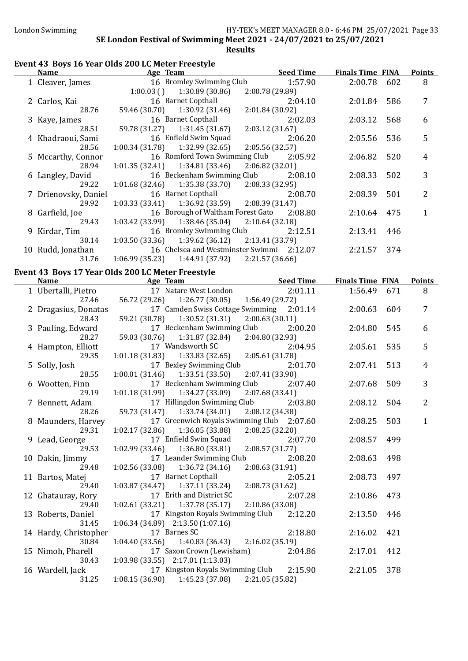# Event 43 Boys 16 Year Olds 200 LC Meter Freestyle

| <b>Name</b>           | Age Team                                          | <b>Seed Time</b> | <b>Finals Time FINA</b> |     | <b>Points</b>  |
|-----------------------|---------------------------------------------------|------------------|-------------------------|-----|----------------|
| 1 Cleaver, James      | 16 Bromley Swimming Club                          | 1:57.90          | 2:00.78                 | 602 | 8              |
|                       | $1:00.03$ ()<br>1:30.89 (30.86)                   | 2:00.78 (29.89)  |                         |     |                |
| 2 Carlos, Kai         | 16 Barnet Copthall                                | 2:04.10          | 2:01.84                 | 586 | 7              |
| 28.76                 | 59.46 (30.70)<br>1:30.92 (31.46)                  | 2:01.84 (30.92)  |                         |     |                |
| 3 Kaye, James         | 16 Barnet Copthall                                | 2:02.03          | 2:03.12                 | 568 | 6              |
| 28.51                 | 59.78 (31.27)<br>1:31.45(31.67)                   | 2:03.12 (31.67)  |                         |     |                |
| 4 Khadraoui, Sami     | 16 Enfield Swim Squad                             | 2:06.20          | 2:05.56                 | 536 | 5              |
| 28.56                 | 1:00.34(31.78)<br>1:32.99 (32.65)                 | 2:05.56 (32.57)  |                         |     |                |
| 5 Mccarthy, Connor    | 16 Romford Town Swimming Club                     | 2:05.92          | 2:06.82                 | 520 | $\overline{4}$ |
| 28.94                 | 1:01.35(32.41)<br>1:34.81 (33.46)                 | 2:06.82 (32.01)  |                         |     |                |
| 6 Langley, David      | 16 Beckenham Swimming Club                        | 2:08.10          | 2:08.33                 | 502 | 3              |
| 29.22                 | 1:35.38(33.70)<br>1:01.68(32.46)                  | 2:08.33 (32.95)  |                         |     |                |
| 7 Drienovsky, Daniel  | 16 Barnet Copthall                                | 2:08.70          | 2:08.39                 | 501 | $\overline{2}$ |
| 29.92                 | 1:36.92(33.59)<br>1:03.33(33.41)                  | 2:08.39 (31.47)  |                         |     |                |
| 8 Garfield, Joe       | 16 Borough of Waltham Forest Gato                 | 2:08.80          | 2:10.64                 | 475 | $\mathbf{1}$   |
| 29.43                 | 1:03.42 (33.99)<br>1:38.46 (35.04)                | 2:10.64(32.18)   |                         |     |                |
| 9 Kirdar, Tim         | 16 Bromley Swimming Club                          | 2:12.51          | 2:13.41                 | 446 |                |
| 30.14                 | 1:03.50 (33.36)<br>1:39.62 (36.12)                | 2:13.41 (33.79)  |                         |     |                |
| 10 Rudd, Jonathan     | 16 Chelsea and Westminster Swimmi 2:12.07         |                  | 2:21.57                 | 374 |                |
| 31.76                 | 1:06.99(35.23)<br>1:44.91 (37.92)                 | 2:21.57 (36.66)  |                         |     |                |
|                       |                                                   |                  |                         |     |                |
|                       | Event 43 Boys 17 Year Olds 200 LC Meter Freestyle |                  | <b>Finals Time FINA</b> |     |                |
| <b>Name</b>           | Age Team                                          | <b>Seed Time</b> |                         |     | <b>Points</b>  |
| 1 Ubertalli, Pietro   | 17 Natare West London                             | 2:01.11          | 1:56.49                 | 671 | 8              |
| 27.46                 | 56.72 (29.26)<br>1:26.77(30.05)                   | 1:56.49 (29.72)  |                         |     |                |
| 2 Dragasius, Donatas  | 17 Camden Swiss Cottage Swimming 2:01.14          |                  | 2:00.63                 | 604 | 7              |
| 28.43                 | 59.21 (30.78)<br>1:30.52(31.31)                   | 2:00.63(30.11)   |                         |     |                |
| 3 Pauling, Edward     | 17 Beckenham Swimming Club                        | 2:00.20          | 2:04.80                 | 545 | 6              |
| 28.27                 | 59.03 (30.76)<br>1:31.87 (32.84)                  | 2:04.80 (32.93)  |                         |     |                |
| 4 Hampton, Elliott    | 17 Wandsworth SC                                  | 2:04.95          | 2:05.61                 | 535 | 5              |
| 29.35                 | 1:01.18(31.83)<br>1:33.83 (32.65)                 | 2:05.61 (31.78)  |                         |     |                |
| 5 Solly, Josh         | 17 Bexley Swimming Club                           | 2:01.70          | 2:07.41                 | 513 | 4              |
| 28.55                 | 1:00.01(31.46)<br>1:33.51 (33.50)                 | 2:07.41 (33.90)  |                         |     |                |
| 6 Wootten, Finn       | 17 Beckenham Swimming Club                        | 2:07.40          | 2:07.68                 | 509 | 3              |
| 29.19                 | 1:01.18(31.99)<br>1:34.27(33.09)                  | 2:07.68 (33.41)  |                         |     |                |
| 7 Bennett, Adam       | 17 Hillingdon Swimming Club                       | 2:03.80          | 2:08.12                 | 504 | $\overline{2}$ |
| 28.26                 | 59.73 (31.47) 1:33.74 (34.01)                     | 2:08.12 (34.38)  |                         |     |                |
| 8 Maunders, Harvey    | 17 Greenwich Royals Swimming Club 2:07.60         |                  | 2:08.25                 | 503 | $\mathbf{1}$   |
| 29.31                 | 1:36.05 (33.88)<br>1:02.17(32.86)                 | 2:08.25 (32.20)  |                         |     |                |
| 9 Lead, George        | 17 Enfield Swim Squad                             | 2:07.70          | 2:08.57                 | 499 |                |
| 29.53                 | 1:36.80 (33.81)<br>1:02.99(33.46)                 | 2:08.57(31.77)   |                         |     |                |
| 10 Dakin, Jimmy       | 17 Leander Swimming Club                          | 2:08.20          | 2:08.63                 | 498 |                |
| 29.48                 | 1:36.72(34.16)<br>1:02.56 (33.08)                 | 2:08.63 (31.91)  |                         |     |                |
| 11 Bartos, Matej      | 17 Barnet Copthall                                | 2:05.21          | 2:08.73                 | 497 |                |
| 29.40                 | 1:37.11 (33.24)<br>1:03.87(34.47)                 | 2:08.73 (31.62)  |                         |     |                |
| 12 Ghatauray, Rory    | 17 Erith and District SC                          | 2:07.28          | 2:10.86                 | 473 |                |
| 29.40                 | 1:37.78 (35.17)<br>1:02.61(33.21)                 | 2:10.86 (33.08)  |                         |     |                |
| 13 Roberts, Daniel    | 17 Kingston Royals Swimming Club                  | 2:12.20          | 2:13.50                 | 446 |                |
| 31.45                 | $1:06.34(34.89)$ $2:13.50(1:07.16)$               |                  |                         |     |                |
| 14 Hardy, Christopher | 17 Barnes SC                                      | 2:18.80          | 2:16.02                 | 421 |                |
| 30.84                 | 1:40.83 (36.43)<br>1:04.40(33.56)                 | 2:16.02 (35.19)  |                         |     |                |
| 15 Nimoh, Pharell     | 17 Saxon Crown (Lewisham)                         | 2:04.86          | 2:17.01                 | 412 |                |
| 30.43                 | $1:03.98(33.55)$ $2:17.01(1:13.03)$               |                  |                         |     |                |
| 16 Wardell, Jack      | 17 Kingston Royals Swimming Club                  | 2:15.90          | 2:21.05                 | 378 |                |
| 31.25                 | 1:45.23(37.08)<br>1:08.15(36.90)                  | 2:21.05 (35.82)  |                         |     |                |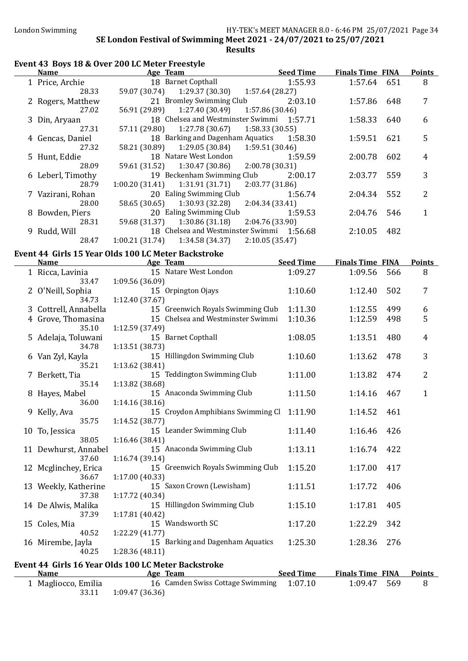#### Event 43 Boys 18 & Over 200 LC Meter Freestyle

| <b>Name</b>       | Age Team       |                                               |                 | <b>Seed Time</b> | <b>Finals Time FINA</b> |     | <b>Points</b> |
|-------------------|----------------|-----------------------------------------------|-----------------|------------------|-------------------------|-----|---------------|
| 1 Price, Archie   |                | 18 Barnet Copthall                            |                 | 1:55.93          | 1:57.64                 | 651 | 8             |
| 28.33             |                | 59.07 (30.74) 1:29.37 (30.30) 1:57.64 (28.27) |                 |                  |                         |     |               |
| 2 Rogers, Matthew |                | 21 Bromley Swimming Club                      |                 | 2:03.10          | 1:57.86                 | 648 |               |
| 27.02             |                | 56.91 (29.89) 1:27.40 (30.49)                 | 1:57.86 (30.46) |                  |                         |     |               |
| 3 Din, Aryaan     |                | 18 Chelsea and Westminster Swimmi 1:57.71     |                 |                  | 1:58.33                 | 640 | 6             |
| 27.31             |                | 57.11 (29.80) 1:27.78 (30.67) 1:58.33 (30.55) |                 |                  |                         |     |               |
| 4 Gencas, Daniel  |                | 18 Barking and Dagenham Aquatics              |                 | 1:58.30          | 1:59.51                 | 621 | 5             |
| 27.32             |                | 58.21 (30.89) 1:29.05 (30.84)                 | 1:59.51 (30.46) |                  |                         |     |               |
| 5 Hunt, Eddie     |                | 18 Natare West London                         |                 | 1:59.59          | 2:00.78                 | 602 | 4             |
| 28.09             |                | 59.61 (31.52) 1:30.47 (30.86)                 | 2:00.78 (30.31) |                  |                         |     |               |
| 6 Leberl, Timothy |                | 19 Beckenham Swimming Club                    |                 | 2:00.17          | 2:03.77                 | 559 | 3             |
| 28.79             |                | $1:00.20(31.41)$ $1:31.91(31.71)$             | 2:03.77(31.86)  |                  |                         |     |               |
| 7 Vazirani, Rohan |                | 20 Ealing Swimming Club                       |                 | 1:56.74          | 2:04.34                 | 552 | 2             |
| 28.00             |                | 58.65 (30.65) 1:30.93 (32.28)                 | 2:04.34(33.41)  |                  |                         |     |               |
| 8 Bowden, Piers   |                | 20 Ealing Swimming Club                       |                 | 1:59.53          | 2:04.76                 | 546 |               |
| 28.31             |                | $59.68(31.37)$ $1:30.86(31.18)$               | 2:04.76 (33.90) |                  |                         |     |               |
| 9 Rudd, Will      |                | 18 Chelsea and Westminster Swimmi 1:56.68     |                 |                  | 2:10.05                 | 482 |               |
| 28.47             | 1:00.21(31.74) | 1:34.58 (34.37)                               | 2:10.05(35.47)  |                  |                         |     |               |

# Event 44 Girls 15 Year Olds 100 LC Meter Backstroke

33.11 1:09.47 (36.36)

| <b>Name</b>           | Age Team                                            | <b>Seed Time</b> | <b>Finals Time FINA</b> |     | <b>Points</b>  |
|-----------------------|-----------------------------------------------------|------------------|-------------------------|-----|----------------|
| 1 Ricca, Lavinia      | 15 Natare West London                               | 1:09.27          | 1:09.56                 | 566 | 8              |
| 33.47                 | 1:09.56 (36.09)                                     |                  |                         |     |                |
| 2 O'Neill, Sophia     | 15 Orpington Ojays                                  | 1:10.60          | 1:12.40                 | 502 | 7              |
| 34.73                 | 1:12.40 (37.67)                                     |                  |                         |     |                |
| 3 Cottrell, Annabella | 15 Greenwich Royals Swimming Club                   | 1:11.30          | 1:12.55                 | 499 | 6              |
| 4 Grove, Thomasina    | 15 Chelsea and Westminster Swimmi                   | 1:10.36          | 1:12.59                 | 498 | 5              |
| 35.10                 | 1:12.59 (37.49)                                     |                  |                         |     |                |
| 5 Adelaja, Toluwani   | 15 Barnet Copthall                                  | 1:08.05          | 1:13.51                 | 480 | 4              |
| 34.78                 | 1:13.51(38.73)                                      |                  |                         |     |                |
| 6 Van Zyl, Kayla      | 15 Hillingdon Swimming Club                         | 1:10.60          | 1:13.62                 | 478 | 3              |
| 35.21                 | 1:13.62 (38.41)                                     |                  |                         |     |                |
| 7 Berkett, Tia        | 15 Teddington Swimming Club                         | 1:11.00          | 1:13.82                 | 474 | $\overline{2}$ |
| 35.14                 | 1:13.82 (38.68)                                     |                  |                         |     |                |
| 8 Hayes, Mabel        | 15 Anaconda Swimming Club                           | 1:11.50          | 1:14.16                 | 467 | 1              |
| 36.00                 | 1:14.16(38.16)                                      |                  |                         |     |                |
| 9 Kelly, Ava          | 15 Croydon Amphibians Swimming Cl                   | 1:11.90          | 1:14.52                 | 461 |                |
| 35.75                 | 1:14.52(38.77)                                      |                  |                         |     |                |
| 10 To, Jessica        | 15 Leander Swimming Club                            | 1:11.40          | 1:16.46                 | 426 |                |
| 38.05                 | 1:16.46(38.41)                                      |                  |                         |     |                |
| 11 Dewhurst, Annabel  | 15 Anaconda Swimming Club                           | 1:13.11          | 1:16.74                 | 422 |                |
| 37.60                 | 1:16.74(39.14)                                      |                  |                         |     |                |
| 12 Mcglinchey, Erica  | 15 Greenwich Royals Swimming Club                   | 1:15.20          | 1:17.00                 | 417 |                |
| 36.67                 | 1:17.00 (40.33)                                     |                  |                         |     |                |
| 13 Weekly, Katherine  | 15 Saxon Crown (Lewisham)                           | 1:11.51          | 1:17.72                 | 406 |                |
| 37.38                 | 1:17.72 (40.34)                                     |                  |                         |     |                |
| 14 De Alwis, Malika   | 15 Hillingdon Swimming Club                         | 1:15.10          | 1:17.81                 | 405 |                |
| 37.39                 | 1:17.81 (40.42)                                     |                  |                         |     |                |
| 15 Coles, Mia         | 15 Wandsworth SC                                    | 1:17.20          | 1:22.29                 | 342 |                |
| 40.52                 | 1:22.29 (41.77)                                     |                  |                         |     |                |
| 16 Mirembe, Jayla     | 15 Barking and Dagenham Aquatics                    | 1:25.30          | 1:28.36                 | 276 |                |
| 40.25                 | 1:28.36(48.11)                                      |                  |                         |     |                |
|                       | Event 44 Girls 16 Year Olds 100 LC Meter Backstroke |                  |                         |     |                |
| <b>Name</b>           | Age Team                                            | <b>Seed Time</b> | <b>Finals Time FINA</b> |     | <b>Points</b>  |
| 1 Magliocco, Emilia   | 16 Camden Swiss Cottage Swimming                    | 1:07.10          | 1:09.47                 | 569 | 8              |
|                       |                                                     |                  |                         |     |                |